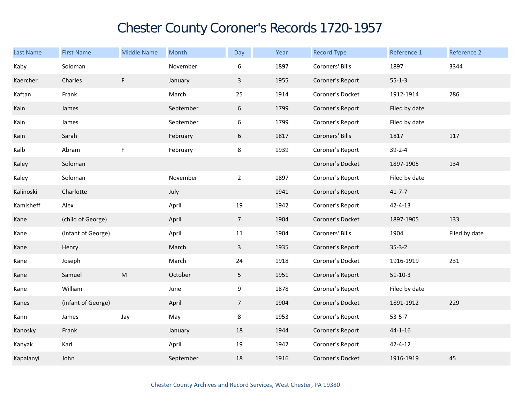## Chester County Coroner's Records 1720-1957

| <b>Last Name</b> | <b>First Name</b>  | <b>Middle Name</b> | Month     | Day            | Year | <b>Record Type</b> | Reference 1   | Reference 2   |
|------------------|--------------------|--------------------|-----------|----------------|------|--------------------|---------------|---------------|
| Kaby             | Soloman            |                    | November  | 6              | 1897 | Coroners' Bills    | 1897          | 3344          |
| Kaercher         | Charles            | F                  | January   | $\mathbf{3}$   | 1955 | Coroner's Report   | $55 - 1 - 3$  |               |
| Kaftan           | Frank              |                    | March     | 25             | 1914 | Coroner's Docket   | 1912-1914     | 286           |
| Kain             | James              |                    | September | 6              | 1799 | Coroner's Report   | Filed by date |               |
| Kain             | James              |                    | September | 6              | 1799 | Coroner's Report   | Filed by date |               |
| Kain             | Sarah              |                    | February  | 6              | 1817 | Coroners' Bills    | 1817          | 117           |
| Kalb             | Abram              | F                  | February  | 8              | 1939 | Coroner's Report   | $39 - 2 - 4$  |               |
| Kaley            | Soloman            |                    |           |                |      | Coroner's Docket   | 1897-1905     | 134           |
| Kaley            | Soloman            |                    | November  | $\overline{2}$ | 1897 | Coroner's Report   | Filed by date |               |
| Kalinoski        | Charlotte          |                    | July      |                | 1941 | Coroner's Report   | $41 - 7 - 7$  |               |
| Kamisheff        | Alex               |                    | April     | 19             | 1942 | Coroner's Report   | $42 - 4 - 13$ |               |
| Kane             | (child of George)  |                    | April     | 7 <sup>7</sup> | 1904 | Coroner's Docket   | 1897-1905     | 133           |
| Kane             | (infant of George) |                    | April     | 11             | 1904 | Coroners' Bills    | 1904          | Filed by date |
| Kane             | Henry              |                    | March     | $\mathbf{3}$   | 1935 | Coroner's Report   | $35 - 3 - 2$  |               |
| Kane             | Joseph             |                    | March     | 24             | 1918 | Coroner's Docket   | 1916-1919     | 231           |
| Kane             | Samuel             | ${\sf M}$          | October   | 5              | 1951 | Coroner's Report   | $51 - 10 - 3$ |               |
| Kane             | William            |                    | June      | 9              | 1878 | Coroner's Report   | Filed by date |               |
| Kanes            | (infant of George) |                    | April     | $\overline{7}$ | 1904 | Coroner's Docket   | 1891-1912     | 229           |
| Kann             | James              | Jay                | May       | 8              | 1953 | Coroner's Report   | $53 - 5 - 7$  |               |
| Kanosky          | Frank              |                    | January   | 18             | 1944 | Coroner's Report   | $44 - 1 - 16$ |               |
| Kanyak           | Karl               |                    | April     | 19             | 1942 | Coroner's Report   | $42 - 4 - 12$ |               |
| Kapalanyi        | John               |                    | September | 18             | 1916 | Coroner's Docket   | 1916-1919     | 45            |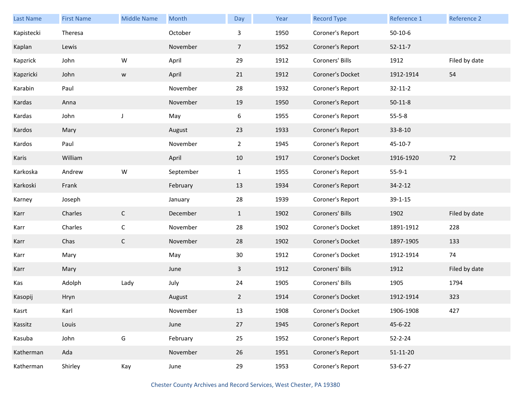| Last Name  | <b>First Name</b> | <b>Middle Name</b> | Month     | Day            | Year | <b>Record Type</b> | Reference 1    | Reference 2   |
|------------|-------------------|--------------------|-----------|----------------|------|--------------------|----------------|---------------|
| Kapistecki | Theresa           |                    | October   | 3              | 1950 | Coroner's Report   | $50-10-6$      |               |
| Kaplan     | Lewis             |                    | November  | $\overline{7}$ | 1952 | Coroner's Report   | $52 - 11 - 7$  |               |
| Kapzrick   | John              | W                  | April     | 29             | 1912 | Coroners' Bills    | 1912           | Filed by date |
| Kapzricki  | John              | W                  | April     | 21             | 1912 | Coroner's Docket   | 1912-1914      | 54            |
| Karabin    | Paul              |                    | November  | 28             | 1932 | Coroner's Report   | $32 - 11 - 2$  |               |
| Kardas     | Anna              |                    | November  | 19             | 1950 | Coroner's Report   | $50-11-8$      |               |
| Kardas     | John              | J                  | May       | 6              | 1955 | Coroner's Report   | $55 - 5 - 8$   |               |
| Kardos     | Mary              |                    | August    | 23             | 1933 | Coroner's Report   | 33-8-10        |               |
| Kardos     | Paul              |                    | November  | $2^{\circ}$    | 1945 | Coroner's Report   | 45-10-7        |               |
| Karis      | William           |                    | April     | 10             | 1917 | Coroner's Docket   | 1916-1920      | 72            |
| Karkoska   | Andrew            | W                  | September | $\mathbf{1}$   | 1955 | Coroner's Report   | $55-9-1$       |               |
| Karkoski   | Frank             |                    | February  | 13             | 1934 | Coroner's Report   | $34 - 2 - 12$  |               |
| Karney     | Joseph            |                    | January   | 28             | 1939 | Coroner's Report   | $39 - 1 - 15$  |               |
| Karr       | Charles           | $\mathsf{C}$       | December  | $\mathbf{1}$   | 1902 | Coroners' Bills    | 1902           | Filed by date |
| Karr       | Charles           | $\mathsf C$        | November  | 28             | 1902 | Coroner's Docket   | 1891-1912      | 228           |
| Karr       | Chas              | $\mathsf{C}$       | November  | 28             | 1902 | Coroner's Docket   | 1897-1905      | 133           |
| Karr       | Mary              |                    | May       | 30             | 1912 | Coroner's Docket   | 1912-1914      | 74            |
| Karr       | Mary              |                    | June      | $\mathbf{3}$   | 1912 | Coroners' Bills    | 1912           | Filed by date |
| Kas        | Adolph            | Lady               | July      | 24             | 1905 | Coroners' Bills    | 1905           | 1794          |
| Kasopij    | Hryn              |                    | August    | $\mathbf{2}$   | 1914 | Coroner's Docket   | 1912-1914      | 323           |
| Kasrt      | Karl              |                    | November  | 13             | 1908 | Coroner's Docket   | 1906-1908      | 427           |
| Kassitz    | Louis             |                    | June      | 27             | 1945 | Coroner's Report   | 45-6-22        |               |
| Kasuba     | John              | ${\mathsf G}$      | February  | 25             | 1952 | Coroner's Report   | $52 - 2 - 24$  |               |
| Katherman  | Ada               |                    | November  | 26             | 1951 | Coroner's Report   | $51 - 11 - 20$ |               |
| Katherman  | Shirley           | Kay                | June      | 29             | 1953 | Coroner's Report   | $53 - 6 - 27$  |               |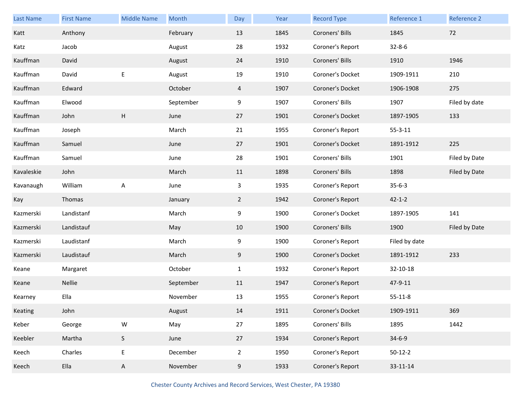| Last Name  | <b>First Name</b> | <b>Middle Name</b> | Month     | Day            | Year | <b>Record Type</b> | Reference 1   | Reference 2   |
|------------|-------------------|--------------------|-----------|----------------|------|--------------------|---------------|---------------|
| Katt       | Anthony           |                    | February  | 13             | 1845 | Coroners' Bills    | 1845          | 72            |
| Katz       | Jacob             |                    | August    | 28             | 1932 | Coroner's Report   | $32 - 8 - 6$  |               |
| Kauffman   | David             |                    | August    | 24             | 1910 | Coroners' Bills    | 1910          | 1946          |
| Kauffman   | David             | Е                  | August    | 19             | 1910 | Coroner's Docket   | 1909-1911     | 210           |
| Kauffman   | Edward            |                    | October   | $\overline{4}$ | 1907 | Coroner's Docket   | 1906-1908     | 275           |
| Kauffman   | Elwood            |                    | September | 9              | 1907 | Coroners' Bills    | 1907          | Filed by date |
| Kauffman   | John              | H                  | June      | 27             | 1901 | Coroner's Docket   | 1897-1905     | 133           |
| Kauffman   | Joseph            |                    | March     | 21             | 1955 | Coroner's Report   | $55 - 3 - 11$ |               |
| Kauffman   | Samuel            |                    | June      | 27             | 1901 | Coroner's Docket   | 1891-1912     | 225           |
| Kauffman   | Samuel            |                    | June      | 28             | 1901 | Coroners' Bills    | 1901          | Filed by Date |
| Kavaleskie | John              |                    | March     | 11             | 1898 | Coroners' Bills    | 1898          | Filed by Date |
| Kavanaugh  | William           | A                  | June      | 3              | 1935 | Coroner's Report   | $35 - 6 - 3$  |               |
|            |                   |                    |           |                |      |                    |               |               |
| Kay        | Thomas            |                    | January   | $2^{\circ}$    | 1942 | Coroner's Report   | $42 - 1 - 2$  |               |
| Kazmerski  | Landistanf        |                    | March     | 9              | 1900 | Coroner's Docket   | 1897-1905     | 141           |
| Kazmerski  | Landistauf        |                    | May       | 10             | 1900 | Coroners' Bills    | 1900          | Filed by Date |
| Kazmerski  | Laudistanf        |                    | March     | 9              | 1900 | Coroner's Report   | Filed by date |               |
| Kazmerski  | Laudistauf        |                    | March     | 9              | 1900 | Coroner's Docket   | 1891-1912     | 233           |
| Keane      | Margaret          |                    | October   | $\mathbf{1}$   | 1932 | Coroner's Report   | 32-10-18      |               |
| Keane      | Nellie            |                    | September | 11             | 1947 | Coroner's Report   | 47-9-11       |               |
| Kearney    | Ella              |                    | November  | 13             | 1955 | Coroner's Report   | $55 - 11 - 8$ |               |
| Keating    | John              |                    | August    | 14             | 1911 | Coroner's Docket   | 1909-1911     | 369           |
| Keber      | George            | ${\sf W}$          | May       | 27             | 1895 | Coroners' Bills    | 1895          | 1442          |
| Keebler    | Martha            | $\mathsf S$        | June      | 27             | 1934 | Coroner's Report   | $34 - 6 - 9$  |               |
| Keech      | Charles           | E                  | December  | $\overline{2}$ | 1950 | Coroner's Report   | $50-12-2$     |               |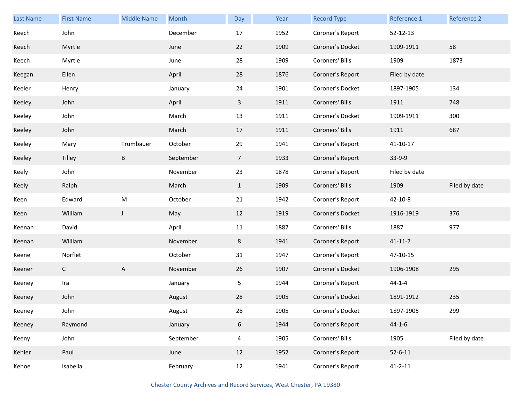| <b>Last Name</b> | <b>First Name</b> | <b>Middle Name</b>        | Month     | Day             | Year | <b>Record Type</b> | Reference 1    | <b>Reference 2</b> |
|------------------|-------------------|---------------------------|-----------|-----------------|------|--------------------|----------------|--------------------|
| Keech            | John              |                           | December  | 17              | 1952 | Coroner's Report   | 52-12-13       |                    |
| Keech            | Myrtle            |                           | June      | 22              | 1909 | Coroner's Docket   | 1909-1911      | 58                 |
| Keech            | Myrtle            |                           | June      | 28              | 1909 | Coroners' Bills    | 1909           | 1873               |
| Keegan           | Ellen             |                           | April     | 28              | 1876 | Coroner's Report   | Filed by date  |                    |
| Keeler           | Henry             |                           | January   | 24              | 1901 | Coroner's Docket   | 1897-1905      | 134                |
| Keeley           | John              |                           | April     | $\mathbf{3}$    | 1911 | Coroners' Bills    | 1911           | 748                |
| Keeley           | John              |                           | March     | 13              | 1911 | Coroner's Docket   | 1909-1911      | 300                |
| Keeley           | John              |                           | March     | 17              | 1911 | Coroners' Bills    | 1911           | 687                |
| Keeley           | Mary              | Trumbauer                 | October   | 29              | 1941 | Coroner's Report   | $41 - 10 - 17$ |                    |
| Keeley           | Tilley            | B                         | September | $7\overline{ }$ | 1933 | Coroner's Report   | $33-9-9$       |                    |
| Keely            | John              |                           | November  | 23              | 1878 | Coroner's Report   | Filed by date  |                    |
| Keely            | Ralph             |                           | March     | $\mathbf{1}$    | 1909 | Coroners' Bills    | 1909           | Filed by date      |
| Keen             | Edward            | ${\sf M}$                 | October   | 21              | 1942 | Coroner's Report   | $42 - 10 - 8$  |                    |
| Keen             | William           | $\mathsf{J}$              | May       | 12              | 1919 | Coroner's Docket   | 1916-1919      | 376                |
| Keenan           | David             |                           | April     | 11              | 1887 | Coroners' Bills    | 1887           | 977                |
| Keenan           | William           |                           | November  | 8               | 1941 | Coroner's Report   | $41 - 11 - 7$  |                    |
| Keene            | Norflet           |                           | October   | 31              | 1947 | Coroner's Report   | 47-10-15       |                    |
| Keener           | $\mathsf{C}$      | $\boldsymbol{\mathsf{A}}$ | November  | 26              | 1907 | Coroner's Docket   | 1906-1908      | 295                |
| Keeney           | Ira               |                           | January   | 5               | 1944 | Coroner's Report   | $44 - 1 - 4$   |                    |
| Keeney           | John              |                           | August    | 28              | 1905 | Coroner's Docket   | 1891-1912      | 235                |
| Keeney           | John              |                           | August    | 28              | 1905 | Coroner's Docket   | 1897-1905      | 299                |
| Keeney           | Raymond           |                           | January   | 6               | 1944 | Coroner's Report   | $44 - 1 - 6$   |                    |
| Keeny            | John              |                           | September | $\overline{4}$  | 1905 | Coroners' Bills    | 1905           | Filed by date      |
| Kehler           | Paul              |                           | June      | 12              | 1952 | Coroner's Report   | $52 - 6 - 11$  |                    |
| Kehoe            | Isabella          |                           | February  | 12              | 1941 | Coroner's Report   | $41 - 2 - 11$  |                    |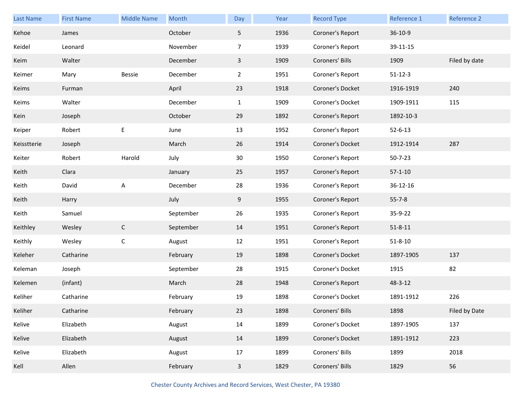| <b>Last Name</b> | <b>First Name</b> | <b>Middle Name</b> | Month     | Day            | Year | <b>Record Type</b> | Reference 1   | Reference 2   |
|------------------|-------------------|--------------------|-----------|----------------|------|--------------------|---------------|---------------|
| Kehoe            | James             |                    | October   | 5 <sub>1</sub> | 1936 | Coroner's Report   | 36-10-9       |               |
| Keidel           | Leonard           |                    | November  | $\overline{7}$ | 1939 | Coroner's Report   | 39-11-15      |               |
| Keim             | Walter            |                    | December  | $\mathbf{3}$   | 1909 | Coroners' Bills    | 1909          | Filed by date |
| Keimer           | Mary              | Bessie             | December  | $\overline{2}$ | 1951 | Coroner's Report   | $51 - 12 - 3$ |               |
| Keims            | Furman            |                    | April     | 23             | 1918 | Coroner's Docket   | 1916-1919     | 240           |
| Keims            | Walter            |                    | December  | $\mathbf{1}$   | 1909 | Coroner's Docket   | 1909-1911     | 115           |
| Kein             | Joseph            |                    | October   | 29             | 1892 | Coroner's Report   | 1892-10-3     |               |
| Keiper           | Robert            | E                  | June      | 13             | 1952 | Coroner's Report   | $52 - 6 - 13$ |               |
| Keisstterie      | Joseph            |                    | March     | 26             | 1914 | Coroner's Docket   | 1912-1914     | 287           |
| Keiter           | Robert            | Harold             | July      | 30             | 1950 | Coroner's Report   | $50 - 7 - 23$ |               |
| Keith            | Clara             |                    | January   | 25             | 1957 | Coroner's Report   | $57 - 1 - 10$ |               |
| Keith            | David             | A                  | December  | 28             | 1936 | Coroner's Report   | 36-12-16      |               |
| Keith            | Harry             |                    | July      | 9              | 1955 | Coroner's Report   | $55 - 7 - 8$  |               |
| Keith            | Samuel            |                    | September | 26             | 1935 | Coroner's Report   | 35-9-22       |               |
| Keithley         | Wesley            | $\mathsf C$        | September | 14             | 1951 | Coroner's Report   | $51 - 8 - 11$ |               |
| Keithly          | Wesley            | $\mathsf C$        | August    | 12             | 1951 | Coroner's Report   | $51 - 8 - 10$ |               |
| Keleher          | Catharine         |                    | February  | 19             | 1898 | Coroner's Docket   | 1897-1905     | 137           |
| Keleman          | Joseph            |                    | September | 28             | 1915 | Coroner's Docket   | 1915          | 82            |
| Kelemen          | (infant)          |                    | March     | 28             | 1948 | Coroner's Report   | 48-3-12       |               |
| Keliher          | Catharine         |                    | February  | 19             | 1898 | Coroner's Docket   | 1891-1912     | 226           |
| Keliher          | Catharine         |                    | February  | 23             | 1898 | Coroners' Bills    | 1898          | Filed by Date |
| Kelive           | Elizabeth         |                    | August    | $14\,$         | 1899 | Coroner's Docket   | 1897-1905     | 137           |
| Kelive           | Elizabeth         |                    | August    | 14             | 1899 | Coroner's Docket   | 1891-1912     | 223           |
| Kelive           | Elizabeth         |                    | August    | 17             | 1899 | Coroners' Bills    | 1899          | 2018          |
| Kell             | Allen             |                    | February  | $\mathbf{3}$   | 1829 | Coroners' Bills    | 1829          | 56            |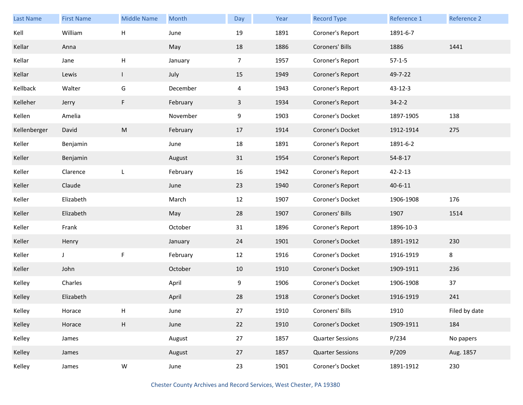| Last Name    | <b>First Name</b> | <b>Middle Name</b>        | Month    | Day            | Year | <b>Record Type</b>      | Reference 1   | Reference 2   |
|--------------|-------------------|---------------------------|----------|----------------|------|-------------------------|---------------|---------------|
| Kell         | William           | H                         | June     | 19             | 1891 | Coroner's Report        | 1891-6-7      |               |
| Kellar       | Anna              |                           | May      | 18             | 1886 | Coroners' Bills         | 1886          | 1441          |
| Kellar       | Jane              | $\sf H$                   | January  | $\overline{7}$ | 1957 | Coroner's Report        | $57-1-5$      |               |
| Kellar       | Lewis             | $\mathbf{I}$              | July     | 15             | 1949 | Coroner's Report        | 49-7-22       |               |
| Kellback     | Walter            | G                         | December | $\overline{4}$ | 1943 | Coroner's Report        | 43-12-3       |               |
| Kelleher     | Jerry             | $\mathsf F$               | February | $\mathbf{3}$   | 1934 | Coroner's Report        | $34 - 2 - 2$  |               |
| Kellen       | Amelia            |                           | November | 9              | 1903 | Coroner's Docket        | 1897-1905     | 138           |
| Kellenberger | David             | ${\sf M}$                 | February | 17             | 1914 | Coroner's Docket        | 1912-1914     | 275           |
| Keller       | Benjamin          |                           | June     | 18             | 1891 | Coroner's Report        | 1891-6-2      |               |
| Keller       | Benjamin          |                           | August   | 31             | 1954 | Coroner's Report        | 54-8-17       |               |
| Keller       | Clarence          | L                         | February | 16             | 1942 | Coroner's Report        | $42 - 2 - 13$ |               |
| Keller       | Claude            |                           | June     | 23             | 1940 | Coroner's Report        | $40 - 6 - 11$ |               |
| Keller       | Elizabeth         |                           | March    | 12             | 1907 | Coroner's Docket        | 1906-1908     | 176           |
| Keller       | Elizabeth         |                           | May      | 28             | 1907 | Coroners' Bills         | 1907          | 1514          |
| Keller       | Frank             |                           | October  | 31             | 1896 | Coroner's Report        | 1896-10-3     |               |
| Keller       | Henry             |                           | January  | 24             | 1901 | Coroner's Docket        | 1891-1912     | 230           |
| Keller       | J                 | $\mathsf F$               | February | 12             | 1916 | Coroner's Docket        | 1916-1919     | 8             |
| Keller       | John              |                           | October  | 10             | 1910 | Coroner's Docket        | 1909-1911     | 236           |
| Kelley       | Charles           |                           | April    | 9              | 1906 | Coroner's Docket        | 1906-1908     | 37            |
| Kelley       | Elizabeth         |                           | April    | 28             | 1918 | Coroner's Docket        | 1916-1919     | 241           |
| Kelley       | Horace            | Н                         | June     | 27             | 1910 | Coroners' Bills         | 1910          | Filed by date |
| Kelley       | Horace            | $\boldsymbol{\mathsf{H}}$ | June     | 22             | 1910 | Coroner's Docket        | 1909-1911     | 184           |
| Kelley       | James             |                           | August   | 27             | 1857 | <b>Quarter Sessions</b> | P/234         | No papers     |
| Kelley       | James             |                           | August   | 27             | 1857 | <b>Quarter Sessions</b> | P/209         | Aug. 1857     |
| Kelley       | James             | ${\sf W}$                 | June     | 23             | 1901 | Coroner's Docket        | 1891-1912     | 230           |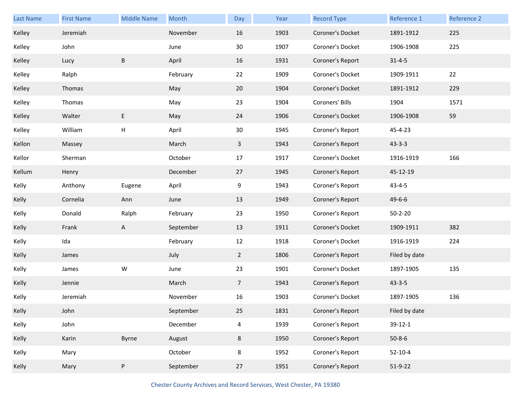| <b>Last Name</b> | <b>First Name</b> | <b>Middle Name</b> | Month     | Day             | Year | <b>Record Type</b> | Reference 1   | Reference 2 |
|------------------|-------------------|--------------------|-----------|-----------------|------|--------------------|---------------|-------------|
| Kelley           | Jeremiah          |                    | November  | 16              | 1903 | Coroner's Docket   | 1891-1912     | 225         |
| Kelley           | John              |                    | June      | 30              | 1907 | Coroner's Docket   | 1906-1908     | 225         |
| Kelley           | Lucy              | $\sf B$            | April     | 16              | 1931 | Coroner's Report   | $31 - 4 - 5$  |             |
| Kelley           | Ralph             |                    | February  | 22              | 1909 | Coroner's Docket   | 1909-1911     | 22          |
| Kelley           | Thomas            |                    | May       | 20              | 1904 | Coroner's Docket   | 1891-1912     | 229         |
| Kelley           | Thomas            |                    | May       | 23              | 1904 | Coroners' Bills    | 1904          | 1571        |
| Kelley           | Walter            | E                  | May       | 24              | 1906 | Coroner's Docket   | 1906-1908     | 59          |
| Kelley           | William           | Н                  | April     | 30              | 1945 | Coroner's Report   | 45-4-23       |             |
| Kellon           | Massey            |                    | March     | $\mathbf{3}$    | 1943 | Coroner's Report   | $43 - 3 - 3$  |             |
| Kellor           | Sherman           |                    | October   | 17              | 1917 | Coroner's Docket   | 1916-1919     | 166         |
| Kellum           | Henry             |                    | December  | 27              | 1945 | Coroner's Report   | 45-12-19      |             |
| Kelly            | Anthony           | Eugene             | April     | 9               | 1943 | Coroner's Report   | $43 - 4 - 5$  |             |
| Kelly            | Cornelia          | Ann                | June      | 13              | 1949 | Coroner's Report   | $49 - 6 - 6$  |             |
| Kelly            | Donald            | Ralph              | February  | 23              | 1950 | Coroner's Report   | $50 - 2 - 20$ |             |
| Kelly            | Frank             | $\mathsf{A}$       | September | 13              | 1911 | Coroner's Docket   | 1909-1911     | 382         |
| Kelly            | Ida               |                    | February  | 12              | 1918 | Coroner's Docket   | 1916-1919     | 224         |
| Kelly            | James             |                    | July      | $\overline{2}$  | 1806 | Coroner's Report   | Filed by date |             |
| Kelly            | James             | W                  | June      | 23              | 1901 | Coroner's Docket   | 1897-1905     | 135         |
| Kelly            | Jennie            |                    | March     | $7\overline{ }$ | 1943 | Coroner's Report   | $43 - 3 - 5$  |             |
| Kelly            | Jeremiah          |                    | November  | 16              | 1903 | Coroner's Docket   | 1897-1905     | 136         |
| Kelly            | John              |                    | September | 25              | 1831 | Coroner's Report   | Filed by date |             |
| Kelly            | John              |                    | December  | 4               | 1939 | Coroner's Report   | 39-12-1       |             |
| Kelly            | Karin             | Byrne              | August    | 8               | 1950 | Coroner's Report   | $50 - 8 - 6$  |             |
| Kelly            | Mary              |                    | October   | 8               | 1952 | Coroner's Report   | $52 - 10 - 4$ |             |
| Kelly            | Mary              | ${\sf P}$          | September | 27              | 1951 | Coroner's Report   | $51-9-22$     |             |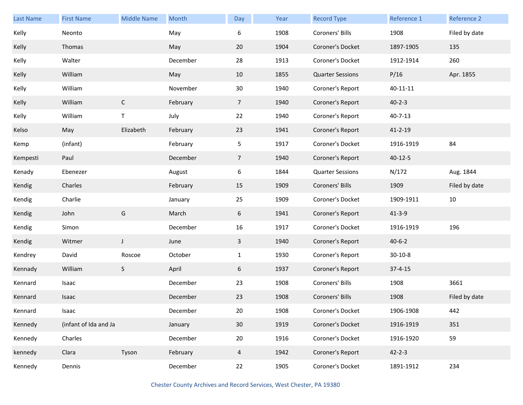| Last Name | <b>First Name</b>     | <b>Middle Name</b> | Month    | Day            | Year | <b>Record Type</b>      | Reference 1   | Reference 2   |
|-----------|-----------------------|--------------------|----------|----------------|------|-------------------------|---------------|---------------|
| Kelly     | Neonto                |                    | May      | 6              | 1908 | Coroners' Bills         | 1908          | Filed by date |
| Kelly     | Thomas                |                    | May      | 20             | 1904 | Coroner's Docket        | 1897-1905     | 135           |
| Kelly     | Walter                |                    | December | 28             | 1913 | Coroner's Docket        | 1912-1914     | 260           |
| Kelly     | William               |                    | May      | 10             | 1855 | <b>Quarter Sessions</b> | P/16          | Apr. 1855     |
| Kelly     | William               |                    | November | 30             | 1940 | Coroner's Report        | 40-11-11      |               |
| Kelly     | William               | $\mathsf{C}$       | February | $\overline{7}$ | 1940 | Coroner's Report        | $40 - 2 - 3$  |               |
| Kelly     | William               | T                  | July     | 22             | 1940 | Coroner's Report        | $40 - 7 - 13$ |               |
| Kelso     | May                   | Elizabeth          | February | 23             | 1941 | Coroner's Report        | $41 - 2 - 19$ |               |
| Kemp      | (infant)              |                    | February | 5 <sub>1</sub> | 1917 | Coroner's Docket        | 1916-1919     | 84            |
| Kempesti  | Paul                  |                    | December | $\overline{7}$ | 1940 | Coroner's Report        | $40 - 12 - 5$ |               |
| Kenady    | Ebenezer              |                    | August   | 6              | 1844 | <b>Quarter Sessions</b> | N/172         | Aug. 1844     |
| Kendig    | Charles               |                    | February | 15             | 1909 | Coroners' Bills         | 1909          | Filed by date |
| Kendig    | Charlie               |                    | January  | 25             | 1909 | Coroner's Docket        | 1909-1911     | 10            |
| Kendig    | John                  | G                  | March    | 6              | 1941 | Coroner's Report        | $41 - 3 - 9$  |               |
| Kendig    | Simon                 |                    | December | 16             | 1917 | Coroner's Docket        | 1916-1919     | 196           |
| Kendig    | Witmer                | J                  | June     | 3              | 1940 | Coroner's Report        | $40 - 6 - 2$  |               |
| Kendrey   | David                 | Roscoe             | October  | $\mathbf{1}$   | 1930 | Coroner's Report        | $30 - 10 - 8$ |               |
| Kennady   | William               | S                  | April    | 6              | 1937 | Coroner's Report        | $37 - 4 - 15$ |               |
| Kennard   | Isaac                 |                    | December | 23             | 1908 | Coroners' Bills         | 1908          | 3661          |
| Kennard   | Isaac                 |                    | December | 23             | 1908 | Coroners' Bills         | 1908          | Filed by date |
| Kennard   | Isaac                 |                    | December | 20             | 1908 | Coroner's Docket        | 1906-1908     | 442           |
| Kennedy   | (infant of Ida and Ja |                    | January  | 30             | 1919 | Coroner's Docket        | 1916-1919     | 351           |
| Kennedy   | Charles               |                    | December | 20             | 1916 | Coroner's Docket        | 1916-1920     | 59            |
| kennedy   | Clara                 | Tyson              | February | $\overline{4}$ | 1942 | Coroner's Report        | $42 - 2 - 3$  |               |
| Kennedy   | Dennis                |                    | December | 22             | 1905 | Coroner's Docket        | 1891-1912     | 234           |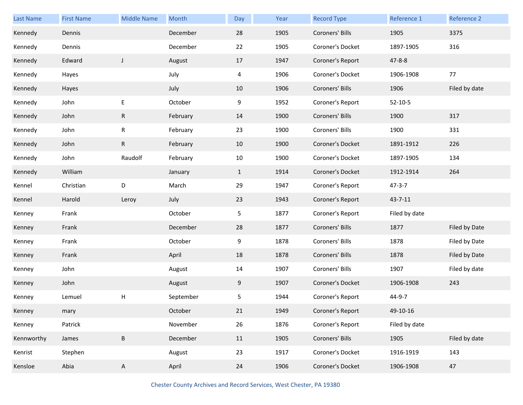| Last Name  | <b>First Name</b> | <b>Middle Name</b> | Month     | Day          | Year | <b>Record Type</b> | Reference 1   | Reference 2   |
|------------|-------------------|--------------------|-----------|--------------|------|--------------------|---------------|---------------|
| Kennedy    | Dennis            |                    | December  | 28           | 1905 | Coroners' Bills    | 1905          | 3375          |
| Kennedy    | Dennis            |                    | December  | 22           | 1905 | Coroner's Docket   | 1897-1905     | 316           |
| Kennedy    | Edward            | $\mathsf{J}$       | August    | 17           | 1947 | Coroner's Report   | $47 - 8 - 8$  |               |
| Kennedy    | Hayes             |                    | July      | 4            | 1906 | Coroner's Docket   | 1906-1908     | 77            |
| Kennedy    | Hayes             |                    | July      | 10           | 1906 | Coroners' Bills    | 1906          | Filed by date |
| Kennedy    | John              | E                  | October   | 9            | 1952 | Coroner's Report   | $52 - 10 - 5$ |               |
| Kennedy    | John              | $\mathsf{R}$       | February  | 14           | 1900 | Coroners' Bills    | 1900          | 317           |
| Kennedy    | John              | R                  | February  | 23           | 1900 | Coroners' Bills    | 1900          | 331           |
| Kennedy    | John              | $\mathsf{R}$       | February  | 10           | 1900 | Coroner's Docket   | 1891-1912     | 226           |
| Kennedy    | John              | Raudolf            | February  | 10           | 1900 | Coroner's Docket   | 1897-1905     | 134           |
| Kennedy    | William           |                    | January   | $\mathbf{1}$ | 1914 | Coroner's Docket   | 1912-1914     | 264           |
| Kennel     | Christian         | D                  | March     | 29           | 1947 | Coroner's Report   | $47 - 3 - 7$  |               |
| Kennel     | Harold            | Leroy              | July      | 23           | 1943 | Coroner's Report   | $43 - 7 - 11$ |               |
| Kenney     | Frank             |                    | October   | 5            | 1877 | Coroner's Report   | Filed by date |               |
| Kenney     | Frank             |                    | December  | 28           | 1877 | Coroners' Bills    | 1877          | Filed by Date |
| Kenney     | Frank             |                    | October   | 9            | 1878 | Coroners' Bills    | 1878          | Filed by Date |
| Kenney     | Frank             |                    | April     | 18           | 1878 | Coroners' Bills    | 1878          | Filed by Date |
| Kenney     |                   |                    |           |              |      |                    |               |               |
|            | John              |                    | August    | 14           | 1907 | Coroners' Bills    | 1907          | Filed by date |
| Kenney     | John              |                    | August    | 9            | 1907 | Coroner's Docket   | 1906-1908     | 243           |
| Kenney     | Lemuel            | Н                  | September | 5            | 1944 | Coroner's Report   | 44-9-7        |               |
| Kenney     | mary              |                    | October   | 21           | 1949 | Coroner's Report   | 49-10-16      |               |
| Kenney     | Patrick           |                    | November  | 26           | 1876 | Coroner's Report   | Filed by date |               |
| Kennworthy | James             | $\sf B$            | December  | 11           | 1905 | Coroners' Bills    | 1905          | Filed by date |
| Kenrist    | Stephen           |                    | August    | 23           | 1917 | Coroner's Docket   | 1916-1919     | 143           |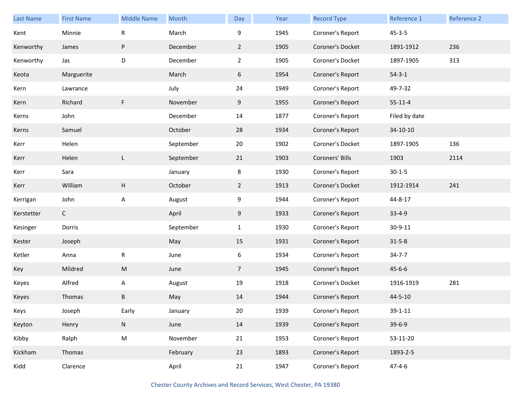| <b>Last Name</b> | <b>First Name</b> | <b>Middle Name</b> | Month     | Day            | Year | <b>Record Type</b> | Reference 1   | Reference 2 |
|------------------|-------------------|--------------------|-----------|----------------|------|--------------------|---------------|-------------|
| Kent             | Minnie            | R                  | March     | 9              | 1945 | Coroner's Report   | $45 - 3 - 5$  |             |
| Kenworthy        | James             | P                  | December  | $\overline{2}$ | 1905 | Coroner's Docket   | 1891-1912     | 236         |
| Kenworthy        | Jas               | D                  | December  | $\overline{2}$ | 1905 | Coroner's Docket   | 1897-1905     | 313         |
| Keota            | Marguerite        |                    | March     | 6              | 1954 | Coroner's Report   | $54 - 3 - 1$  |             |
| Kern             | Lawrance          |                    | July      | 24             | 1949 | Coroner's Report   | 49-7-32       |             |
| Kern             | Richard           | F                  | November  | 9              | 1955 | Coroner's Report   | $55 - 11 - 4$ |             |
| Kerns            | John              |                    | December  | 14             | 1877 | Coroner's Report   | Filed by date |             |
| Kerns            | Samuel            |                    | October   | 28             | 1934 | Coroner's Report   | 34-10-10      |             |
| Kerr             | Helen             |                    | September | 20             | 1902 | Coroner's Docket   | 1897-1905     | 136         |
| Kerr             | Helen             | L                  | September | 21             | 1903 | Coroners' Bills    | 1903          | 2114        |
| Kerr             | Sara              |                    | January   | 8              | 1930 | Coroner's Report   | $30 - 1 - 5$  |             |
| Kerr             | William           | H                  | October   | $\overline{2}$ | 1913 | Coroner's Docket   | 1912-1914     | 241         |
| Kerrigan         | John              | Α                  | August    | 9              | 1944 | Coroner's Report   | 44-8-17       |             |
| Kerstetter       | $\mathsf{C}$      |                    | April     | 9              | 1933 | Coroner's Report   | $33 - 4 - 9$  |             |
| Kesinger         | Dorris            |                    | September | $\mathbf{1}$   | 1930 | Coroner's Report   | 30-9-11       |             |
| Kester           | Joseph            |                    | May       | 15             | 1931 | Coroner's Report   | $31 - 5 - 8$  |             |
| Ketler           | Anna              | ${\sf R}$          | June      | 6              | 1934 | Coroner's Report   | $34 - 7 - 7$  |             |
| Key              | Mildred           | M                  | June      | $\overline{7}$ | 1945 | Coroner's Report   | $45 - 6 - 6$  |             |
| Keyes            | Alfred            | A                  | August    | 19             | 1918 | Coroner's Docket   | 1916-1919     | 281         |
| Keyes            | Thomas            | В                  | May       | 14             | 1944 | Coroner's Report   | 44-5-10       |             |
| Keys             | Joseph            | Early              | January   | 20             | 1939 | Coroner's Report   | $39 - 1 - 11$ |             |
| Keyton           | Henry             | ${\sf N}$          | June      | 14             | 1939 | Coroner's Report   | $39 - 6 - 9$  |             |
| Kibby            | Ralph             | ${\sf M}$          | November  | 21             | 1953 | Coroner's Report   | 53-11-20      |             |
| Kickham          | Thomas            |                    | February  | 23             | 1893 | Coroner's Report   | 1893-2-5      |             |
| Kidd             | Clarence          |                    | April     | 21             | 1947 | Coroner's Report   | $47 - 4 - 6$  |             |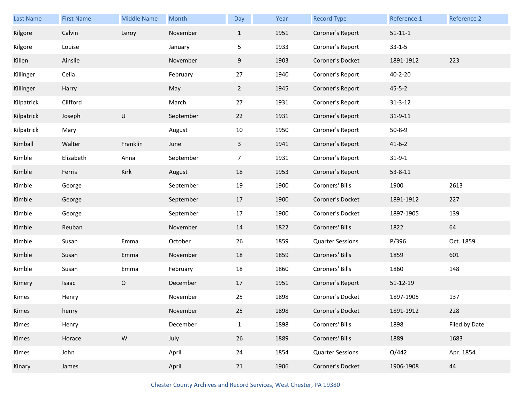| <b>Last Name</b> | <b>First Name</b> | <b>Middle Name</b> | Month     | Day            | Year | <b>Record Type</b>      | Reference 1    | Reference 2   |
|------------------|-------------------|--------------------|-----------|----------------|------|-------------------------|----------------|---------------|
| Kilgore          | Calvin            | Leroy              | November  | $\mathbf{1}$   | 1951 | Coroner's Report        | $51 - 11 - 1$  |               |
| Kilgore          | Louise            |                    | January   | 5              | 1933 | Coroner's Report        | $33 - 1 - 5$   |               |
| Killen           | Ainslie           |                    | November  | 9              | 1903 | Coroner's Docket        | 1891-1912      | 223           |
| Killinger        | Celia             |                    | February  | 27             | 1940 | Coroner's Report        | $40 - 2 - 20$  |               |
| Killinger        | Harry             |                    | May       | $\overline{2}$ | 1945 | Coroner's Report        | $45 - 5 - 2$   |               |
| Kilpatrick       | Clifford          |                    | March     | 27             | 1931 | Coroner's Report        | $31 - 3 - 12$  |               |
| Kilpatrick       | Joseph            | U                  | September | 22             | 1931 | Coroner's Report        | $31 - 9 - 11$  |               |
| Kilpatrick       | Mary              |                    | August    | 10             | 1950 | Coroner's Report        | $50 - 8 - 9$   |               |
| Kimball          | Walter            | Franklin           | June      | $\mathbf{3}$   | 1941 | Coroner's Report        | $41 - 6 - 2$   |               |
| Kimble           | Elizabeth         | Anna               | September | $\overline{7}$ | 1931 | Coroner's Report        | $31 - 9 - 1$   |               |
| Kimble           | Ferris            | Kirk               | August    | 18             | 1953 | Coroner's Report        | $53 - 8 - 11$  |               |
| Kimble           | George            |                    | September | 19             | 1900 | Coroners' Bills         | 1900           | 2613          |
| Kimble           | George            |                    | September | 17             | 1900 | Coroner's Docket        | 1891-1912      | 227           |
| Kimble           | George            |                    | September | 17             | 1900 | Coroner's Docket        | 1897-1905      | 139           |
| Kimble           | Reuban            |                    | November  | 14             | 1822 | Coroners' Bills         | 1822           | 64            |
| Kimble           | Susan             | Emma               | October   | 26             | 1859 | <b>Quarter Sessions</b> | P/396          | Oct. 1859     |
| Kimble           | Susan             | Emma               | November  | 18             | 1859 | Coroners' Bills         | 1859           | 601           |
| Kimble           | Susan             | Emma               | February  | 18             | 1860 | Coroners' Bills         | 1860           | 148           |
| Kimery           | Isaac             | $\mathsf O$        | December  | 17             | 1951 | Coroner's Report        | $51 - 12 - 19$ |               |
| Kimes            | Henry             |                    | November  | 25             | 1898 | Coroner's Docket        | 1897-1905      | 137           |
| Kimes            | henry             |                    | November  | 25             | 1898 | Coroner's Docket        | 1891-1912      | 228           |
| Kimes            | Henry             |                    | December  | $\mathbf{1}$   | 1898 | Coroners' Bills         | 1898           | Filed by Date |
| Kimes            | Horace            | ${\sf W}$          | July      | 26             | 1889 | Coroners' Bills         | 1889           | 1683          |
| Kimes            | John              |                    | April     | 24             | 1854 | <b>Quarter Sessions</b> | O/442          | Apr. 1854     |
| Kinary           | James             |                    | April     | 21             | 1906 | Coroner's Docket        | 1906-1908      | 44            |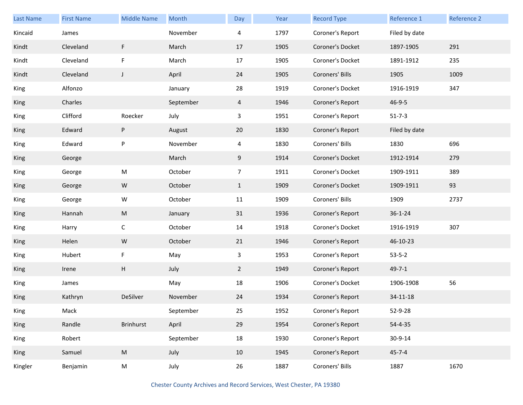| <b>Last Name</b> | <b>First Name</b> | <b>Middle Name</b> | Month     | Day            | Year | <b>Record Type</b> | Reference 1   | Reference 2 |
|------------------|-------------------|--------------------|-----------|----------------|------|--------------------|---------------|-------------|
| Kincaid          | James             |                    | November  | 4              | 1797 | Coroner's Report   | Filed by date |             |
| Kindt            | Cleveland         | F                  | March     | 17             | 1905 | Coroner's Docket   | 1897-1905     | 291         |
| Kindt            | Cleveland         | F                  | March     | 17             | 1905 | Coroner's Docket   | 1891-1912     | 235         |
| Kindt            | Cleveland         | J                  | April     | 24             | 1905 | Coroners' Bills    | 1905          | 1009        |
| King             | Alfonzo           |                    | January   | 28             | 1919 | Coroner's Docket   | 1916-1919     | 347         |
| King             | Charles           |                    | September | 4              | 1946 | Coroner's Report   | $46 - 9 - 5$  |             |
| King             | Clifford          | Roecker            | July      | 3              | 1951 | Coroner's Report   | $51 - 7 - 3$  |             |
| King             | Edward            | P                  | August    | 20             | 1830 | Coroner's Report   | Filed by date |             |
| King             | Edward            | ${\sf P}$          | November  | $\overline{4}$ | 1830 | Coroners' Bills    | 1830          | 696         |
| King             | George            |                    | March     | 9              | 1914 | Coroner's Docket   | 1912-1914     | 279         |
| King             | George            | ${\sf M}$          | October   | $\overline{7}$ | 1911 | Coroner's Docket   | 1909-1911     | 389         |
| King             | George            | W                  | October   | $\mathbf{1}$   | 1909 | Coroner's Docket   | 1909-1911     | 93          |
| King             | George            | W                  | October   | 11             | 1909 | Coroners' Bills    | 1909          | 2737        |
| King             | Hannah            | M                  | January   | 31             | 1936 | Coroner's Report   | $36 - 1 - 24$ |             |
| King             | Harry             | $\mathsf C$        | October   | 14             | 1918 | Coroner's Docket   | 1916-1919     | 307         |
| King             | Helen             | W                  | October   | 21             | 1946 | Coroner's Report   | 46-10-23      |             |
| King             | Hubert            | F                  | May       | $\mathbf{3}$   | 1953 | Coroner's Report   | $53 - 5 - 2$  |             |
| King             | Irene             | H                  | July      | $2^{\circ}$    | 1949 | Coroner's Report   | $49 - 7 - 1$  |             |
| King             | James             |                    | May       | 18             | 1906 | Coroner's Docket   | 1906-1908     | 56          |
| King             | Kathryn           | DeSilver           | November  | 24             | 1934 | Coroner's Report   | 34-11-18      |             |
| King             | Mack              |                    | September | 25             | 1952 | Coroner's Report   | 52-9-28       |             |
| King             | Randle            | Brinhurst          | April     | 29             | 1954 | Coroner's Report   | 54-4-35       |             |
| King             | Robert            |                    | September | 18             | 1930 | Coroner's Report   | 30-9-14       |             |
| King             | Samuel            | ${\sf M}$          | July      | 10             | 1945 | Coroner's Report   | $45 - 7 - 4$  |             |
| Kingler          | Benjamin          | M                  | July      | $26\,$         | 1887 | Coroners' Bills    | 1887          | 1670        |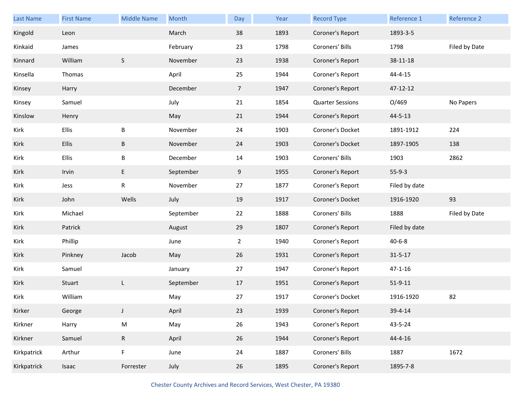| <b>Last Name</b> | <b>First Name</b> | <b>Middle Name</b> | Month     | <b>Day</b>     | Year | <b>Record Type</b>      | Reference 1   | Reference 2   |
|------------------|-------------------|--------------------|-----------|----------------|------|-------------------------|---------------|---------------|
| Kingold          | Leon              |                    | March     | 38             | 1893 | Coroner's Report        | 1893-3-5      |               |
| Kinkaid          | James             |                    | February  | 23             | 1798 | Coroners' Bills         | 1798          | Filed by Date |
| Kinnard          | William           | $\mathsf S$        | November  | 23             | 1938 | Coroner's Report        | 38-11-18      |               |
| Kinsella         | Thomas            |                    | April     | 25             | 1944 | Coroner's Report        | $44 - 4 - 15$ |               |
| Kinsey           | Harry             |                    | December  | $\overline{7}$ | 1947 | Coroner's Report        | 47-12-12      |               |
| Kinsey           | Samuel            |                    | July      | 21             | 1854 | <b>Quarter Sessions</b> | O/469         | No Papers     |
| Kinslow          | Henry             |                    | May       | 21             | 1944 | Coroner's Report        | $44 - 5 - 13$ |               |
| Kirk             | <b>Ellis</b>      | B                  | November  | 24             | 1903 | Coroner's Docket        | 1891-1912     | 224           |
| Kirk             | <b>Ellis</b>      | B                  | November  | 24             | 1903 | Coroner's Docket        | 1897-1905     | 138           |
| Kirk             | <b>Ellis</b>      | B                  | December  | 14             | 1903 | Coroners' Bills         | 1903          | 2862          |
| Kirk             | Irvin             | E                  | September | 9              | 1955 | Coroner's Report        | $55-9-3$      |               |
| Kirk             | Jess              | R                  | November  | 27             | 1877 | Coroner's Report        | Filed by date |               |
| Kirk             | John              | Wells              | July      | 19             | 1917 | Coroner's Docket        | 1916-1920     | 93            |
| Kirk             | Michael           |                    | September | 22             | 1888 | Coroners' Bills         | 1888          | Filed by Date |
| Kirk             | Patrick           |                    | August    | 29             | 1807 | Coroner's Report        | Filed by date |               |
| Kirk             | Phillip           |                    | June      |                |      |                         |               |               |
| Kirk             |                   |                    |           | $\overline{2}$ | 1940 | Coroner's Report        | $40 - 6 - 8$  |               |
|                  | Pinkney           | Jacob              | May       | 26             | 1931 | Coroner's Report        | $31 - 5 - 17$ |               |
| Kirk             | Samuel            |                    | January   | 27             | 1947 | Coroner's Report        | $47 - 1 - 16$ |               |
| Kirk             | Stuart            | L                  | September | 17             | 1951 | Coroner's Report        | $51 - 9 - 11$ |               |
| Kirk             | William           |                    | May       | 27             | 1917 | Coroner's Docket        | 1916-1920     | 82            |
| Kirker           | George            | J                  | April     | 23             | 1939 | Coroner's Report        | 39-4-14       |               |
| Kirkner          | Harry             | ${\sf M}$          | May       | 26             | 1943 | Coroner's Report        | 43-5-24       |               |
| Kirkner          | Samuel            | $\mathsf{R}$       | April     | 26             | 1944 | Coroner's Report        | 44-4-16       |               |
| Kirkpatrick      | Arthur            | F                  | June      | 24             | 1887 | Coroners' Bills         | 1887          | 1672          |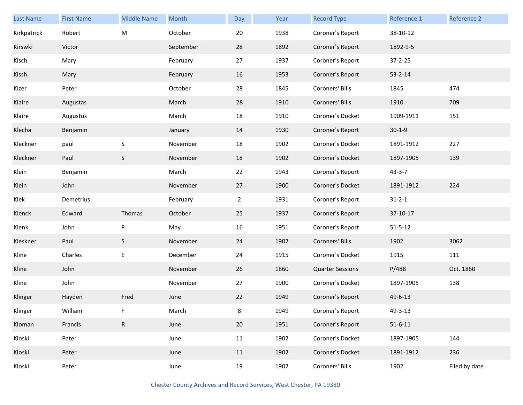| <b>Last Name</b> | <b>First Name</b> | <b>Middle Name</b> | Month     | Day            | Year | <b>Record Type</b>      | Reference 1   | Reference 2   |
|------------------|-------------------|--------------------|-----------|----------------|------|-------------------------|---------------|---------------|
| Kirkpatrick      | Robert            | M                  | October   | 20             | 1938 | Coroner's Report        | 38-10-12      |               |
| Kirswki          | Victor            |                    | September | 28             | 1892 | Coroner's Report        | 1892-9-5      |               |
| Kisch            | Mary              |                    | February  | 27             | 1937 | Coroner's Report        | $37 - 2 - 25$ |               |
| Kissh            | Mary              |                    | February  | 16             | 1953 | Coroner's Report        | $53 - 2 - 14$ |               |
| Kizer            | Peter             |                    | October   | 28             | 1845 | Coroners' Bills         | 1845          | 474           |
| Klaire           | Augustas          |                    | March     | 28             | 1910 | Coroners' Bills         | 1910          | 709           |
| Klaire           | Augustus          |                    | March     | 18             | 1910 | Coroner's Docket        | 1909-1911     | 151           |
| Klecha           | Benjamin          |                    | January   | 14             | 1930 | Coroner's Report        | $30 - 1 - 9$  |               |
| Kleckner         | paul              | $\mathsf S$        | November  | 18             | 1902 | Coroner's Docket        | 1891-1912     | 227           |
| Kleckner         | Paul              | $\mathsf S$        | November  | 18             | 1902 | Coroner's Docket        | 1897-1905     | 139           |
| Klein            | Benjamin          |                    | March     | 22             | 1943 | Coroner's Report        | $43 - 3 - 7$  |               |
| Klein            | John              |                    | November  | 27             | 1900 | Coroner's Docket        | 1891-1912     | 224           |
| Klek             | Demetrius         |                    | February  | $\overline{2}$ | 1931 | Coroner's Report        | $31 - 2 - 1$  |               |
| Klenck           | Edward            | Thomas             | October   | 25             | 1937 | Coroner's Report        | 37-10-17      |               |
| Klenk            | John              | P                  | May       | 16             | 1951 | Coroner's Report        | $51 - 5 - 12$ |               |
| Kleskner         | Paul              | S                  | November  | 24             | 1902 | Coroners' Bills         | 1902          | 3062          |
| Kline            | Charles           | E                  | December  | 24             | 1915 | Coroner's Docket        | 1915          | 111           |
| Kline            | John              |                    | November  | 26             | 1860 | <b>Quarter Sessions</b> | P/488         | Oct. 1860     |
| Kline            | John              |                    | November  | 27             | 1900 | Coroner's Docket        | 1897-1905     | 138           |
| Klinger          | Hayden            | Fred               | June      | 22             | 1949 | Coroner's Report        | 49-6-13       |               |
| Klinger          | William           | F                  | March     | 8              | 1949 | Coroner's Report        | 49-3-13       |               |
| Kloman           | Francis           | $\mathsf{R}$       | June      | 20             | 1951 | Coroner's Report        | $51 - 6 - 11$ |               |
| Kloski           | Peter             |                    | June      | 11             | 1902 | Coroner's Docket        | 1897-1905     | 144           |
| Kloski           | Peter             |                    | June      | 11             | 1902 | Coroner's Docket        | 1891-1912     | 236           |
| Kloski           | Peter             |                    | June      | 19             | 1902 | Coroners' Bills         | 1902          | Filed by date |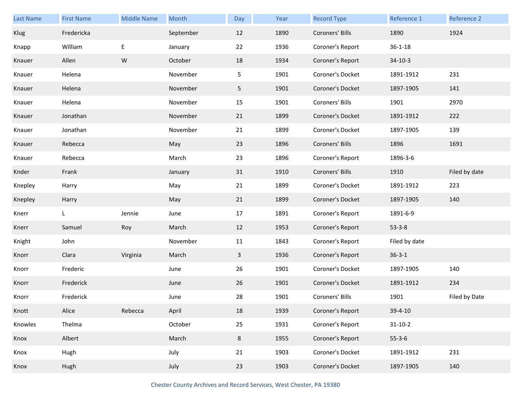| <b>Last Name</b> | <b>First Name</b> | <b>Middle Name</b> | Month     | Day            | Year | <b>Record Type</b> | Reference 1   | Reference 2   |
|------------------|-------------------|--------------------|-----------|----------------|------|--------------------|---------------|---------------|
| Klug             | Fredericka        |                    | September | 12             | 1890 | Coroners' Bills    | 1890          | 1924          |
| Knapp            | William           | E                  | January   | 22             | 1936 | Coroner's Report   | $36 - 1 - 18$ |               |
| Knauer           | Allen             | ${\sf W}$          | October   | 18             | 1934 | Coroner's Report   | $34-10-3$     |               |
| Knauer           | Helena            |                    | November  | 5              | 1901 | Coroner's Docket   | 1891-1912     | 231           |
| Knauer           | Helena            |                    | November  | 5 <sub>1</sub> | 1901 | Coroner's Docket   | 1897-1905     | 141           |
| Knauer           | Helena            |                    | November  | 15             | 1901 | Coroners' Bills    | 1901          | 2970          |
| Knauer           | Jonathan          |                    | November  | 21             | 1899 | Coroner's Docket   | 1891-1912     | 222           |
| Knauer           | Jonathan          |                    | November  | 21             | 1899 | Coroner's Docket   | 1897-1905     | 139           |
| Knauer           | Rebecca           |                    | May       | 23             | 1896 | Coroners' Bills    | 1896          | 1691          |
| Knauer           | Rebecca           |                    | March     | 23             | 1896 | Coroner's Report   | 1896-3-6      |               |
| Knder            | Frank             |                    | January   | 31             | 1910 | Coroners' Bills    | 1910          | Filed by date |
| Knepley          | Harry             |                    | May       | 21             | 1899 | Coroner's Docket   | 1891-1912     | 223           |
| Knepley          | Harry             |                    | May       | 21             | 1899 | Coroner's Docket   | 1897-1905     | 140           |
| Knerr            | L                 | Jennie             | June      | 17             | 1891 | Coroner's Report   | 1891-6-9      |               |
| Knerr            | Samuel            | Roy                | March     | 12             | 1953 | Coroner's Report   | $53 - 3 - 8$  |               |
| Knight           | John              |                    | November  | 11             | 1843 | Coroner's Report   | Filed by date |               |
| Knorr            | Clara             | Virginia           | March     | $\mathbf{3}$   | 1936 | Coroner's Report   | $36 - 3 - 1$  |               |
| Knorr            | Frederic          |                    | June      | 26             | 1901 | Coroner's Docket   | 1897-1905     | 140           |
| Knorr            | Frederick         |                    | June      | 26             | 1901 | Coroner's Docket   | 1891-1912     | 234           |
| Knorr            | Frederick         |                    | June      | 28             | 1901 | Coroners' Bills    | 1901          | Filed by Date |
| Knott            | Alice             | Rebecca            | April     | 18             | 1939 | Coroner's Report   | $39 - 4 - 10$ |               |
| Knowles          | Thelma            |                    | October   | 25             | 1931 | Coroner's Report   | $31 - 10 - 2$ |               |
| Knox             | Albert            |                    | March     | $8\phantom{1}$ | 1955 | Coroner's Report   | $55 - 3 - 6$  |               |
| Knox             | Hugh              |                    | July      | 21             | 1903 | Coroner's Docket   | 1891-1912     | 231           |
| Knox             | Hugh              |                    | July      | 23             | 1903 | Coroner's Docket   | 1897-1905     | 140           |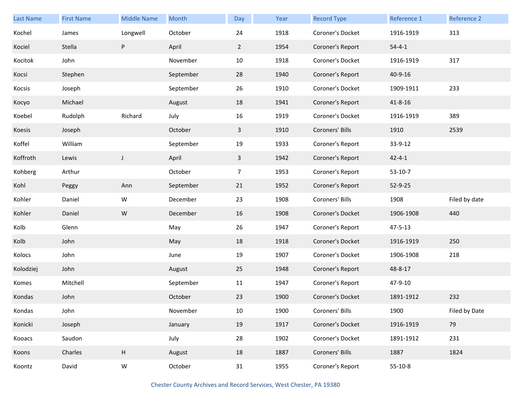| <b>Last Name</b> | <b>First Name</b> | <b>Middle Name</b> | Month     | Day            | Year | <b>Record Type</b> | Reference 1   | Reference 2   |
|------------------|-------------------|--------------------|-----------|----------------|------|--------------------|---------------|---------------|
| Kochel           | James             | Longwell           | October   | 24             | 1918 | Coroner's Docket   | 1916-1919     | 313           |
| Kociel           | Stella            | P                  | April     | $\overline{2}$ | 1954 | Coroner's Report   | $54 - 4 - 1$  |               |
| Kocitok          | John              |                    | November  | 10             | 1918 | Coroner's Docket   | 1916-1919     | 317           |
| Kocsi            | Stephen           |                    | September | 28             | 1940 | Coroner's Report   | 40-9-16       |               |
| Kocsis           | Joseph            |                    | September | 26             | 1910 | Coroner's Docket   | 1909-1911     | 233           |
| Косуо            | Michael           |                    | August    | 18             | 1941 | Coroner's Report   | $41 - 8 - 16$ |               |
| Koebel           | Rudolph           | Richard            | July      | 16             | 1919 | Coroner's Docket   | 1916-1919     | 389           |
| Koesis           | Joseph            |                    | October   | 3              | 1910 | Coroners' Bills    | 1910          | 2539          |
| Koffel           | William           |                    | September | 19             | 1933 | Coroner's Report   | 33-9-12       |               |
| Koffroth         | Lewis             | J                  | April     | $\mathbf{3}$   | 1942 | Coroner's Report   | $42 - 4 - 1$  |               |
| Kohberg          | Arthur            |                    | October   | $\overline{7}$ | 1953 | Coroner's Report   | $53-10-7$     |               |
| Kohl             | Peggy             | Ann                | September | 21             | 1952 | Coroner's Report   | 52-9-25       |               |
| Kohler           | Daniel            | W                  | December  | 23             | 1908 | Coroners' Bills    | 1908          | Filed by date |
| Kohler           | Daniel            | W                  | December  | 16             | 1908 | Coroner's Docket   | 1906-1908     | 440           |
| Kolb             | Glenn             |                    | May       | 26             | 1947 | Coroner's Report   | $47 - 5 - 13$ |               |
| Kolb             | John              |                    | May       | 18             | 1918 | Coroner's Docket   | 1916-1919     | 250           |
| Kolocs           | John              |                    | June      | 19             | 1907 | Coroner's Docket   | 1906-1908     | 218           |
| Kolodziej        | John              |                    | August    | 25             | 1948 | Coroner's Report   | 48-8-17       |               |
| Komes            | Mitchell          |                    | September | 11             | 1947 | Coroner's Report   | 47-9-10       |               |
| Kondas           | John              |                    | October   | 23             | 1900 | Coroner's Docket   | 1891-1912     | 232           |
| Kondas           | John              |                    | November  | $10\,$         | 1900 | Coroners' Bills    | 1900          | Filed by Date |
| Konicki          | Joseph            |                    | January   | 19             | 1917 | Coroner's Docket   | 1916-1919     | 79            |
| Kooacs           | Saudon            |                    | July      | 28             | 1902 | Coroner's Docket   | 1891-1912     | 231           |
| Koons            | Charles           | $\sf H$            | August    | 18             | 1887 | Coroners' Bills    | 1887          | 1824          |
| Koontz           | David             | W                  | October   | 31             | 1955 | Coroner's Report   | $55-10-8$     |               |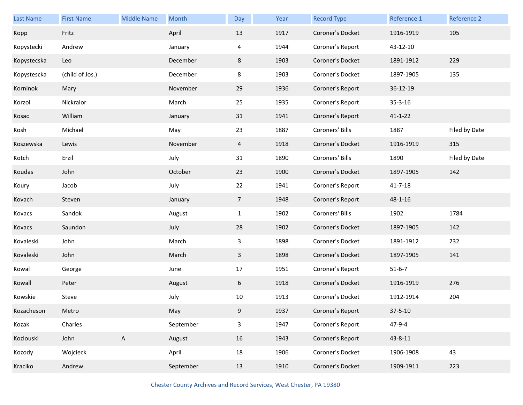| Last Name   | <b>First Name</b> | <b>Middle Name</b> | Month     | Day             | Year | <b>Record Type</b> | Reference 1   | Reference 2   |
|-------------|-------------------|--------------------|-----------|-----------------|------|--------------------|---------------|---------------|
| Kopp        | Fritz             |                    | April     | 13              | 1917 | Coroner's Docket   | 1916-1919     | 105           |
| Kopystecki  | Andrew            |                    | January   | 4               | 1944 | Coroner's Report   | 43-12-10      |               |
| Kopystecska | Leo               |                    | December  | 8               | 1903 | Coroner's Docket   | 1891-1912     | 229           |
| Kopystescka | (child of Jos.)   |                    | December  | 8               | 1903 | Coroner's Docket   | 1897-1905     | 135           |
| Korninok    | Mary              |                    | November  | 29              | 1936 | Coroner's Report   | 36-12-19      |               |
| Korzol      | Nickralor         |                    | March     | 25              | 1935 | Coroner's Report   | $35 - 3 - 16$ |               |
| Kosac       | William           |                    | January   | 31              | 1941 | Coroner's Report   | $41 - 1 - 22$ |               |
| Kosh        | Michael           |                    | May       | 23              | 1887 | Coroners' Bills    | 1887          | Filed by Date |
| Koszewska   | Lewis             |                    | November  | $\overline{4}$  | 1918 | Coroner's Docket   | 1916-1919     | 315           |
| Kotch       | Erzil             |                    | July      | 31              | 1890 | Coroners' Bills    | 1890          | Filed by Date |
| Koudas      | John              |                    | October   | 23              | 1900 | Coroner's Docket   | 1897-1905     | 142           |
| Koury       | Jacob             |                    | July      | 22              | 1941 | Coroner's Report   | 41-7-18       |               |
| Kovach      | Steven            |                    | January   | $7\overline{ }$ | 1948 | Coroner's Report   | 48-1-16       |               |
| Kovacs      | Sandok            |                    | August    | $\mathbf{1}$    | 1902 | Coroners' Bills    | 1902          | 1784          |
| Kovacs      | Saundon           |                    | July      | 28              | 1902 | Coroner's Docket   | 1897-1905     | 142           |
| Kovaleski   | John              |                    | March     | 3               | 1898 | Coroner's Docket   | 1891-1912     | 232           |
| Kovaleski   | John              |                    | March     | $\mathbf{3}$    | 1898 | Coroner's Docket   | 1897-1905     | 141           |
| Kowal       | George            |                    | June      | 17              | 1951 | Coroner's Report   | $51 - 6 - 7$  |               |
| Kowall      | Peter             |                    | August    | 6               | 1918 | Coroner's Docket   | 1916-1919     | 276           |
| Kowskie     | Steve             |                    | July      | 10              | 1913 | Coroner's Docket   | 1912-1914     | 204           |
| Kozacheson  | Metro             |                    | May       | 9               | 1937 | Coroner's Report   | $37 - 5 - 10$ |               |
| Kozak       | Charles           |                    | September | $\mathbf{3}$    | 1947 | Coroner's Report   | 47-9-4        |               |
| Kozlouski   | John              | $\mathsf{A}$       | August    | 16              | 1943 | Coroner's Report   | 43-8-11       |               |
| Kozody      | Wojcieck          |                    | April     | 18              | 1906 | Coroner's Docket   | 1906-1908     | 43            |
| Kraciko     | Andrew            |                    | September | 13              | 1910 | Coroner's Docket   | 1909-1911     | 223           |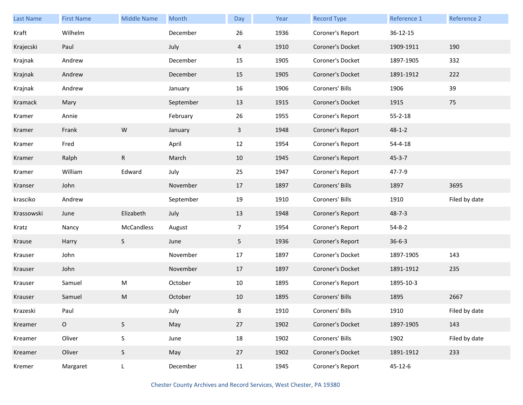| <b>Last Name</b> | <b>First Name</b> | <b>Middle Name</b> | Month     | Day            | Year | <b>Record Type</b> | Reference 1   | Reference 2   |
|------------------|-------------------|--------------------|-----------|----------------|------|--------------------|---------------|---------------|
| Kraft            | Wilhelm           |                    | December  | 26             | 1936 | Coroner's Report   | 36-12-15      |               |
| Krajecski        | Paul              |                    | July      | 4              | 1910 | Coroner's Docket   | 1909-1911     | 190           |
| Krajnak          | Andrew            |                    | December  | 15             | 1905 | Coroner's Docket   | 1897-1905     | 332           |
| Krajnak          | Andrew            |                    | December  | 15             | 1905 | Coroner's Docket   | 1891-1912     | 222           |
| Krajnak          | Andrew            |                    | January   | 16             | 1906 | Coroners' Bills    | 1906          | 39            |
| Kramack          | Mary              |                    | September | 13             | 1915 | Coroner's Docket   | 1915          | 75            |
| Kramer           | Annie             |                    | February  | 26             | 1955 | Coroner's Report   | $55 - 2 - 18$ |               |
| Kramer           | Frank             | W                  | January   | $\mathbf{3}$   | 1948 | Coroner's Report   | $48 - 1 - 2$  |               |
| Kramer           | Fred              |                    | April     | 12             | 1954 | Coroner's Report   | $54 - 4 - 18$ |               |
| Kramer           | Ralph             | $\mathsf{R}$       | March     | 10             | 1945 | Coroner's Report   | $45 - 3 - 7$  |               |
| Kramer           | William           | Edward             | July      | 25             | 1947 | Coroner's Report   | 47-7-9        |               |
| Kranser          | John              |                    | November  | 17             | 1897 | Coroners' Bills    | 1897          | 3695          |
| krasciko         | Andrew            |                    | September | 19             | 1910 | Coroners' Bills    | 1910          | Filed by date |
| Krassowski       | June              | Elizabeth          | July      | 13             | 1948 | Coroner's Report   | $48 - 7 - 3$  |               |
| Kratz            | Nancy             | McCandless         | August    | $\overline{7}$ | 1954 | Coroner's Report   | $54 - 8 - 2$  |               |
| Krause           | Harry             | S                  | June      | 5              | 1936 | Coroner's Report   | $36 - 6 - 3$  |               |
| Krauser          | John              |                    | November  | 17             | 1897 | Coroner's Docket   | 1897-1905     | 143           |
| Krauser          | John              |                    | November  | 17             | 1897 | Coroner's Docket   | 1891-1912     | 235           |
| Krauser          | Samuel            | ${\sf M}$          | October   | 10             | 1895 | Coroner's Report   | 1895-10-3     |               |
| Krauser          | Samuel            | M                  | October   | 10             | 1895 | Coroners' Bills    | 1895          | 2667          |
| Krazeski         | Paul              |                    | July      | 8              | 1910 | Coroners' Bills    | 1910          | Filed by date |
| Kreamer          | $\circ$           | S                  | May       | 27             | 1902 | Coroner's Docket   | 1897-1905     | 143           |
| Kreamer          | Oliver            | $\sf S$            | June      | 18             | 1902 | Coroners' Bills    | 1902          | Filed by date |
| Kreamer          | Oliver            | S                  | May       | 27             | 1902 | Coroner's Docket   | 1891-1912     | 233           |
| Kremer           | Margaret          | L                  | December  | 11             | 1945 | Coroner's Report   | $45 - 12 - 6$ |               |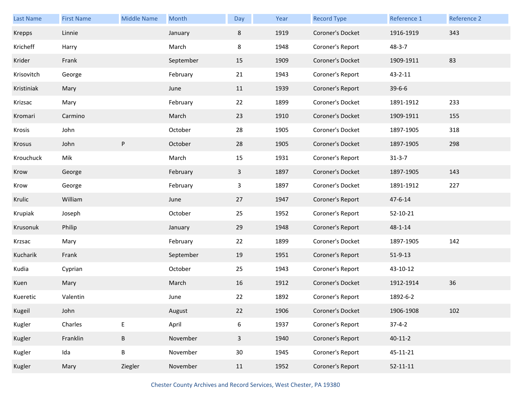| Last Name  | <b>First Name</b> | <b>Middle Name</b> | Month     | Day                     | Year | <b>Record Type</b> | Reference 1    | Reference 2 |
|------------|-------------------|--------------------|-----------|-------------------------|------|--------------------|----------------|-------------|
| Krepps     | Linnie            |                    | January   | 8                       | 1919 | Coroner's Docket   | 1916-1919      | 343         |
| Kricheff   | Harry             |                    | March     | 8                       | 1948 | Coroner's Report   | $48 - 3 - 7$   |             |
| Krider     | Frank             |                    | September | 15                      | 1909 | Coroner's Docket   | 1909-1911      | 83          |
| Krisovitch | George            |                    | February  | 21                      | 1943 | Coroner's Report   | $43 - 2 - 11$  |             |
| Kristiniak | Mary              |                    | June      | 11                      | 1939 | Coroner's Report   | $39 - 6 - 6$   |             |
| Krizsac    | Mary              |                    | February  | 22                      | 1899 | Coroner's Docket   | 1891-1912      | 233         |
| Kromari    | Carmino           |                    | March     | 23                      | 1910 | Coroner's Docket   | 1909-1911      | 155         |
| Krosis     | John              |                    | October   | 28                      | 1905 | Coroner's Docket   | 1897-1905      | 318         |
| Krosus     | John              | ${\sf P}$          | October   | 28                      | 1905 | Coroner's Docket   | 1897-1905      | 298         |
| Krouchuck  | Mik               |                    | March     | 15                      | 1931 | Coroner's Report   | $31 - 3 - 7$   |             |
| Krow       | George            |                    | February  | $\mathbf{3}$            | 1897 | Coroner's Docket   | 1897-1905      | 143         |
| Krow       | George            |                    | February  | 3                       | 1897 | Coroner's Docket   | 1891-1912      | 227         |
| Krulic     | William           |                    | June      | 27                      | 1947 | Coroner's Report   | 47-6-14        |             |
| Krupiak    | Joseph            |                    | October   | 25                      | 1952 | Coroner's Report   | 52-10-21       |             |
| Krusonuk   | Philip            |                    | January   | 29                      | 1948 | Coroner's Report   | $48 - 1 - 14$  |             |
| Krzsac     | Mary              |                    | February  | 22                      | 1899 | Coroner's Docket   | 1897-1905      | 142         |
| Kucharik   | Frank             |                    | September | 19                      | 1951 | Coroner's Report   | $51 - 9 - 13$  |             |
| Kudia      | Cyprian           |                    | October   | 25                      | 1943 | Coroner's Report   | 43-10-12       |             |
| Kuen       | Mary              |                    | March     | 16                      | 1912 | Coroner's Docket   | 1912-1914      | 36          |
| Kueretic   | Valentin          |                    | June      | 22                      | 1892 | Coroner's Report   | 1892-6-2       |             |
| Kugeil     | John              |                    | August    | 22                      | 1906 | Coroner's Docket   | 1906-1908      | 102         |
| Kugler     | Charles           | E                  | April     | 6                       | 1937 | Coroner's Report   | $37 - 4 - 2$   |             |
| Kugler     | Franklin          | B                  | November  | $\overline{\mathbf{3}}$ | 1940 | Coroner's Report   | $40 - 11 - 2$  |             |
| Kugler     | Ida               | B                  | November  | 30                      | 1945 | Coroner's Report   | 45-11-21       |             |
| Kugler     | Mary              | Ziegler            | November  | 11                      | 1952 | Coroner's Report   | $52 - 11 - 11$ |             |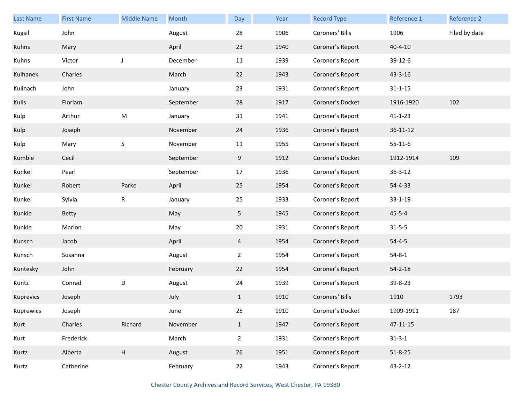| <b>Last Name</b> | <b>First Name</b> | <b>Middle Name</b>        | Month     | Day            | Year | <b>Record Type</b> | Reference 1    | Reference 2   |
|------------------|-------------------|---------------------------|-----------|----------------|------|--------------------|----------------|---------------|
| Kugsil           | John              |                           | August    | 28             | 1906 | Coroners' Bills    | 1906           | Filed by date |
| Kuhns            | Mary              |                           | April     | 23             | 1940 | Coroner's Report   | $40 - 4 - 10$  |               |
| Kuhns            | Victor            | J                         | December  | 11             | 1939 | Coroner's Report   | 39-12-6        |               |
| Kulhanek         | Charles           |                           | March     | 22             | 1943 | Coroner's Report   | 43-3-16        |               |
| Kulinach         | John              |                           | January   | 23             | 1931 | Coroner's Report   | $31 - 1 - 15$  |               |
| Kulis            | Floriam           |                           | September | 28             | 1917 | Coroner's Docket   | 1916-1920      | 102           |
| Kulp             | Arthur            | ${\sf M}$                 | January   | 31             | 1941 | Coroner's Report   | $41 - 1 - 23$  |               |
| Kulp             | Joseph            |                           | November  | 24             | 1936 | Coroner's Report   | $36 - 11 - 12$ |               |
| Kulp             | Mary              | $\sf S$                   | November  | 11             | 1955 | Coroner's Report   | $55 - 11 - 6$  |               |
| Kumble           | Cecil             |                           | September | 9              | 1912 | Coroner's Docket   | 1912-1914      | 109           |
| Kunkel           | Pearl             |                           | September | 17             | 1936 | Coroner's Report   | $36 - 3 - 12$  |               |
| Kunkel           | Robert            | Parke                     | April     | 25             | 1954 | Coroner's Report   | 54-4-33        |               |
| Kunkel           | Sylvia            | R                         | January   | 25             | 1933 | Coroner's Report   | $33 - 1 - 19$  |               |
| Kunkle           | Betty             |                           | May       | 5 <sub>1</sub> | 1945 | Coroner's Report   | $45 - 5 - 4$   |               |
| Kunkle           | Marion            |                           | May       | 20             | 1931 | Coroner's Report   | $31 - 5 - 5$   |               |
| Kunsch           | Jacob             |                           | April     | 4              | 1954 | Coroner's Report   | $54 - 4 - 5$   |               |
| Kunsch           | Susanna           |                           | August    | $\overline{2}$ | 1954 | Coroner's Report   | $54 - 8 - 1$   |               |
| Kuntesky         | John              |                           | February  | 22             | 1954 | Coroner's Report   | $54 - 2 - 18$  |               |
| Kuntz            | Conrad            | D                         | August    | 24             | 1939 | Coroner's Report   | 39-8-23        |               |
| Kuprevics        | Joseph            |                           | July      | $\mathbf{1}$   | 1910 | Coroners' Bills    | 1910           | 1793          |
| Kuprewics        | Joseph            |                           | June      | 25             | 1910 | Coroner's Docket   | 1909-1911      | 187           |
| Kurt             | Charles           | Richard                   | November  | $\mathbf{1}$   | 1947 | Coroner's Report   | 47-11-15       |               |
| Kurt             | Frederick         |                           | March     | $\overline{2}$ | 1931 | Coroner's Report   | $31 - 3 - 1$   |               |
| Kurtz            | Alberta           | $\boldsymbol{\mathsf{H}}$ | August    | 26             | 1951 | Coroner's Report   | $51 - 8 - 25$  |               |
| Kurtz            | Catherine         |                           | February  | 22             | 1943 | Coroner's Report   | $43 - 2 - 12$  |               |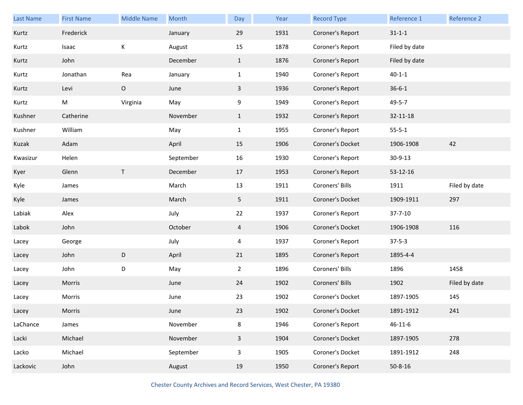| Last Name | <b>First Name</b> | <b>Middle Name</b> | Month     | Day            | Year | <b>Record Type</b> | Reference 1   | Reference 2   |
|-----------|-------------------|--------------------|-----------|----------------|------|--------------------|---------------|---------------|
| Kurtz     | Frederick         |                    | January   | 29             | 1931 | Coroner's Report   | $31 - 1 - 1$  |               |
| Kurtz     | Isaac             | К                  | August    | 15             | 1878 | Coroner's Report   | Filed by date |               |
| Kurtz     | John              |                    | December  | $\mathbf{1}$   | 1876 | Coroner's Report   | Filed by date |               |
| Kurtz     | Jonathan          | Rea                | January   | $\mathbf{1}$   | 1940 | Coroner's Report   | $40 - 1 - 1$  |               |
| Kurtz     | Levi              | $\mathsf O$        | June      | $\mathbf{3}$   | 1936 | Coroner's Report   | $36 - 6 - 1$  |               |
| Kurtz     | M                 | Virginia           | May       | 9              | 1949 | Coroner's Report   | 49-5-7        |               |
| Kushner   | Catherine         |                    | November  | $\mathbf{1}$   | 1932 | Coroner's Report   | 32-11-18      |               |
| Kushner   | William           |                    | May       | $\mathbf{1}$   | 1955 | Coroner's Report   | $55 - 5 - 1$  |               |
| Kuzak     | Adam              |                    | April     | 15             | 1906 | Coroner's Docket   | 1906-1908     | 42            |
| Kwasizur  | Helen             |                    | September | 16             | 1930 | Coroner's Report   | 30-9-13       |               |
| Kyer      | Glenn             | $\mathsf T$        | December  | 17             | 1953 | Coroner's Report   | 53-12-16      |               |
| Kyle      | James             |                    | March     | 13             | 1911 | Coroners' Bills    | 1911          | Filed by date |
| Kyle      | James             |                    | March     | 5              | 1911 | Coroner's Docket   | 1909-1911     | 297           |
| Labiak    | Alex              |                    | July      | 22             | 1937 | Coroner's Report   | $37 - 7 - 10$ |               |
| Labok     | John              |                    | October   | $\overline{4}$ | 1906 | Coroner's Docket   | 1906-1908     | 116           |
| Lacey     | George            |                    | July      | 4              | 1937 | Coroner's Report   | $37 - 5 - 3$  |               |
| Lacey     | John              | $\mathsf D$        | April     | 21             | 1895 | Coroner's Report   | 1895-4-4      |               |
| Lacey     | John              | D                  | May       | $\overline{2}$ | 1896 | Coroners' Bills    | 1896          | 1458          |
| Lacey     | Morris            |                    | June      | 24             | 1902 | Coroners' Bills    | 1902          | Filed by date |
| Lacey     | Morris            |                    | June      | 23             | 1902 | Coroner's Docket   | 1897-1905     | 145           |
| Lacey     | Morris            |                    | June      | 23             | 1902 | Coroner's Docket   | 1891-1912     | 241           |
| LaChance  | James             |                    | November  | 8              | 1946 | Coroner's Report   | $46 - 11 - 6$ |               |
| Lacki     | Michael           |                    | November  | $\overline{3}$ | 1904 | Coroner's Docket   | 1897-1905     | 278           |
| Lacko     | Michael           |                    | September | 3              | 1905 | Coroner's Docket   | 1891-1912     | 248           |
| Lackovic  | John              |                    | August    | 19             | 1950 | Coroner's Report   | $50 - 8 - 16$ |               |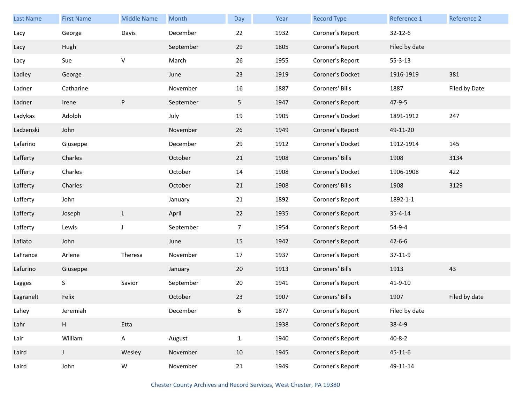| Last Name | <b>First Name</b> | <b>Middle Name</b> | Month     | Day            | Year | <b>Record Type</b> | Reference 1   | Reference 2   |
|-----------|-------------------|--------------------|-----------|----------------|------|--------------------|---------------|---------------|
| Lacy      | George            | Davis              | December  | 22             | 1932 | Coroner's Report   | $32 - 12 - 6$ |               |
| Lacy      | Hugh              |                    | September | 29             | 1805 | Coroner's Report   | Filed by date |               |
| Lacy      | Sue               | $\mathsf V$        | March     | 26             | 1955 | Coroner's Report   | $55 - 3 - 13$ |               |
| Ladley    | George            |                    | June      | 23             | 1919 | Coroner's Docket   | 1916-1919     | 381           |
| Ladner    | Catharine         |                    | November  | 16             | 1887 | Coroners' Bills    | 1887          | Filed by Date |
| Ladner    | Irene             | P                  | September | 5              | 1947 | Coroner's Report   | $47 - 9 - 5$  |               |
| Ladykas   | Adolph            |                    | July      | 19             | 1905 | Coroner's Docket   | 1891-1912     | 247           |
| Ladzenski | John              |                    | November  | 26             | 1949 | Coroner's Report   | 49-11-20      |               |
| Lafarino  | Giuseppe          |                    | December  | 29             | 1912 | Coroner's Docket   | 1912-1914     | 145           |
| Lafferty  | Charles           |                    | October   | 21             | 1908 | Coroners' Bills    | 1908          | 3134          |
| Lafferty  | Charles           |                    | October   | 14             | 1908 | Coroner's Docket   | 1906-1908     | 422           |
| Lafferty  | Charles           |                    | October   | 21             | 1908 | Coroners' Bills    | 1908          | 3129          |
| Lafferty  | John              |                    | January   | 21             | 1892 | Coroner's Report   | 1892-1-1      |               |
| Lafferty  | Joseph            | $\mathsf{L}$       | April     | 22             | 1935 | Coroner's Report   | $35 - 4 - 14$ |               |
| Lafferty  | Lewis             | J                  | September | $\overline{7}$ | 1954 | Coroner's Report   | 54-9-4        |               |
| Lafiato   | John              |                    | June      | 15             | 1942 | Coroner's Report   | $42 - 6 - 6$  |               |
| LaFrance  | Arlene            | Theresa            | November  | 17             | 1937 | Coroner's Report   | 37-11-9       |               |
| Lafurino  | Giuseppe          |                    | January   | 20             | 1913 | Coroners' Bills    | 1913          | 43            |
| Lagges    | S                 | Savior             | September | 20             | 1941 | Coroner's Report   | 41-9-10       |               |
| Lagranelt | Felix             |                    | October   | 23             | 1907 | Coroners' Bills    | 1907          | Filed by date |
| Lahey     | Jeremiah          |                    | December  | 6              | 1877 | Coroner's Report   | Filed by date |               |
| Lahr      | $\mathsf H$       | Etta               |           |                | 1938 | Coroner's Report   | $38 - 4 - 9$  |               |
| Lair      | William           | $\mathsf A$        | August    | $\mathbf{1}$   | 1940 | Coroner's Report   | $40 - 8 - 2$  |               |
| Laird     | $\mathsf{J}$      | Wesley             | November  | 10             | 1945 | Coroner's Report   | $45 - 11 - 6$ |               |
| Laird     | John              | ${\sf W}$          | November  | 21             | 1949 | Coroner's Report   | 49-11-14      |               |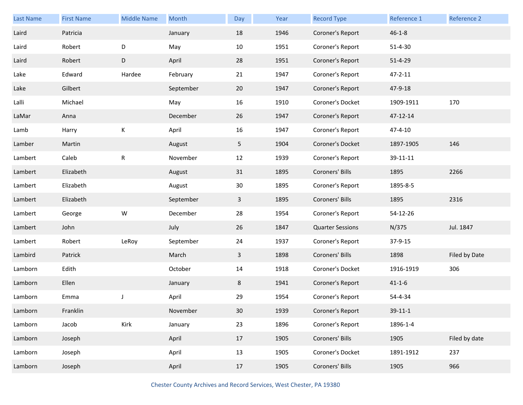| <b>Last Name</b> | <b>First Name</b> | <b>Middle Name</b> | Month     | Day | Year | <b>Record Type</b>      | Reference 1   | Reference 2   |
|------------------|-------------------|--------------------|-----------|-----|------|-------------------------|---------------|---------------|
| Laird            | Patricia          |                    | January   | 18  | 1946 | Coroner's Report        | $46 - 1 - 8$  |               |
| Laird            | Robert            | D                  | May       | 10  | 1951 | Coroner's Report        | $51 - 4 - 30$ |               |
| Laird            | Robert            | D                  | April     | 28  | 1951 | Coroner's Report        | $51 - 4 - 29$ |               |
| Lake             | Edward            | Hardee             | February  | 21  | 1947 | Coroner's Report        | $47 - 2 - 11$ |               |
| Lake             | Gilbert           |                    | September | 20  | 1947 | Coroner's Report        | 47-9-18       |               |
| Lalli            | Michael           |                    | May       | 16  | 1910 | Coroner's Docket        | 1909-1911     | 170           |
| LaMar            | Anna              |                    | December  | 26  | 1947 | Coroner's Report        | 47-12-14      |               |
| Lamb             | Harry             | К                  | April     | 16  | 1947 | Coroner's Report        | 47-4-10       |               |
| Lamber           | Martin            |                    | August    | 5   | 1904 | Coroner's Docket        | 1897-1905     | 146           |
| Lambert          | Caleb             | R                  | November  | 12  | 1939 | Coroner's Report        | 39-11-11      |               |
| Lambert          | Elizabeth         |                    | August    | 31  | 1895 | Coroners' Bills         | 1895          | 2266          |
| Lambert          | Elizabeth         |                    | August    | 30  | 1895 | Coroner's Report        | 1895-8-5      |               |
| Lambert          | Elizabeth         |                    | September | 3   | 1895 | Coroners' Bills         | 1895          | 2316          |
| Lambert          | George            | W                  | December  | 28  | 1954 | Coroner's Report        | 54-12-26      |               |
| Lambert          | John              |                    | July      | 26  | 1847 | <b>Quarter Sessions</b> | N/375         | Jul. 1847     |
| Lambert          | Robert            | LeRoy              | September | 24  | 1937 | Coroner's Report        | 37-9-15       |               |
| Lambird          | Patrick           |                    | March     | 3   | 1898 | Coroners' Bills         | 1898          | Filed by Date |
| Lamborn          | Edith             |                    | October   | 14  | 1918 | Coroner's Docket        | 1916-1919     | 306           |
| Lamborn          | Ellen             |                    | January   | 8   | 1941 | Coroner's Report        | $41 - 1 - 6$  |               |
| Lamborn          | Emma              | J                  | April     | 29  | 1954 | Coroner's Report        | 54-4-34       |               |
| Lamborn          | Franklin          |                    | November  | 30  | 1939 | Coroner's Report        | $39 - 11 - 1$ |               |
| Lamborn          | Jacob             | Kirk               | January   | 23  | 1896 | Coroner's Report        | 1896-1-4      |               |
| Lamborn          | Joseph            |                    | April     | 17  | 1905 | Coroners' Bills         | 1905          | Filed by date |
| Lamborn          | Joseph            |                    | April     | 13  | 1905 | Coroner's Docket        | 1891-1912     | 237           |
| Lamborn          | Joseph            |                    | April     | 17  | 1905 | Coroners' Bills         | 1905          | 966           |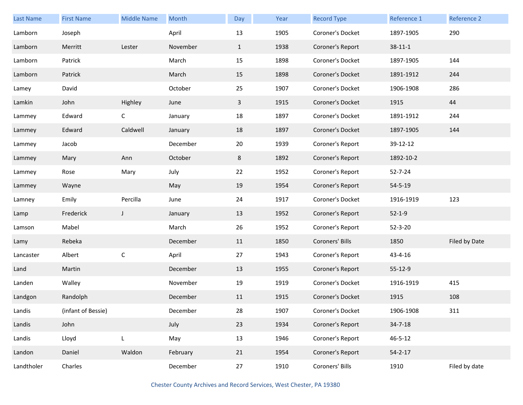| <b>Last Name</b> | <b>First Name</b>  | <b>Middle Name</b> | Month    | Day          | Year | <b>Record Type</b> | Reference 1   | Reference 2   |
|------------------|--------------------|--------------------|----------|--------------|------|--------------------|---------------|---------------|
| Lamborn          | Joseph             |                    | April    | 13           | 1905 | Coroner's Docket   | 1897-1905     | 290           |
| Lamborn          | Merritt            | Lester             | November | $\mathbf{1}$ | 1938 | Coroner's Report   | $38 - 11 - 1$ |               |
| Lamborn          | Patrick            |                    | March    | 15           | 1898 | Coroner's Docket   | 1897-1905     | 144           |
| Lamborn          | Patrick            |                    | March    | 15           | 1898 | Coroner's Docket   | 1891-1912     | 244           |
| Lamey            | David              |                    | October  | 25           | 1907 | Coroner's Docket   | 1906-1908     | 286           |
| Lamkin           | John               | Highley            | June     | 3            | 1915 | Coroner's Docket   | 1915          | 44            |
| Lammey           | Edward             | $\mathsf{C}$       | January  | 18           | 1897 | Coroner's Docket   | 1891-1912     | 244           |
| Lammey           | Edward             | Caldwell           | January  | 18           | 1897 | Coroner's Docket   | 1897-1905     | 144           |
| Lammey           | Jacob              |                    | December | 20           | 1939 | Coroner's Report   | 39-12-12      |               |
| Lammey           | Mary               | Ann                | October  | 8            | 1892 | Coroner's Report   | 1892-10-2     |               |
| Lammey           | Rose               | Mary               | July     | 22           | 1952 | Coroner's Report   | $52 - 7 - 24$ |               |
| Lammey           | Wayne              |                    | May      | 19           | 1954 | Coroner's Report   | $54 - 5 - 19$ |               |
| Lamney           | Emily              | Percilla           | June     | 24           | 1917 | Coroner's Docket   | 1916-1919     | 123           |
| Lamp             | Frederick          | $\mathsf{J}$       | January  | 13           | 1952 | Coroner's Report   | $52 - 1 - 9$  |               |
| Lamson           | Mabel              |                    | March    | 26           | 1952 | Coroner's Report   | $52 - 3 - 20$ |               |
| Lamy             | Rebeka             |                    | December | 11           | 1850 | Coroners' Bills    | 1850          | Filed by Date |
| Lancaster        | Albert             | $\mathsf C$        | April    | 27           | 1943 | Coroner's Report   | 43-4-16       |               |
| Land             | Martin             |                    | December | 13           | 1955 | Coroner's Report   | 55-12-9       |               |
| Landen           | Walley             |                    | November | 19           | 1919 | Coroner's Docket   | 1916-1919     | 415           |
| Landgon          | Randolph           |                    | December | 11           | 1915 | Coroner's Docket   | 1915          | 108           |
| Landis           | (infant of Bessie) |                    | December | 28           | 1907 | Coroner's Docket   | 1906-1908     | 311           |
| Landis           | John               |                    | July     | 23           | 1934 | Coroner's Report   | $34 - 7 - 18$ |               |
| Landis           | Lloyd              | L                  | May      | 13           | 1946 | Coroner's Report   | $46 - 5 - 12$ |               |
| Landon           | Daniel             | Waldon             | February | 21           | 1954 | Coroner's Report   | $54 - 2 - 17$ |               |
| Landtholer       | Charles            |                    | December | 27           | 1910 | Coroners' Bills    | 1910          | Filed by date |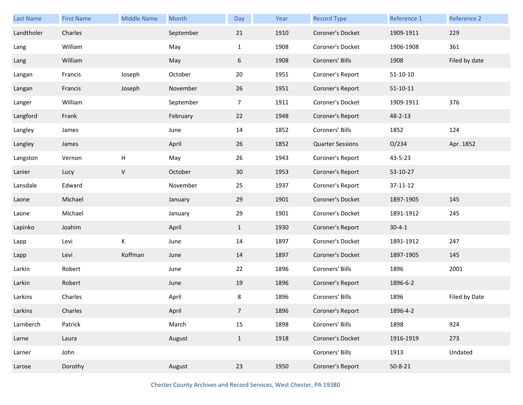| Last Name  | <b>First Name</b> | <b>Middle Name</b> | Month     | Day            | Year | <b>Record Type</b>      | Reference 1    | Reference 2   |
|------------|-------------------|--------------------|-----------|----------------|------|-------------------------|----------------|---------------|
| Landtholer | Charles           |                    | September | 21             | 1910 | Coroner's Docket        | 1909-1911      | 229           |
| Lang       | William           |                    | May       | $\mathbf{1}$   | 1908 | Coroner's Docket        | 1906-1908      | 361           |
| Lang       | William           |                    | May       | 6              | 1908 | Coroners' Bills         | 1908           | Filed by date |
| Langan     | Francis           | Joseph             | October   | 20             | 1951 | Coroner's Report        | $51 - 10 - 10$ |               |
| Langan     | Francis           | Joseph             | November  | 26             | 1951 | Coroner's Report        | $51 - 10 - 11$ |               |
| Langer     | William           |                    | September | $\overline{7}$ | 1911 | Coroner's Docket        | 1909-1911      | 376           |
| Langford   | Frank             |                    | February  | 22             | 1948 | Coroner's Report        | 48-2-13        |               |
| Langley    | James             |                    | June      | 14             | 1852 | Coroners' Bills         | 1852           | 124           |
| Langley    | James             |                    | April     | 26             | 1852 | <b>Quarter Sessions</b> | O/234          | Apr. 1852     |
| Langston   | Vernon            | H                  | May       | 26             | 1943 | Coroner's Report        | 43-5-23        |               |
| Lanier     | Lucy              | $\mathsf V$        | October   | 30             | 1953 | Coroner's Report        | 53-10-27       |               |
| Lansdale   | Edward            |                    | November  | 25             | 1937 | Coroner's Report        | 37-11-12       |               |
| Laone      | Michael           |                    | January   | 29             | 1901 | Coroner's Docket        | 1897-1905      | 145           |
| Laone      | Michael           |                    | January   | 29             | 1901 | Coroner's Docket        | 1891-1912      | 245           |
| Lapinko    | Joahim            |                    | April     | $\mathbf{1}$   | 1930 | Coroner's Report        | $30 - 4 - 1$   |               |
| Lapp       | Levi              | К                  | June      | 14             | 1897 | Coroner's Docket        | 1891-1912      | 247           |
| Lapp       | Levi              | Koffman            | June      | 14             | 1897 | Coroner's Docket        | 1897-1905      | 145           |
| Larkin     | Robert            |                    | June      | 22             | 1896 | Coroners' Bills         | 1896           | 2001          |
| Larkin     | Robert            |                    | June      | 19             | 1896 | Coroner's Report        | 1896-6-2       |               |
| Larkins    | Charles           |                    | April     | 8              | 1896 | Coroners' Bills         | 1896           | Filed by Date |
| Larkins    | Charles           |                    | April     | $\overline{7}$ | 1896 | Coroner's Report        | 1896-4-2       |               |
| Larnberch  | Patrick           |                    | March     | 15             | 1898 | Coroners' Bills         | 1898           | 924           |
| Larne      | Laura             |                    | August    | $\mathbf{1}$   | 1918 | Coroner's Docket        | 1916-1919      | 273           |
| Larner     | John              |                    |           |                |      | Coroners' Bills         | 1913           | Undated       |
| Larose     | Dorothy           |                    | August    | 23             | 1950 | Coroner's Report        | $50 - 8 - 21$  |               |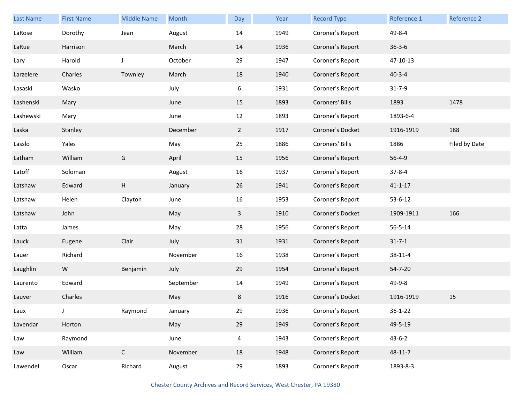| <b>Last Name</b> | <b>First Name</b> | <b>Middle Name</b> | Month     | Day            | Year | <b>Record Type</b> | Reference 1   | Reference 2   |
|------------------|-------------------|--------------------|-----------|----------------|------|--------------------|---------------|---------------|
| LaRose           | Dorothy           | Jean               | August    | 14             | 1949 | Coroner's Report   | 49-8-4        |               |
| LaRue            | Harrison          |                    | March     | 14             | 1936 | Coroner's Report   | $36 - 3 - 6$  |               |
| Lary             | Harold            | $\mathsf{J}$       | October   | 29             | 1947 | Coroner's Report   | 47-10-13      |               |
| Larzelere        | Charles           | Townley            | March     | 18             | 1940 | Coroner's Report   | $40 - 3 - 4$  |               |
| Lasaski          | Wasko             |                    | July      | 6              | 1931 | Coroner's Report   | $31 - 7 - 9$  |               |
| Lashenski        | Mary              |                    | June      | 15             | 1893 | Coroners' Bills    | 1893          | 1478          |
| Lashewski        | Mary              |                    | June      | 12             | 1893 | Coroner's Report   | 1893-6-4      |               |
| Laska            | Stanley           |                    | December  | $\mathbf{2}$   | 1917 | Coroner's Docket   | 1916-1919     | 188           |
| Lasslo           | Yales             |                    | May       | 25             | 1886 | Coroners' Bills    | 1886          | Filed by Date |
| Latham           | William           | G                  | April     | 15             | 1956 | Coroner's Report   | $56 - 4 - 9$  |               |
| Latoff           | Soloman           |                    | August    | 16             | 1937 | Coroner's Report   | $37 - 8 - 4$  |               |
| Latshaw          | Edward            | H                  | January   | 26             | 1941 | Coroner's Report   | $41 - 1 - 17$ |               |
| Latshaw          | Helen             | Clayton            | June      | 16             | 1953 | Coroner's Report   | $53 - 6 - 12$ |               |
| Latshaw          | John              |                    | May       | $\mathbf{3}$   | 1910 | Coroner's Docket   | 1909-1911     | 166           |
| Latta            | James             |                    | May       | 28             | 1956 | Coroner's Report   | $56 - 5 - 14$ |               |
| Lauck            | Eugene            | Clair              | July      | 31             | 1931 | Coroner's Report   | $31 - 7 - 1$  |               |
| Lauer            | Richard           |                    | November  | 16             | 1938 | Coroner's Report   | 38-11-4       |               |
| Laughlin         | W                 | Benjamin           | July      | 29             | 1954 | Coroner's Report   | 54-7-20       |               |
| Laurento         | Edward            |                    | September | 14             | 1949 | Coroner's Report   | 49-9-8        |               |
| Lauver           | Charles           |                    | May       | 8              | 1916 | Coroner's Docket   | 1916-1919     | 15            |
| Laux             | J                 | Raymond            | January   | 29             | 1936 | Coroner's Report   | $36 - 1 - 22$ |               |
| Lavendar         | Horton            |                    | May       | 29             | 1949 | Coroner's Report   | 49-5-19       |               |
| Law              | Raymond           |                    | June      | $\overline{4}$ | 1943 | Coroner's Report   | $43 - 6 - 2$  |               |
| Law              | William           | $\mathsf C$        | November  | 18             | 1948 | Coroner's Report   | 48-11-7       |               |
| Lawendel         | Oscar             | Richard            | August    | 29             | 1893 | Coroner's Report   | 1893-8-3      |               |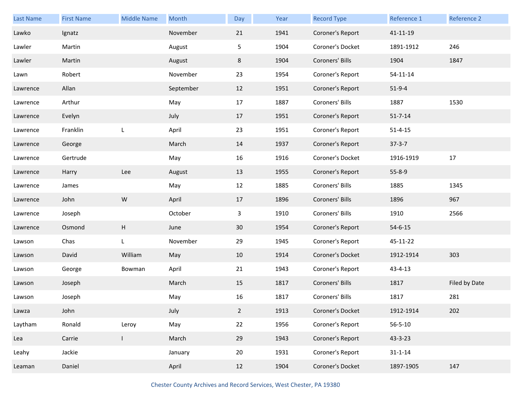| <b>Last Name</b> | <b>First Name</b> | <b>Middle Name</b> | Month     | Day            | Year | <b>Record Type</b> | Reference 1    | Reference 2   |
|------------------|-------------------|--------------------|-----------|----------------|------|--------------------|----------------|---------------|
| Lawko            | Ignatz            |                    | November  | 21             | 1941 | Coroner's Report   | 41-11-19       |               |
| Lawler           | Martin            |                    | August    | 5              | 1904 | Coroner's Docket   | 1891-1912      | 246           |
| Lawler           | Martin            |                    | August    | 8              | 1904 | Coroners' Bills    | 1904           | 1847          |
| Lawn             | Robert            |                    | November  | 23             | 1954 | Coroner's Report   | $54 - 11 - 14$ |               |
| Lawrence         | Allan             |                    | September | 12             | 1951 | Coroner's Report   | $51-9-4$       |               |
| Lawrence         | Arthur            |                    | May       | 17             | 1887 | Coroners' Bills    | 1887           | 1530          |
| Lawrence         | Evelyn            |                    | July      | 17             | 1951 | Coroner's Report   | $51 - 7 - 14$  |               |
| Lawrence         | Franklin          | L                  | April     | 23             | 1951 | Coroner's Report   | $51 - 4 - 15$  |               |
| Lawrence         | George            |                    | March     | 14             | 1937 | Coroner's Report   | $37 - 3 - 7$   |               |
| Lawrence         | Gertrude          |                    | May       | 16             | 1916 | Coroner's Docket   | 1916-1919      | 17            |
| Lawrence         | Harry             | Lee                | August    | 13             | 1955 | Coroner's Report   | $55 - 8 - 9$   |               |
| Lawrence         | James             |                    | May       | 12             | 1885 | Coroners' Bills    | 1885           | 1345          |
| Lawrence         | John              | ${\sf W}$          | April     | 17             | 1896 | Coroners' Bills    | 1896           | 967           |
| Lawrence         | Joseph            |                    | October   | 3              | 1910 | Coroners' Bills    | 1910           | 2566          |
| Lawrence         | Osmond            | Н                  | June      | 30             | 1954 | Coroner's Report   | $54 - 6 - 15$  |               |
| Lawson           | Chas              | L                  | November  | 29             | 1945 | Coroner's Report   | 45-11-22       |               |
| Lawson           | David             | William            | May       | 10             | 1914 | Coroner's Docket   | 1912-1914      | 303           |
| Lawson           | George            | Bowman             | April     | 21             | 1943 | Coroner's Report   | 43-4-13        |               |
| Lawson           | Joseph            |                    | March     | 15             | 1817 | Coroners' Bills    | 1817           | Filed by Date |
| Lawson           | Joseph            |                    | May       | 16             | 1817 | Coroners' Bills    | 1817           | 281           |
| Lawza            | John              |                    | July      | $\overline{2}$ | 1913 | Coroner's Docket   | 1912-1914      | 202           |
| Laytham          | Ronald            | Leroy              | May       | 22             | 1956 | Coroner's Report   | $56 - 5 - 10$  |               |
| Lea              | Carrie            | I                  | March     | 29             | 1943 | Coroner's Report   | 43-3-23        |               |
| Leahy            | Jackie            |                    | January   | 20             | 1931 | Coroner's Report   | $31 - 1 - 14$  |               |
| Leaman           | Daniel            |                    | April     | 12             | 1904 | Coroner's Docket   | 1897-1905      | 147           |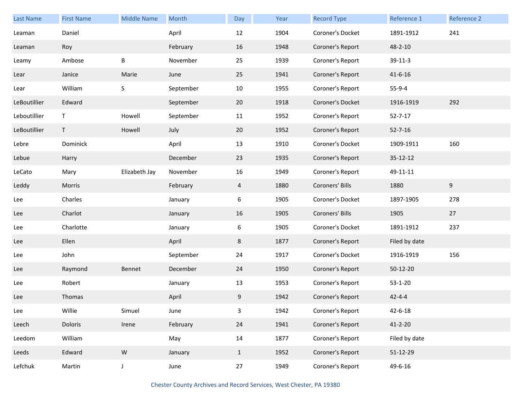| <b>Last Name</b> | <b>First Name</b> | <b>Middle Name</b> | Month     | Day          | Year | <b>Record Type</b> | Reference 1   | Reference 2 |
|------------------|-------------------|--------------------|-----------|--------------|------|--------------------|---------------|-------------|
| Leaman           | Daniel            |                    | April     | 12           | 1904 | Coroner's Docket   | 1891-1912     | 241         |
| Leaman           | Roy               |                    | February  | 16           | 1948 | Coroner's Report   | 48-2-10       |             |
| Leamy            | Ambose            | В                  | November  | 25           | 1939 | Coroner's Report   | 39-11-3       |             |
| Lear             | Janice            | Marie              | June      | 25           | 1941 | Coroner's Report   | $41 - 6 - 16$ |             |
| Lear             | William           | $\mathsf S$        | September | 10           | 1955 | Coroner's Report   | $55-9-4$      |             |
| LeBoutillier     | Edward            |                    | September | 20           | 1918 | Coroner's Docket   | 1916-1919     | 292         |
| Leboutillier     | T                 | Howell             | September | 11           | 1952 | Coroner's Report   | $52 - 7 - 17$ |             |
| LeBoutillier     | T.                | Howell             | July      | 20           | 1952 | Coroner's Report   | $52 - 7 - 16$ |             |
| Lebre            | Dominick          |                    | April     | 13           | 1910 | Coroner's Docket   | 1909-1911     | 160         |
| Lebue            | Harry             |                    | December  | 23           | 1935 | Coroner's Report   | 35-12-12      |             |
| LeCato           | Mary              | Elizabeth Jay      | November  | 16           | 1949 | Coroner's Report   | 49-11-11      |             |
| Leddy            | Morris            |                    | February  | 4            | 1880 | Coroners' Bills    | 1880          | 9           |
| Lee              | Charles           |                    | January   | 6            | 1905 | Coroner's Docket   | 1897-1905     | 278         |
| Lee              | Charlot           |                    | January   | 16           | 1905 | Coroners' Bills    | 1905          | 27          |
| Lee              | Charlotte         |                    | January   | 6            | 1905 | Coroner's Docket   | 1891-1912     | 237         |
| Lee              | Ellen             |                    | April     | 8            | 1877 | Coroner's Report   | Filed by date |             |
| Lee              | John              |                    | September | 24           | 1917 | Coroner's Docket   | 1916-1919     | 156         |
| Lee              | Raymond           | Bennet             | December  | 24           | 1950 | Coroner's Report   | 50-12-20      |             |
| Lee              | Robert            |                    | January   | 13           | 1953 | Coroner's Report   | $53 - 1 - 20$ |             |
| Lee              | Thomas            |                    | April     | 9            | 1942 | Coroner's Report   | $42 - 4 - 4$  |             |
| Lee              | Willie            | Simuel             | June      | 3            | 1942 | Coroner's Report   | $42 - 6 - 18$ |             |
| Leech            | Doloris           | Irene              | February  | 24           | 1941 | Coroner's Report   | $41 - 2 - 20$ |             |
| Leedom           | William           |                    | May       | 14           | 1877 | Coroner's Report   | Filed by date |             |
| Leeds            | Edward            | ${\sf W}$          | January   | $\mathbf{1}$ | 1952 | Coroner's Report   | 51-12-29      |             |
| Lefchuk          | Martin            | $\mathsf J$        | June      | 27           | 1949 | Coroner's Report   | 49-6-16       |             |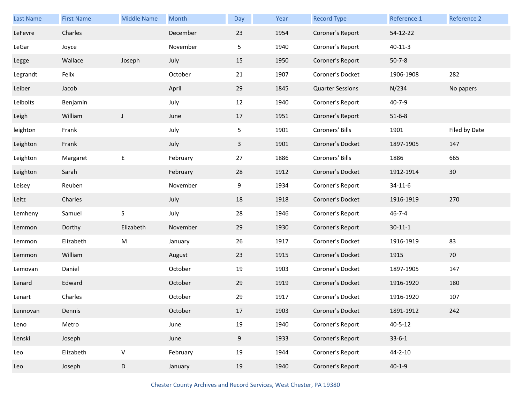| Last Name | <b>First Name</b> | <b>Middle Name</b> | Month    | Day          | Year | <b>Record Type</b>      | Reference 1   | <b>Reference 2</b> |
|-----------|-------------------|--------------------|----------|--------------|------|-------------------------|---------------|--------------------|
| LeFevre   | Charles           |                    | December | 23           | 1954 | Coroner's Report        | 54-12-22      |                    |
| LeGar     | Joyce             |                    | November | 5            | 1940 | Coroner's Report        | $40 - 11 - 3$ |                    |
| Legge     | Wallace           | Joseph             | July     | 15           | 1950 | Coroner's Report        | $50 - 7 - 8$  |                    |
| Legrandt  | Felix             |                    | October  | 21           | 1907 | Coroner's Docket        | 1906-1908     | 282                |
| Leiber    | Jacob             |                    | April    | 29           | 1845 | <b>Quarter Sessions</b> | N/234         | No papers          |
| Leibolts  | Benjamin          |                    | July     | 12           | 1940 | Coroner's Report        | $40 - 7 - 9$  |                    |
| Leigh     | William           | $\mathsf J$        | June     | 17           | 1951 | Coroner's Report        | $51 - 6 - 8$  |                    |
| leighton  | Frank             |                    | July     | 5            | 1901 | Coroners' Bills         | 1901          | Filed by Date      |
| Leighton  | Frank             |                    | July     | $\mathbf{3}$ | 1901 | Coroner's Docket        | 1897-1905     | 147                |
| Leighton  | Margaret          | E                  | February | 27           | 1886 | Coroners' Bills         | 1886          | 665                |
| Leighton  | Sarah             |                    | February | 28           | 1912 | Coroner's Docket        | 1912-1914     | 30                 |
| Leisey    | Reuben            |                    | November | 9            | 1934 | Coroner's Report        | $34 - 11 - 6$ |                    |
| Leitz     | Charles           |                    | July     | 18           | 1918 | Coroner's Docket        | 1916-1919     | 270                |
| Lemheny   | Samuel            | S                  | July     | 28           | 1946 | Coroner's Report        | $46 - 7 - 4$  |                    |
| Lemmon    | Dorthy            | Elizabeth          | November | 29           | 1930 | Coroner's Report        | $30 - 11 - 1$ |                    |
| Lemmon    | Elizabeth         | ${\sf M}$          | January  | 26           | 1917 | Coroner's Docket        | 1916-1919     | 83                 |
| Lemmon    | William           |                    | August   | 23           | 1915 | Coroner's Docket        | 1915          | 70                 |
| Lemovan   | Daniel            |                    | October  | 19           | 1903 | Coroner's Docket        | 1897-1905     | 147                |
| Lenard    | Edward            |                    | October  | 29           | 1919 | Coroner's Docket        | 1916-1920     | 180                |
| Lenart    | Charles           |                    | October  | 29           | 1917 | Coroner's Docket        | 1916-1920     | 107                |
| Lennovan  | Dennis            |                    | October  | 17           | 1903 | Coroner's Docket        | 1891-1912     | 242                |
| Leno      | Metro             |                    | June     | 19           | 1940 | Coroner's Report        | $40 - 5 - 12$ |                    |
| Lenski    | Joseph            |                    | June     | 9            | 1933 | Coroner's Report        | $33-6-1$      |                    |
| Leo       | Elizabeth         | $\sf V$            | February | 19           | 1944 | Coroner's Report        | $44 - 2 - 10$ |                    |
| Leo       | Joseph            | D                  | January  | 19           | 1940 | Coroner's Report        | $40 - 1 - 9$  |                    |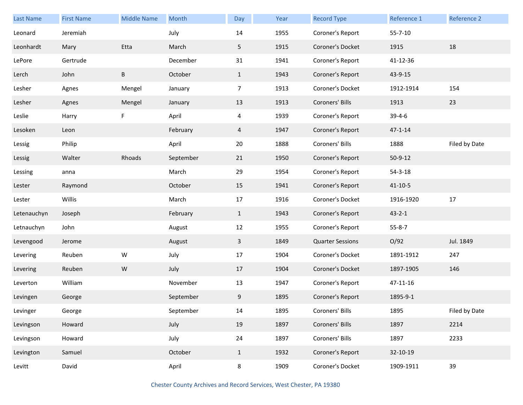| Last Name   | <b>First Name</b> | <b>Middle Name</b> | Month     | Day            | Year | <b>Record Type</b>      | Reference 1   | Reference 2   |
|-------------|-------------------|--------------------|-----------|----------------|------|-------------------------|---------------|---------------|
| Leonard     | Jeremiah          |                    | July      | 14             | 1955 | Coroner's Report        | $55 - 7 - 10$ |               |
| Leonhardt   | Mary              | Etta               | March     | 5              | 1915 | Coroner's Docket        | 1915          | 18            |
| LePore      | Gertrude          |                    | December  | 31             | 1941 | Coroner's Report        | 41-12-36      |               |
| Lerch       | John              | B                  | October   | $\mathbf{1}$   | 1943 | Coroner's Report        | 43-9-15       |               |
| Lesher      | Agnes             | Mengel             | January   | $\overline{7}$ | 1913 | Coroner's Docket        | 1912-1914     | 154           |
| Lesher      | Agnes             | Mengel             | January   | 13             | 1913 | Coroners' Bills         | 1913          | 23            |
| Leslie      | Harry             | F                  | April     | 4              | 1939 | Coroner's Report        | $39 - 4 - 6$  |               |
| Lesoken     | Leon              |                    | February  | $\overline{4}$ | 1947 | Coroner's Report        | $47 - 1 - 14$ |               |
| Lessig      | Philip            |                    | April     | 20             | 1888 | Coroners' Bills         | 1888          | Filed by Date |
| Lessig      | Walter            | Rhoads             | September | 21             | 1950 | Coroner's Report        | $50 - 9 - 12$ |               |
| Lessing     | anna              |                    | March     | 29             | 1954 | Coroner's Report        | $54 - 3 - 18$ |               |
| Lester      | Raymond           |                    | October   | 15             | 1941 | Coroner's Report        | $41 - 10 - 5$ |               |
| Lester      | Willis            |                    | March     | 17             | 1916 | Coroner's Docket        | 1916-1920     | $17\,$        |
| Letenauchyn | Joseph            |                    | February  | $\mathbf{1}$   | 1943 | Coroner's Report        | $43 - 2 - 1$  |               |
| Letnauchyn  | John              |                    | August    | 12             | 1955 | Coroner's Report        | $55 - 8 - 7$  |               |
| Levengood   | Jerome            |                    | August    | 3              | 1849 | <b>Quarter Sessions</b> | O/92          | Jul. 1849     |
| Levering    | Reuben            | ${\sf W}$          | July      | 17             | 1904 | Coroner's Docket        | 1891-1912     | 247           |
| Levering    | Reuben            | ${\sf W}$          | July      | 17             | 1904 | Coroner's Docket        | 1897-1905     | 146           |
| Leverton    | William           |                    | November  | 13             | 1947 | Coroner's Report        | 47-11-16      |               |
| Levingen    | George            |                    | September | 9              | 1895 | Coroner's Report        | 1895-9-1      |               |
| Levinger    | George            |                    | September | 14             | 1895 | Coroners' Bills         | 1895          | Filed by Date |
| Levingson   | Howard            |                    | July      | 19             | 1897 | Coroners' Bills         | 1897          | 2214          |
| Levingson   | Howard            |                    | July      | 24             | 1897 | Coroners' Bills         | 1897          | 2233          |
| Levington   | Samuel            |                    | October   | $\mathbf{1}$   | 1932 | Coroner's Report        | 32-10-19      |               |
| Levitt      | David             |                    | April     | $8\phantom{1}$ | 1909 | Coroner's Docket        | 1909-1911     | 39            |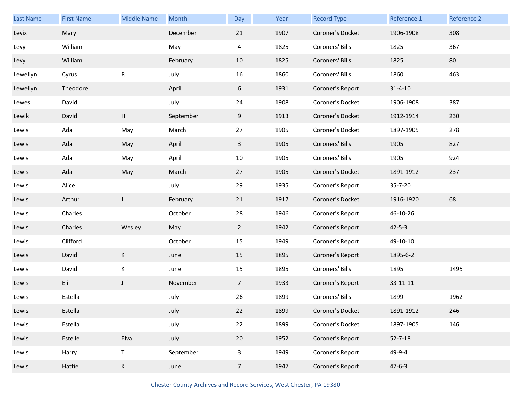| Last Name | <b>First Name</b> | <b>Middle Name</b> | Month     | Day            | Year | <b>Record Type</b> | Reference 1   | Reference 2 |
|-----------|-------------------|--------------------|-----------|----------------|------|--------------------|---------------|-------------|
| Levix     | Mary              |                    | December  | 21             | 1907 | Coroner's Docket   | 1906-1908     | 308         |
| Levy      | William           |                    | May       | 4              | 1825 | Coroners' Bills    | 1825          | 367         |
| Levy      | William           |                    | February  | 10             | 1825 | Coroners' Bills    | 1825          | 80          |
| Lewellyn  | Cyrus             | R                  | July      | 16             | 1860 | Coroners' Bills    | 1860          | 463         |
| Lewellyn  | Theodore          |                    | April     | 6              | 1931 | Coroner's Report   | $31 - 4 - 10$ |             |
| Lewes     | David             |                    | July      | 24             | 1908 | Coroner's Docket   | 1906-1908     | 387         |
| Lewik     | David             | Н                  | September | 9              | 1913 | Coroner's Docket   | 1912-1914     | 230         |
| Lewis     | Ada               | May                | March     | 27             | 1905 | Coroner's Docket   | 1897-1905     | 278         |
| Lewis     | Ada               | May                | April     | $\mathbf{3}$   | 1905 | Coroners' Bills    | 1905          | 827         |
| Lewis     | Ada               | May                | April     | 10             | 1905 | Coroners' Bills    | 1905          | 924         |
| Lewis     | Ada               | May                | March     | 27             | 1905 | Coroner's Docket   | 1891-1912     | 237         |
| Lewis     | Alice             |                    | July      | 29             | 1935 | Coroner's Report   | 35-7-20       |             |
| Lewis     | Arthur            | $\mathsf J$        | February  | 21             | 1917 | Coroner's Docket   | 1916-1920     | 68          |
| Lewis     | Charles           |                    | October   | 28             | 1946 | Coroner's Report   | 46-10-26      |             |
| Lewis     | Charles           | Wesley             | May       | $\overline{2}$ | 1942 | Coroner's Report   | $42 - 5 - 3$  |             |
| Lewis     | Clifford          |                    | October   | 15             | 1949 | Coroner's Report   | 49-10-10      |             |
| Lewis     | David             | K                  | June      | 15             | 1895 | Coroner's Report   | 1895-6-2      |             |
| Lewis     | David             | K                  | June      | 15             | 1895 | Coroners' Bills    | 1895          | 1495        |
| Lewis     | Eli               | J                  | November  | $\overline{7}$ | 1933 | Coroner's Report   | 33-11-11      |             |
| Lewis     | Estella           |                    | July      | 26             | 1899 | Coroners' Bills    | 1899          | 1962        |
| Lewis     | Estella           |                    | July      | 22             | 1899 | Coroner's Docket   | 1891-1912     | 246         |
| Lewis     | Estella           |                    | July      | 22             | 1899 | Coroner's Docket   | 1897-1905     | 146         |
| Lewis     | Estelle           | Elva               | July      | 20             | 1952 | Coroner's Report   | $52 - 7 - 18$ |             |
| Lewis     | Harry             | $\mathsf T$        | September | 3              | 1949 | Coroner's Report   | 49-9-4        |             |
| Lewis     | Hattie            | K                  | June      | $\overline{7}$ | 1947 | Coroner's Report   | $47 - 6 - 3$  |             |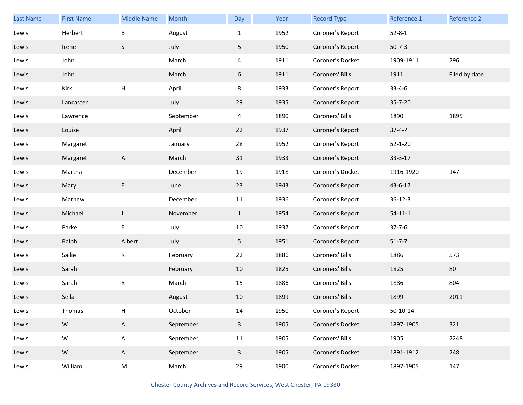| Last Name | <b>First Name</b> | <b>Middle Name</b> | Month     | Day            | Year | <b>Record Type</b> | Reference 1    | Reference 2   |
|-----------|-------------------|--------------------|-----------|----------------|------|--------------------|----------------|---------------|
| Lewis     | Herbert           | B                  | August    | $\mathbf{1}$   | 1952 | Coroner's Report   | $52 - 8 - 1$   |               |
| Lewis     | Irene             | S                  | July      | 5              | 1950 | Coroner's Report   | $50 - 7 - 3$   |               |
| Lewis     | John              |                    | March     | $\overline{4}$ | 1911 | Coroner's Docket   | 1909-1911      | 296           |
| Lewis     | John              |                    | March     | 6              | 1911 | Coroners' Bills    | 1911           | Filed by date |
| Lewis     | Kirk              | $\mathsf{H}%$      | April     | 8              | 1933 | Coroner's Report   | $33 - 4 - 6$   |               |
| Lewis     | Lancaster         |                    | July      | 29             | 1935 | Coroner's Report   | 35-7-20        |               |
| Lewis     | Lawrence          |                    | September | 4              | 1890 | Coroners' Bills    | 1890           | 1895          |
| Lewis     | Louise            |                    | April     | 22             | 1937 | Coroner's Report   | $37 - 4 - 7$   |               |
| Lewis     | Margaret          |                    | January   | 28             | 1952 | Coroner's Report   | $52 - 1 - 20$  |               |
| Lewis     | Margaret          | A                  | March     | 31             | 1933 | Coroner's Report   | $33 - 3 - 17$  |               |
| Lewis     | Martha            |                    | December  | 19             | 1918 | Coroner's Docket   | 1916-1920      | 147           |
| Lewis     | Mary              | E                  | June      | 23             | 1943 | Coroner's Report   | 43-6-17        |               |
| Lewis     | Mathew            |                    | December  | 11             | 1936 | Coroner's Report   | $36 - 12 - 3$  |               |
| Lewis     | Michael           | J                  | November  | $\mathbf{1}$   | 1954 | Coroner's Report   | $54 - 11 - 1$  |               |
| Lewis     | Parke             | E                  | July      | $10\,$         | 1937 | Coroner's Report   | $37 - 7 - 6$   |               |
| Lewis     | Ralph             | Albert             | July      | 5              | 1951 | Coroner's Report   | $51 - 7 - 7$   |               |
| Lewis     | Sallie            | $\mathsf R$        | February  | 22             | 1886 | Coroners' Bills    | 1886           | 573           |
| Lewis     | Sarah             |                    | February  | 10             | 1825 | Coroners' Bills    | 1825           | 80            |
| Lewis     | Sarah             | ${\sf R}$          | March     | 15             | 1886 | Coroners' Bills    | 1886           | 804           |
| Lewis     | Sella             |                    | August    | 10             | 1899 | Coroners' Bills    | 1899           | 2011          |
| Lewis     | Thomas            | Н                  | October   | 14             | 1950 | Coroner's Report   | $50 - 10 - 14$ |               |
| Lewis     | ${\mathsf W}$     | $\mathsf{A}$       | September | $\mathbf{3}$   | 1905 | Coroner's Docket   | 1897-1905      | 321           |
| Lewis     | ${\sf W}$         | A                  | September | 11             | 1905 | Coroners' Bills    | 1905           | 2248          |
| Lewis     | ${\sf W}$         | $\mathsf{A}$       | September | $\mathbf{3}$   | 1905 | Coroner's Docket   | 1891-1912      | 248           |
| Lewis     | William           | M                  | March     | 29             | 1900 | Coroner's Docket   | 1897-1905      | 147           |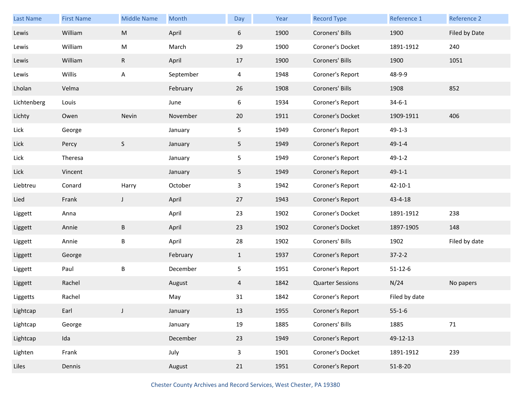| Last Name   | <b>First Name</b> | <b>Middle Name</b> | Month     | Day            | Year | <b>Record Type</b>      | Reference 1   | Reference 2   |
|-------------|-------------------|--------------------|-----------|----------------|------|-------------------------|---------------|---------------|
| Lewis       | William           | M                  | April     | 6              | 1900 | Coroners' Bills         | 1900          | Filed by Date |
| Lewis       | William           | M                  | March     | 29             | 1900 | Coroner's Docket        | 1891-1912     | 240           |
| Lewis       | William           | $\mathsf{R}$       | April     | 17             | 1900 | Coroners' Bills         | 1900          | 1051          |
| Lewis       | Willis            | Α                  | September | 4              | 1948 | Coroner's Report        | 48-9-9        |               |
| Lholan      | Velma             |                    | February  | 26             | 1908 | Coroners' Bills         | 1908          | 852           |
| Lichtenberg | Louis             |                    | June      | 6              | 1934 | Coroner's Report        | $34 - 6 - 1$  |               |
| Lichty      | Owen              | Nevin              | November  | 20             | 1911 | Coroner's Docket        | 1909-1911     | 406           |
| Lick        | George            |                    | January   | 5              | 1949 | Coroner's Report        | $49 - 1 - 3$  |               |
| Lick        | Percy             | S                  | January   | 5 <sub>1</sub> | 1949 | Coroner's Report        | $49 - 1 - 4$  |               |
| Lick        | Theresa           |                    | January   | 5              | 1949 | Coroner's Report        | $49 - 1 - 2$  |               |
| Lick        | Vincent           |                    | January   | 5 <sub>1</sub> | 1949 | Coroner's Report        | $49 - 1 - 1$  |               |
| Liebtreu    | Conard            | Harry              | October   | 3              | 1942 | Coroner's Report        | $42 - 10 - 1$ |               |
| Lied        | Frank             | J                  | April     | 27             | 1943 | Coroner's Report        | 43-4-18       |               |
| Liggett     | Anna              |                    | April     | 23             | 1902 | Coroner's Docket        | 1891-1912     | 238           |
| Liggett     | Annie             | $\sf B$            | April     | 23             | 1902 | Coroner's Docket        | 1897-1905     | 148           |
| Liggett     | Annie             | Β                  | April     | 28             | 1902 | Coroners' Bills         | 1902          | Filed by date |
| Liggett     | George            |                    | February  | $\mathbf{1}$   | 1937 | Coroner's Report        | $37 - 2 - 2$  |               |
| Liggett     | Paul              | B                  | December  | 5              | 1951 | Coroner's Report        | $51 - 12 - 6$ |               |
| Liggett     | Rachel            |                    | August    | 4              | 1842 | <b>Quarter Sessions</b> | N/24          | No papers     |
| Liggetts    | Rachel            |                    | May       | 31             | 1842 | Coroner's Report        | Filed by date |               |
| Lightcap    | Earl              | J                  | January   | 13             | 1955 | Coroner's Report        | $55 - 1 - 6$  |               |
| Lightcap    | George            |                    | January   | 19             | 1885 | Coroners' Bills         | 1885          | $71$          |
| Lightcap    | Ida               |                    | December  | 23             | 1949 | Coroner's Report        | 49-12-13      |               |
| Lighten     | Frank             |                    | July      | $\mathbf{3}$   | 1901 | Coroner's Docket        | 1891-1912     | 239           |
| Liles       | Dennis            |                    | August    | 21             | 1951 | Coroner's Report        | $51 - 8 - 20$ |               |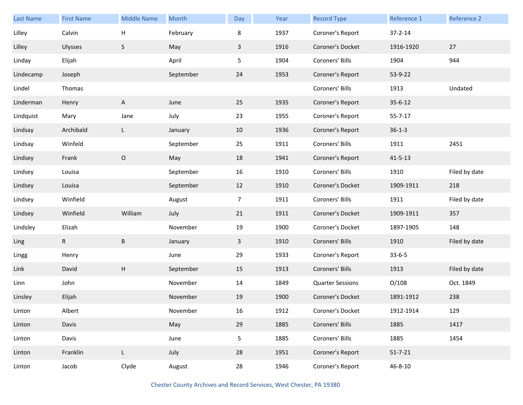| Last Name | <b>First Name</b> | <b>Middle Name</b>        | Month     | Day            | Year | <b>Record Type</b>      | Reference 1   | Reference 2   |
|-----------|-------------------|---------------------------|-----------|----------------|------|-------------------------|---------------|---------------|
| Lilley    | Calvin            | Н                         | February  | 8              | 1937 | Coroner's Report        | $37 - 2 - 14$ |               |
| Lilley    | <b>Ulysses</b>    | $\mathsf S$               | May       | $\mathbf{3}$   | 1916 | Coroner's Docket        | 1916-1920     | 27            |
| Linday    | Elijah            |                           | April     | 5              | 1904 | Coroners' Bills         | 1904          | 944           |
| Lindecamp | Joseph            |                           | September | 24             | 1953 | Coroner's Report        | 53-9-22       |               |
| Lindel    | Thomas            |                           |           |                |      | Coroners' Bills         | 1913          | Undated       |
| Linderman | Henry             | A                         | June      | 25             | 1935 | Coroner's Report        | $35 - 6 - 12$ |               |
| Lindquist | Mary              | Jane                      | July      | 23             | 1955 | Coroner's Report        | $55 - 7 - 17$ |               |
| Lindsay   | Archibald         | L.                        | January   | 10             | 1936 | Coroner's Report        | $36 - 1 - 3$  |               |
| Lindsay   | Winfeld           |                           | September | 25             | 1911 | Coroners' Bills         | 1911          | 2451          |
| Lindsey   | Frank             | $\mathsf O$               | May       | 18             | 1941 | Coroner's Report        | $41 - 5 - 13$ |               |
| Lindsey   | Louisa            |                           | September | 16             | 1910 | Coroners' Bills         | 1910          | Filed by date |
| Lindsey   | Louisa            |                           | September | 12             | 1910 | Coroner's Docket        | 1909-1911     | 218           |
| Lindsey   | Winfield          |                           | August    | 7 <sup>7</sup> | 1911 | Coroners' Bills         | 1911          | Filed by date |
| Lindsey   | Winfield          | William                   | July      | 21             | 1911 | Coroner's Docket        | 1909-1911     | 357           |
| Lindsley  | Elizah            |                           | November  | 19             | 1900 | Coroner's Docket        | 1897-1905     | 148           |
| Ling      | R                 | B                         | January   | 3              | 1910 | Coroners' Bills         | 1910          | Filed by date |
| Lingg     | Henry             |                           | June      | 29             | 1933 | Coroner's Report        | $33 - 6 - 5$  |               |
| Link      | David             | $\boldsymbol{\mathsf{H}}$ | September | 15             | 1913 | Coroners' Bills         | 1913          | Filed by date |
| Linn      | John              |                           | November  | 14             | 1849 | <b>Quarter Sessions</b> | O/108         | Oct. 1849     |
| Linsley   | Elijah            |                           | November  | 19             | 1900 | Coroner's Docket        | 1891-1912     | 238           |
| Linton    | Albert            |                           | November  | 16             | 1912 | Coroner's Docket        | 1912-1914     | 129           |
| Linton    | Davis             |                           | May       | 29             | 1885 | Coroners' Bills         | 1885          | 1417          |
| Linton    | Davis             |                           | June      | 5 <sub>1</sub> | 1885 | Coroners' Bills         | 1885          | 1454          |
| Linton    | Franklin          | L                         | July      | 28             | 1951 | Coroner's Report        | $51 - 7 - 21$ |               |
| Linton    | Jacob             | Clyde                     | August    | 28             | 1946 | Coroner's Report        | $46 - 8 - 10$ |               |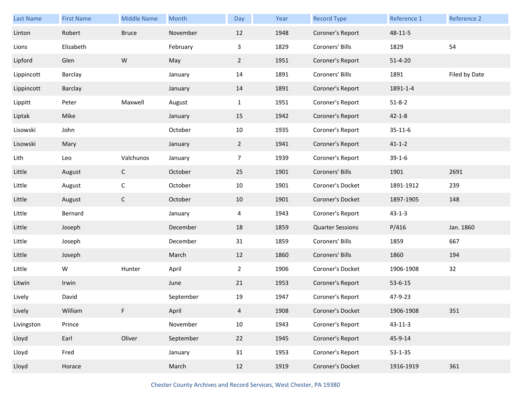| Last Name  | <b>First Name</b> | <b>Middle Name</b> | Month     | Day            | Year | <b>Record Type</b>      | Reference 1   | Reference 2   |
|------------|-------------------|--------------------|-----------|----------------|------|-------------------------|---------------|---------------|
| Linton     | Robert            | <b>Bruce</b>       | November  | 12             | 1948 | Coroner's Report        | 48-11-5       |               |
| Lions      | Elizabeth         |                    | February  | 3              | 1829 | Coroners' Bills         | 1829          | 54            |
| Lipford    | Glen              | ${\sf W}$          | May       | $\overline{2}$ | 1951 | Coroner's Report        | $51 - 4 - 20$ |               |
| Lippincott | <b>Barclay</b>    |                    | January   | 14             | 1891 | Coroners' Bills         | 1891          | Filed by Date |
| Lippincott | Barclay           |                    | January   | 14             | 1891 | Coroner's Report        | 1891-1-4      |               |
| Lippitt    | Peter             | Maxwell            | August    | $\mathbf{1}$   | 1951 | Coroner's Report        | $51 - 8 - 2$  |               |
| Liptak     | Mike              |                    | January   | 15             | 1942 | Coroner's Report        | $42 - 1 - 8$  |               |
| Lisowski   | John              |                    | October   | 10             | 1935 | Coroner's Report        | $35 - 11 - 6$ |               |
| Lisowski   | Mary              |                    | January   | $\overline{2}$ | 1941 | Coroner's Report        | $41 - 1 - 2$  |               |
| Lith       | Leo               | Valchunos          | January   | $\overline{7}$ | 1939 | Coroner's Report        | $39-1-6$      |               |
| Little     | August            | $\mathsf{C}$       | October   | 25             | 1901 | Coroners' Bills         | 1901          | 2691          |
| Little     | August            | $\mathsf C$        | October   | 10             | 1901 | Coroner's Docket        | 1891-1912     | 239           |
| Little     | August            | $\mathsf C$        | October   | 10             | 1901 | Coroner's Docket        | 1897-1905     | 148           |
| Little     | Bernard           |                    | January   | 4              | 1943 | Coroner's Report        | $43 - 1 - 3$  |               |
| Little     | Joseph            |                    | December  | 18             | 1859 | <b>Quarter Sessions</b> | P/416         | Jan. 1860     |
| Little     | Joseph            |                    | December  | 31             | 1859 | Coroners' Bills         | 1859          | 667           |
| Little     | Joseph            |                    | March     | 12             | 1860 | Coroners' Bills         | 1860          | 194           |
| Little     | W                 | Hunter             | April     | $\overline{a}$ | 1906 | Coroner's Docket        | 1906-1908     | 32            |
| Litwin     | Irwin             |                    | June      | 21             | 1953 | Coroner's Report        | $53 - 6 - 15$ |               |
| Lively     | David             |                    | September | 19             | 1947 | Coroner's Report        | 47-9-23       |               |
| Lively     | William           | F.                 | April     | 4              | 1908 | Coroner's Docket        | 1906-1908     | 351           |
| Livingston | Prince            |                    | November  | 10             | 1943 | Coroner's Report        | $43 - 11 - 3$ |               |
| Lloyd      | Earl              | Oliver             | September | 22             | 1945 | Coroner's Report        | 45-9-14       |               |
| Lloyd      | Fred              |                    | January   | 31             | 1953 | Coroner's Report        | $53 - 1 - 35$ |               |
| Lloyd      | Horace            |                    | March     | 12             | 1919 | Coroner's Docket        | 1916-1919     | 361           |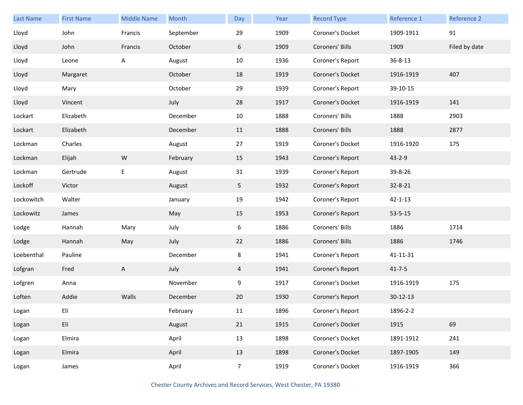| <b>Last Name</b> | <b>First Name</b> | <b>Middle Name</b> | Month     | Day            | Year | <b>Record Type</b> | Reference 1   | Reference 2   |
|------------------|-------------------|--------------------|-----------|----------------|------|--------------------|---------------|---------------|
| Lloyd            | John              | Francis            | September | 29             | 1909 | Coroner's Docket   | 1909-1911     | 91            |
| Lloyd            | John              | Francis            | October   | 6              | 1909 | Coroners' Bills    | 1909          | Filed by date |
| Lloyd            | Leone             | A                  | August    | 10             | 1936 | Coroner's Report   | $36 - 8 - 13$ |               |
| Lloyd            | Margaret          |                    | October   | 18             | 1919 | Coroner's Docket   | 1916-1919     | 407           |
| Lloyd            | Mary              |                    | October   | 29             | 1939 | Coroner's Report   | 39-10-15      |               |
| Lloyd            | Vincent           |                    | July      | 28             | 1917 | Coroner's Docket   | 1916-1919     | 141           |
| Lockart          | Elizabeth         |                    | December  | 10             | 1888 | Coroners' Bills    | 1888          | 2903          |
| Lockart          | Elizabeth         |                    | December  | 11             | 1888 | Coroners' Bills    | 1888          | 2877          |
| Lockman          | Charles           |                    | August    | 27             | 1919 | Coroner's Docket   | 1916-1920     | 175           |
| Lockman          | Elijah            | W                  | February  | 15             | 1943 | Coroner's Report   | $43 - 2 - 9$  |               |
| Lockman          | Gertrude          | Е                  | August    | 31             | 1939 | Coroner's Report   | 39-8-26       |               |
| Lockoff          | Victor            |                    | August    | 5              | 1932 | Coroner's Report   | 32-8-21       |               |
| Lockowitch       | Walter            |                    | January   | 19             | 1942 | Coroner's Report   | $42 - 1 - 13$ |               |
| Lockowitz        | James             |                    | May       | 15             | 1953 | Coroner's Report   | $53 - 5 - 15$ |               |
| Lodge            | Hannah            | Mary               | July      | 6              | 1886 | Coroners' Bills    | 1886          | 1714          |
| Lodge            | Hannah            | May                | July      | 22             | 1886 | Coroners' Bills    | 1886          | 1746          |
| Loebenthal       | Pauline           |                    | December  | 8              | 1941 | Coroner's Report   | 41-11-31      |               |
| Lofgran          | Fred              | A                  | July      | 4              | 1941 | Coroner's Report   | $41 - 7 - 5$  |               |
| Lofgren          | Anna              |                    | November  | 9              | 1917 | Coroner's Docket   | 1916-1919     | 175           |
| Loften           | Addie             | Walls              | December  | 20             | 1930 | Coroner's Report   | $30-12-13$    |               |
| Logan            | Eli               |                    | February  | 11             | 1896 | Coroner's Report   | 1896-2-2      |               |
| Logan            | Eli               |                    | August    | 21             | 1915 | Coroner's Docket   | 1915          | 69            |
| Logan            | Elmira            |                    | April     | 13             | 1898 | Coroner's Docket   | 1891-1912     | 241           |
| Logan            | Elmira            |                    | April     | 13             | 1898 | Coroner's Docket   | 1897-1905     | 149           |
| Logan            | James             |                    | April     | $\overline{7}$ | 1919 | Coroner's Docket   | 1916-1919     | 366           |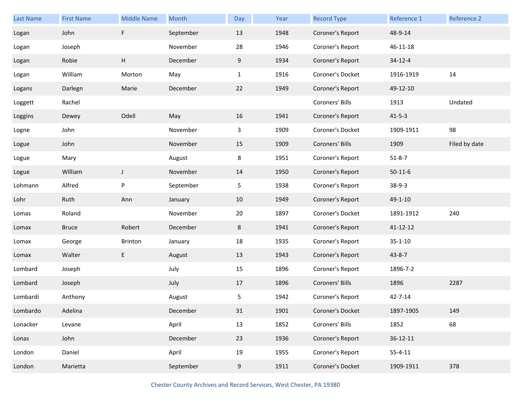| Last Name | <b>First Name</b> | <b>Middle Name</b> | Month     | Day          | Year | <b>Record Type</b> | Reference 1    | Reference 2   |
|-----------|-------------------|--------------------|-----------|--------------|------|--------------------|----------------|---------------|
| Logan     | John              | F                  | September | 13           | 1948 | Coroner's Report   | 48-9-14        |               |
| Logan     | Joseph            |                    | November  | 28           | 1946 | Coroner's Report   | 46-11-18       |               |
| Logan     | Robie             | H                  | December  | 9            | 1934 | Coroner's Report   | $34 - 12 - 4$  |               |
| Logan     | William           | Morton             | May       | $\mathbf{1}$ | 1916 | Coroner's Docket   | 1916-1919      | 14            |
| Logans    | Darlegn           | Marie              | December  | 22           | 1949 | Coroner's Report   | 49-12-10       |               |
| Loggett   | Rachel            |                    |           |              |      | Coroners' Bills    | 1913           | Undated       |
| Loggins   | Dewey             | Odell              | May       | 16           | 1941 | Coroner's Report   | $41 - 5 - 3$   |               |
| Logne     | John              |                    | November  | 3            | 1909 | Coroner's Docket   | 1909-1911      | 98            |
| Logue     | John              |                    | November  | 15           | 1909 | Coroners' Bills    | 1909           | Filed by date |
| Logue     | Mary              |                    | August    | 8            | 1951 | Coroner's Report   | $51 - 8 - 7$   |               |
| Logue     | William           | J                  | November  | 14           | 1950 | Coroner's Report   | $50 - 11 - 6$  |               |
| Lohmann   | Alfred            | P                  | September | 5            | 1938 | Coroner's Report   | $38-9-3$       |               |
| Lohr      | Ruth              | Ann                | January   | 10           | 1949 | Coroner's Report   | 49-1-10        |               |
| Lomas     | Roland            |                    | November  | 20           | 1897 | Coroner's Docket   | 1891-1912      | 240           |
| Lomax     | <b>Bruce</b>      | Robert             | December  | 8            | 1941 | Coroner's Report   | $41 - 12 - 12$ |               |
| Lomax     | George            | Brinton            | January   | 18           | 1935 | Coroner's Report   | $35 - 1 - 10$  |               |
| Lomax     | Walter            | E                  | August    | 13           | 1943 | Coroner's Report   | $43 - 8 - 7$   |               |
| Lombard   | Joseph            |                    | July      | 15           | 1896 | Coroner's Report   | 1896-7-2       |               |
| Lombard   |                   |                    |           |              |      |                    |                |               |
|           | Joseph            |                    | July      | 17           | 1896 | Coroners' Bills    | 1896           | 2287          |
| Lombardi  | Anthony           |                    | August    | 5            | 1942 | Coroner's Report   | $42 - 7 - 14$  |               |
| Lombardo  | Adelina           |                    | December  | 31           | 1901 | Coroner's Docket   | 1897-1905      | 149           |
| Lonacker  | Levane            |                    | April     | 13           | 1852 | Coroners' Bills    | 1852           | 68            |
| Lonas     | John              |                    | December  | 23           | 1936 | Coroner's Report   | $36 - 12 - 11$ |               |
| London    | Daniel            |                    | April     | 19           | 1955 | Coroner's Report   | $55 - 4 - 11$  |               |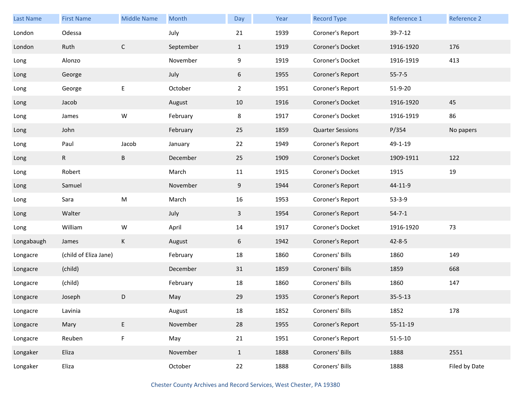| <b>Last Name</b> | <b>First Name</b>     | <b>Middle Name</b> | Month     | Day            | Year | <b>Record Type</b>      | Reference 1   | Reference 2   |
|------------------|-----------------------|--------------------|-----------|----------------|------|-------------------------|---------------|---------------|
| London           | Odessa                |                    | July      | 21             | 1939 | Coroner's Report        | 39-7-12       |               |
| London           | Ruth                  | $\mathsf{C}$       | September | $\mathbf{1}$   | 1919 | Coroner's Docket        | 1916-1920     | 176           |
| Long             | Alonzo                |                    | November  | 9              | 1919 | Coroner's Docket        | 1916-1919     | 413           |
| Long             | George                |                    | July      | 6              | 1955 | Coroner's Report        | $55 - 7 - 5$  |               |
| Long             | George                | E                  | October   | $\overline{2}$ | 1951 | Coroner's Report        | 51-9-20       |               |
| Long             | Jacob                 |                    | August    | 10             | 1916 | Coroner's Docket        | 1916-1920     | 45            |
| Long             | James                 | W                  | February  | 8              | 1917 | Coroner's Docket        | 1916-1919     | 86            |
| Long             | John                  |                    | February  | 25             | 1859 | <b>Quarter Sessions</b> | P/354         | No papers     |
| Long             | Paul                  | Jacob              | January   | 22             | 1949 | Coroner's Report        | 49-1-19       |               |
| Long             | R                     | $\sf B$            | December  | 25             | 1909 | Coroner's Docket        | 1909-1911     | 122           |
| Long             | Robert                |                    | March     | 11             | 1915 | Coroner's Docket        | 1915          | 19            |
| Long             | Samuel                |                    | November  | 9              | 1944 | Coroner's Report        | 44-11-9       |               |
| Long             | Sara                  | ${\sf M}$          | March     | 16             | 1953 | Coroner's Report        | $53 - 3 - 9$  |               |
| Long             | Walter                |                    | July      | $\mathbf{3}$   | 1954 | Coroner's Report        | $54 - 7 - 1$  |               |
| Long             | William               | W                  | April     | 14             | 1917 | Coroner's Docket        | 1916-1920     | 73            |
| Longabaugh       | James                 | К                  | August    | 6              | 1942 | Coroner's Report        | $42 - 8 - 5$  |               |
| Longacre         | (child of Eliza Jane) |                    | February  | 18             | 1860 | Coroners' Bills         | 1860          | 149           |
| Longacre         | (child)               |                    | December  | 31             | 1859 | Coroners' Bills         | 1859          | 668           |
| Longacre         | (child)               |                    | February  | 18             | 1860 | Coroners' Bills         | 1860          | 147           |
| Longacre         | Joseph                | D                  | May       | 29             | 1935 | Coroner's Report        | $35 - 5 - 13$ |               |
| Longacre         | Lavinia               |                    | August    | $18\,$         | 1852 | Coroners' Bills         | 1852          | 178           |
| Longacre         | Mary                  | E                  | November  | 28             | 1955 | Coroner's Report        | 55-11-19      |               |
| Longacre         | Reuben                | $\mathsf F$        | May       | 21             | 1951 | Coroner's Report        | $51 - 5 - 10$ |               |
| Longaker         | Eliza                 |                    | November  | $\mathbf{1}$   | 1888 | Coroners' Bills         | 1888          | 2551          |
| Longaker         | Eliza                 |                    | October   | 22             | 1888 | Coroners' Bills         | 1888          | Filed by Date |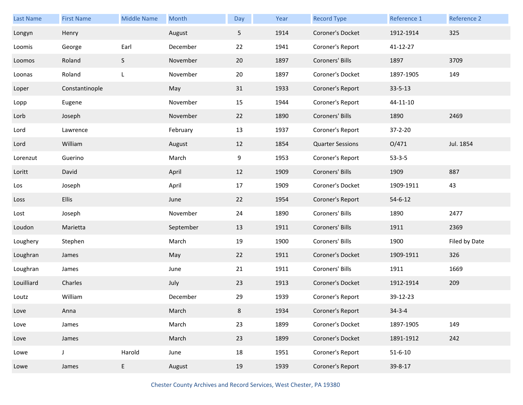| Last Name  | <b>First Name</b> | <b>Middle Name</b> | Month     | Day | Year | <b>Record Type</b>      | Reference 1   | Reference 2   |
|------------|-------------------|--------------------|-----------|-----|------|-------------------------|---------------|---------------|
| Longyn     | Henry             |                    | August    | 5   | 1914 | Coroner's Docket        | 1912-1914     | 325           |
| Loomis     | George            | Earl               | December  | 22  | 1941 | Coroner's Report        | 41-12-27      |               |
| Loomos     | Roland            | S                  | November  | 20  | 1897 | Coroners' Bills         | 1897          | 3709          |
| Loonas     | Roland            | L                  | November  | 20  | 1897 | Coroner's Docket        | 1897-1905     | 149           |
| Loper      | Constantinople    |                    | May       | 31  | 1933 | Coroner's Report        | $33 - 5 - 13$ |               |
| Lopp       | Eugene            |                    | November  | 15  | 1944 | Coroner's Report        | 44-11-10      |               |
| Lorb       | Joseph            |                    | November  | 22  | 1890 | Coroners' Bills         | 1890          | 2469          |
| Lord       | Lawrence          |                    | February  | 13  | 1937 | Coroner's Report        | 37-2-20       |               |
| Lord       | William           |                    | August    | 12  | 1854 | <b>Quarter Sessions</b> | O/471         | Jul. 1854     |
| Lorenzut   | Guerino           |                    | March     | 9   | 1953 | Coroner's Report        | $53 - 3 - 5$  |               |
| Loritt     | David             |                    | April     | 12  | 1909 | Coroners' Bills         | 1909          | 887           |
| Los        | Joseph            |                    | April     | 17  | 1909 | Coroner's Docket        | 1909-1911     | 43            |
| Loss       | Ellis             |                    | June      | 22  | 1954 | Coroner's Report        | $54 - 6 - 12$ |               |
| Lost       | Joseph            |                    | November  | 24  | 1890 | Coroners' Bills         | 1890          | 2477          |
| Loudon     | Marietta          |                    | September | 13  | 1911 | Coroners' Bills         | 1911          | 2369          |
| Loughery   | Stephen           |                    | March     | 19  | 1900 | Coroners' Bills         | 1900          | Filed by Date |
| Loughran   | James             |                    | May       | 22  | 1911 | Coroner's Docket        | 1909-1911     | 326           |
| Loughran   | James             |                    | June      | 21  | 1911 | Coroners' Bills         | 1911          | 1669          |
| Louilliard | Charles           |                    | July      | 23  | 1913 | Coroner's Docket        | 1912-1914     | 209           |
| Loutz      | William           |                    | December  | 29  | 1939 | Coroner's Report        | 39-12-23      |               |
| Love       | Anna              |                    | March     | 8   | 1934 | Coroner's Report        | $34 - 3 - 4$  |               |
| Love       | James             |                    | March     | 23  | 1899 | Coroner's Docket        | 1897-1905     | 149           |
| Love       | James             |                    | March     | 23  | 1899 | Coroner's Docket        | 1891-1912     | 242           |
| Lowe       | J                 | Harold             | June      | 18  | 1951 | Coroner's Report        | $51 - 6 - 10$ |               |
| Lowe       | James             | E                  | August    | 19  | 1939 | Coroner's Report        | 39-8-17       |               |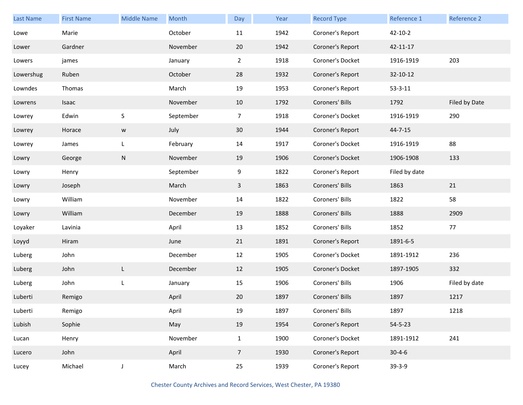| Last Name | <b>First Name</b> | <b>Middle Name</b> | Month     | Day            | Year | <b>Record Type</b> | Reference 1   | Reference 2   |
|-----------|-------------------|--------------------|-----------|----------------|------|--------------------|---------------|---------------|
| Lowe      | Marie             |                    | October   | 11             | 1942 | Coroner's Report   | $42 - 10 - 2$ |               |
| Lower     | Gardner           |                    | November  | 20             | 1942 | Coroner's Report   | 42-11-17      |               |
| Lowers    | james             |                    | January   | $\overline{2}$ | 1918 | Coroner's Docket   | 1916-1919     | 203           |
| Lowershug | Ruben             |                    | October   | 28             | 1932 | Coroner's Report   | 32-10-12      |               |
| Lowndes   | Thomas            |                    | March     | 19             | 1953 | Coroner's Report   | $53 - 3 - 11$ |               |
| Lowrens   | Isaac             |                    | November  | 10             | 1792 | Coroners' Bills    | 1792          | Filed by Date |
| Lowrey    | Edwin             | $\sf S$            | September | $\overline{7}$ | 1918 | Coroner's Docket   | 1916-1919     | 290           |
| Lowrey    | Horace            | ${\mathsf W}$      | July      | 30             | 1944 | Coroner's Report   | $44 - 7 - 15$ |               |
| Lowrey    | James             | L                  | February  | 14             | 1917 | Coroner's Docket   | 1916-1919     | 88            |
| Lowry     | George            | ${\sf N}$          | November  | 19             | 1906 | Coroner's Docket   | 1906-1908     | 133           |
| Lowry     | Henry             |                    | September | 9              | 1822 | Coroner's Report   | Filed by date |               |
| Lowry     | Joseph            |                    | March     | $\mathbf{3}$   | 1863 | Coroners' Bills    | 1863          | 21            |
| Lowry     | William           |                    | November  | 14             | 1822 | Coroners' Bills    | 1822          | 58            |
| Lowry     | William           |                    | December  | 19             | 1888 | Coroners' Bills    | 1888          | 2909          |
| Loyaker   | Lavinia           |                    | April     | 13             | 1852 | Coroners' Bills    | 1852          | 77            |
| Loyyd     | Hiram             |                    | June      | 21             | 1891 | Coroner's Report   | 1891-6-5      |               |
| Luberg    | John              |                    | December  | 12             | 1905 | Coroner's Docket   | 1891-1912     | 236           |
| Luberg    | John              | L                  | December  | 12             | 1905 | Coroner's Docket   | 1897-1905     | 332           |
| Luberg    | John              | L                  | January   | 15             | 1906 | Coroners' Bills    | 1906          | Filed by date |
| Luberti   | Remigo            |                    | April     | 20             | 1897 | Coroners' Bills    | 1897          | 1217          |
| Luberti   | Remigo            |                    | April     | 19             | 1897 | Coroners' Bills    | 1897          | 1218          |
| Lubish    | Sophie            |                    | May       | 19             | 1954 | Coroner's Report   | $54 - 5 - 23$ |               |
| Lucan     | Henry             |                    | November  | $\mathbf{1}$   | 1900 | Coroner's Docket   | 1891-1912     | 241           |
| Lucero    | John              |                    | April     | $\overline{7}$ | 1930 | Coroner's Report   | $30 - 4 - 6$  |               |
| Lucey     | Michael           | J                  | March     | 25             | 1939 | Coroner's Report   | $39-3-9$      |               |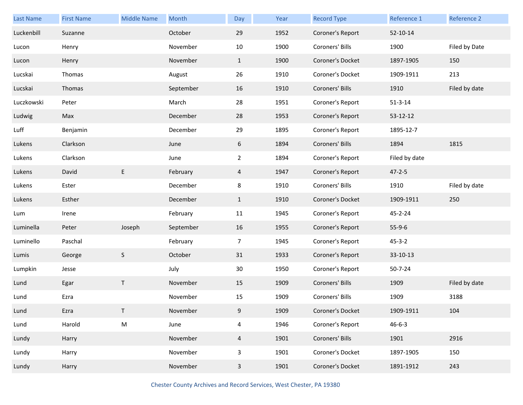| Last Name  | <b>First Name</b> | <b>Middle Name</b> | Month     | Day            | Year | <b>Record Type</b> | Reference 1    | Reference 2   |
|------------|-------------------|--------------------|-----------|----------------|------|--------------------|----------------|---------------|
| Luckenbill | Suzanne           |                    | October   | 29             | 1952 | Coroner's Report   | $52 - 10 - 14$ |               |
| Lucon      | Henry             |                    | November  | 10             | 1900 | Coroners' Bills    | 1900           | Filed by Date |
| Lucon      | Henry             |                    | November  | $\mathbf{1}$   | 1900 | Coroner's Docket   | 1897-1905      | 150           |
| Lucskai    | Thomas            |                    | August    | 26             | 1910 | Coroner's Docket   | 1909-1911      | 213           |
| Lucskai    | Thomas            |                    | September | 16             | 1910 | Coroners' Bills    | 1910           | Filed by date |
| Luczkowski | Peter             |                    | March     | 28             | 1951 | Coroner's Report   | $51 - 3 - 14$  |               |
| Ludwig     | Max               |                    | December  | 28             | 1953 | Coroner's Report   | 53-12-12       |               |
| Luff       | Benjamin          |                    | December  | 29             | 1895 | Coroner's Report   | 1895-12-7      |               |
| Lukens     | Clarkson          |                    | June      | 6              | 1894 | Coroners' Bills    | 1894           | 1815          |
| Lukens     | Clarkson          |                    | June      | $\overline{2}$ | 1894 | Coroner's Report   | Filed by date  |               |
| Lukens     | David             | $\mathsf E$        | February  | $\overline{4}$ | 1947 | Coroner's Report   | $47 - 2 - 5$   |               |
| Lukens     | Ester             |                    | December  | 8              | 1910 | Coroners' Bills    | 1910           | Filed by date |
| Lukens     | Esther            |                    | December  | $\mathbf{1}$   | 1910 | Coroner's Docket   | 1909-1911      | 250           |
| Lum        | Irene             |                    | February  | 11             | 1945 | Coroner's Report   | 45-2-24        |               |
| Luminella  | Peter             | Joseph             | September | 16             | 1955 | Coroner's Report   | $55-9-6$       |               |
| Luminello  | Paschal           |                    | February  | 7              | 1945 | Coroner's Report   | $45 - 3 - 2$   |               |
| Lumis      | George            | $\sf S$            | October   | 31             | 1933 | Coroner's Report   | 33-10-13       |               |
| Lumpkin    | Jesse             |                    | July      | 30             | 1950 | Coroner's Report   | $50 - 7 - 24$  |               |
| Lund       | Egar              | T                  | November  | 15             | 1909 | Coroners' Bills    | 1909           | Filed by date |
| Lund       | Ezra              |                    | November  | 15             | 1909 | Coroners' Bills    | 1909           | 3188          |
| Lund       | Ezra              |                    | November  | 9              | 1909 | Coroner's Docket   | 1909-1911      | 104           |
| Lund       | Harold            | ${\sf M}$          | June      | $\overline{4}$ | 1946 | Coroner's Report   | $46 - 6 - 3$   |               |
| Lundy      | Harry             |                    | November  | $\overline{4}$ | 1901 | Coroners' Bills    | 1901           | 2916          |
| Lundy      | Harry             |                    | November  | 3              | 1901 | Coroner's Docket   | 1897-1905      | 150           |
| Lundy      | Harry             |                    | November  | $\mathbf{3}$   | 1901 | Coroner's Docket   | 1891-1912      | 243           |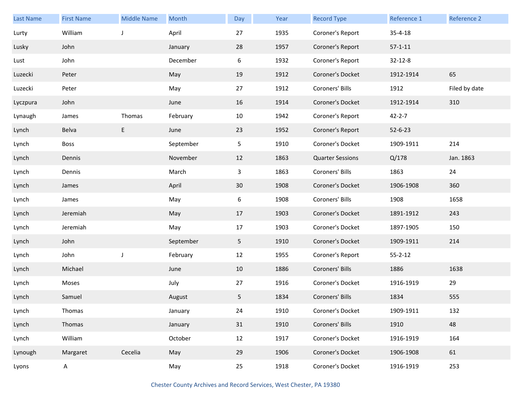| <b>Last Name</b> | <b>First Name</b> | <b>Middle Name</b> | Month     | Day | Year | <b>Record Type</b>      | Reference 1   | Reference 2   |
|------------------|-------------------|--------------------|-----------|-----|------|-------------------------|---------------|---------------|
| Lurty            | William           | J                  | April     | 27  | 1935 | Coroner's Report        | $35 - 4 - 18$ |               |
| Lusky            | John              |                    | January   | 28  | 1957 | Coroner's Report        | $57 - 1 - 11$ |               |
| Lust             | John              |                    | December  | 6   | 1932 | Coroner's Report        | $32 - 12 - 8$ |               |
| Luzecki          | Peter             |                    | May       | 19  | 1912 | Coroner's Docket        | 1912-1914     | 65            |
| Luzecki          | Peter             |                    | May       | 27  | 1912 | Coroners' Bills         | 1912          | Filed by date |
| Lyczpura         | John              |                    | June      | 16  | 1914 | Coroner's Docket        | 1912-1914     | 310           |
| Lynaugh          | James             | Thomas             | February  | 10  | 1942 | Coroner's Report        | $42 - 2 - 7$  |               |
| Lynch            | Belva             | E.                 | June      | 23  | 1952 | Coroner's Report        | $52 - 6 - 23$ |               |
| Lynch            | <b>Boss</b>       |                    | September | 5   | 1910 | Coroner's Docket        | 1909-1911     | 214           |
| Lynch            | Dennis            |                    | November  | 12  | 1863 | <b>Quarter Sessions</b> | Q/178         | Jan. 1863     |
| Lynch            | Dennis            |                    | March     | 3   | 1863 | Coroners' Bills         | 1863          | 24            |
| Lynch            | James             |                    | April     | 30  | 1908 | Coroner's Docket        | 1906-1908     | 360           |
| Lynch            | James             |                    | May       | 6   | 1908 | Coroners' Bills         | 1908          | 1658          |
| Lynch            | Jeremiah          |                    | May       | 17  | 1903 | Coroner's Docket        | 1891-1912     | 243           |
| Lynch            | Jeremiah          |                    | May       | 17  | 1903 | Coroner's Docket        | 1897-1905     | 150           |
| Lynch            | John              |                    | September | 5   | 1910 | Coroner's Docket        | 1909-1911     | 214           |
| Lynch            | John              | J                  | February  | 12  | 1955 | Coroner's Report        | $55 - 2 - 12$ |               |
| Lynch            | Michael           |                    | June      | 10  | 1886 | Coroners' Bills         | 1886          | 1638          |
| Lynch            | Moses             |                    | July      | 27  | 1916 | Coroner's Docket        | 1916-1919     | 29            |
| Lynch            | Samuel            |                    | August    | 5   | 1834 | Coroners' Bills         | 1834          | 555           |
| Lynch            | Thomas            |                    | January   | 24  | 1910 | Coroner's Docket        | 1909-1911     | 132           |
| Lynch            | Thomas            |                    | January   | 31  | 1910 | Coroners' Bills         | 1910          | 48            |
| Lynch            | William           |                    | October   | 12  | 1917 | Coroner's Docket        | 1916-1919     | 164           |
| Lynough          | Margaret          | Cecelia            | May       | 29  | 1906 | Coroner's Docket        | 1906-1908     | 61            |
| Lyons            | $\mathsf{A}$      |                    | May       | 25  | 1918 | Coroner's Docket        | 1916-1919     | 253           |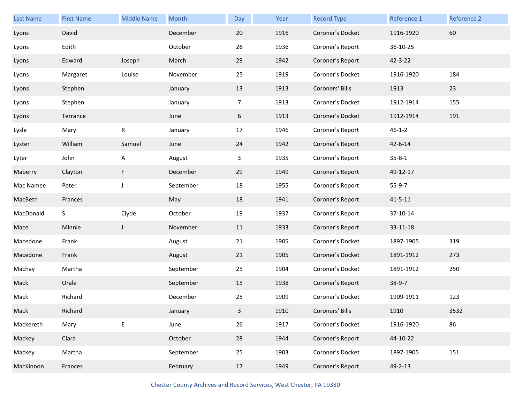| <b>Last Name</b> | <b>First Name</b> | <b>Middle Name</b> | Month     | Day            | Year | <b>Record Type</b> | Reference 1   | Reference 2 |
|------------------|-------------------|--------------------|-----------|----------------|------|--------------------|---------------|-------------|
| Lyons            | David             |                    | December  | 20             | 1916 | Coroner's Docket   | 1916-1920     | 60          |
| Lyons            | Edith             |                    | October   | 26             | 1936 | Coroner's Report   | 36-10-25      |             |
| Lyons            | Edward            | Joseph             | March     | 29             | 1942 | Coroner's Report   | 42-3-22       |             |
| Lyons            | Margaret          | Louise             | November  | 25             | 1919 | Coroner's Docket   | 1916-1920     | 184         |
| Lyons            | Stephen           |                    | January   | 13             | 1913 | Coroners' Bills    | 1913          | 23          |
| Lyons            | Stephen           |                    | January   | $\overline{7}$ | 1913 | Coroner's Docket   | 1912-1914     | 155         |
| Lyons            | Terrance          |                    | June      | 6              | 1913 | Coroner's Docket   | 1912-1914     | 191         |
| Lysle            | Mary              | R                  | January   | 17             | 1946 | Coroner's Report   | $46 - 1 - 2$  |             |
| Lyster           | William           | Samuel             | June      | 24             | 1942 | Coroner's Report   | $42 - 6 - 14$ |             |
| Lyter            | John              | A                  | August    | 3              | 1935 | Coroner's Report   | $35 - 8 - 1$  |             |
| Maberry          | Clayton           | F                  | December  | 29             | 1949 | Coroner's Report   | 49-12-17      |             |
| Mac Namee        | Peter             | $\mathsf{J}$       | September | 18             | 1955 | Coroner's Report   | $55-9-7$      |             |
| MacBeth          | Frances           |                    | May       | 18             | 1941 | Coroner's Report   | $41 - 5 - 11$ |             |
| MacDonald        | S                 | Clyde              | October   | 19             | 1937 | Coroner's Report   | 37-10-14      |             |
| Mace             | Minnie            | $\mathsf J$        | November  | 11             | 1933 | Coroner's Report   | 33-11-18      |             |
| Macedone         | Frank             |                    | August    | 21             | 1905 | Coroner's Docket   | 1897-1905     | 319         |
| Macedone         | Frank             |                    | August    | 21             | 1905 | Coroner's Docket   | 1891-1912     | 273         |
| Machay           | Martha            |                    | September | 25             | 1904 | Coroner's Docket   | 1891-1912     | 250         |
| Mack             | Orale             |                    | September | 15             | 1938 | Coroner's Report   | $38-9-7$      |             |
| Mack             | Richard           |                    | December  | 25             | 1909 | Coroner's Docket   | 1909-1911     | 123         |
| Mack             | Richard           |                    | January   | 3              | 1910 | Coroners' Bills    | 1910          | 3532        |
| Mackereth        | Mary              | E                  | June      | 26             | 1917 | Coroner's Docket   | 1916-1920     | 86          |
| Mackey           | Clara             |                    | October   | 28             | 1944 | Coroner's Report   | 44-10-22      |             |
| Mackey           | Martha            |                    | September | 25             | 1903 | Coroner's Docket   | 1897-1905     | 151         |
| MacKinnon        | Frances           |                    | February  | 17             | 1949 | Coroner's Report   | 49-2-13       |             |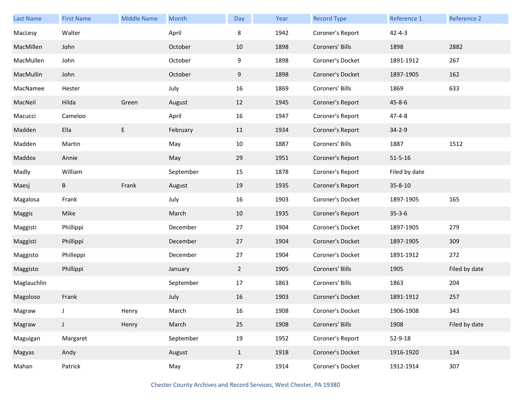| Last Name   | <b>First Name</b> | <b>Middle Name</b> | Month     | Day            | Year | <b>Record Type</b> | Reference 1   | Reference 2   |
|-------------|-------------------|--------------------|-----------|----------------|------|--------------------|---------------|---------------|
| MacLesy     | Walter            |                    | April     | 8              | 1942 | Coroner's Report   | $42 - 4 - 3$  |               |
| MacMillen   | John              |                    | October   | 10             | 1898 | Coroners' Bills    | 1898          | 2882          |
| MacMullen   | John              |                    | October   | 9              | 1898 | Coroner's Docket   | 1891-1912     | 267           |
| MacMullin   | John              |                    | October   | 9              | 1898 | Coroner's Docket   | 1897-1905     | 162           |
| MacNamee    | Hester            |                    | July      | 16             | 1869 | Coroners' Bills    | 1869          | 633           |
| MacNeil     | Hilda             | Green              | August    | 12             | 1945 | Coroner's Report   | $45 - 8 - 6$  |               |
| Macucci     | Cameloo           |                    | April     | 16             | 1947 | Coroner's Report   | $47 - 4 - 8$  |               |
| Madden      | Ella              | E                  | February  | 11             | 1934 | Coroner's Report   | $34 - 2 - 9$  |               |
| Madden      | Martin            |                    | May       | 10             | 1887 | Coroners' Bills    | 1887          | 1512          |
| Maddox      | Annie             |                    | May       | 29             | 1951 | Coroner's Report   | $51 - 5 - 16$ |               |
| Madly       | William           |                    | September | 15             | 1878 | Coroner's Report   | Filed by date |               |
| Maesj       | B                 | Frank              | August    | 19             | 1935 | Coroner's Report   | 35-8-10       |               |
| Magalosa    | Frank             |                    | July      | 16             | 1903 | Coroner's Docket   | 1897-1905     | 165           |
| Maggis      | Mike              |                    | March     | 10             | 1935 | Coroner's Report   | $35 - 3 - 6$  |               |
| Maggisti    | Phillippi         |                    | December  | 27             | 1904 | Coroner's Docket   | 1897-1905     | 279           |
| Maggisti    | Phillippi         |                    | December  | 27             | 1904 | Coroner's Docket   | 1897-1905     | 309           |
| Maggisto    | Philleppi         |                    | December  | 27             | 1904 | Coroner's Docket   | 1891-1912     | 272           |
| Maggisto    | Phillippi         |                    | January   | $\overline{2}$ | 1905 | Coroners' Bills    | 1905          | Filed by date |
| Maglauchlin |                   |                    | September | 17             | 1863 | Coroners' Bills    | 1863          | 204           |
| Magoloso    | Frank             |                    | July      | 16             | 1903 | Coroner's Docket   | 1891-1912     | 257           |
| Magraw      | J                 | Henry              | March     | 16             | 1908 | Coroner's Docket   | 1906-1908     | 343           |
| Magraw      | J                 | Henry              | March     | 25             | 1908 | Coroners' Bills    | 1908          | Filed by date |
| Maguigan    | Margaret          |                    | September | 19             | 1952 | Coroner's Report   | 52-9-18       |               |
| Magyas      | Andy              |                    | August    | $\mathbf{1}$   | 1918 | Coroner's Docket   | 1916-1920     | 134           |
| Mahan       | Patrick           |                    | May       | 27             | 1914 | Coroner's Docket   | 1912-1914     | 307           |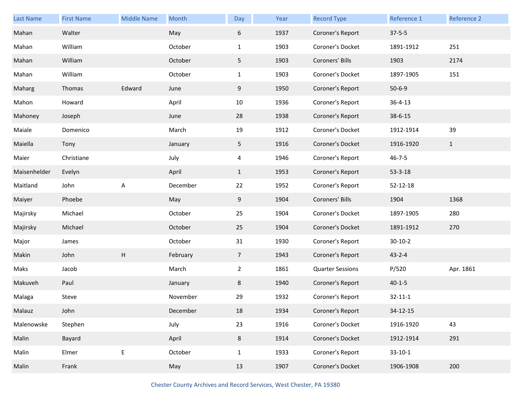| <b>Last Name</b> | <b>First Name</b> | <b>Middle Name</b>        | Month    | Day             | Year | <b>Record Type</b>      | Reference 1   | Reference 2  |
|------------------|-------------------|---------------------------|----------|-----------------|------|-------------------------|---------------|--------------|
| Mahan            | Walter            |                           | May      | 6               | 1937 | Coroner's Report        | $37 - 5 - 5$  |              |
| Mahan            | William           |                           | October  | $\mathbf{1}$    | 1903 | Coroner's Docket        | 1891-1912     | 251          |
| Mahan            | William           |                           | October  | 5               | 1903 | Coroners' Bills         | 1903          | 2174         |
| Mahan            | William           |                           | October  | $\mathbf{1}$    | 1903 | Coroner's Docket        | 1897-1905     | 151          |
| Maharg           | Thomas            | Edward                    | June     | 9               | 1950 | Coroner's Report        | $50 - 6 - 9$  |              |
| Mahon            | Howard            |                           | April    | 10              | 1936 | Coroner's Report        | $36 - 4 - 13$ |              |
| Mahoney          | Joseph            |                           | June     | 28              | 1938 | Coroner's Report        | 38-6-15       |              |
| Maiale           | Domenico          |                           | March    | 19              | 1912 | Coroner's Docket        | 1912-1914     | 39           |
| Maiella          | Tony              |                           | January  | 5 <sub>1</sub>  | 1916 | Coroner's Docket        | 1916-1920     | $\mathbf{1}$ |
| Maier            | Christiane        |                           | July     | 4               | 1946 | Coroner's Report        | $46 - 7 - 5$  |              |
| Maisenhelder     | Evelyn            |                           | April    | $\mathbf{1}$    | 1953 | Coroner's Report        | $53 - 3 - 18$ |              |
| Maitland         | John              | A                         | December | 22              | 1952 | Coroner's Report        | 52-12-18      |              |
| Maiyer           | Phoebe            |                           | May      | 9               | 1904 | Coroners' Bills         | 1904          | 1368         |
| Majirsky         | Michael           |                           | October  | 25              | 1904 | Coroner's Docket        | 1897-1905     | 280          |
| Majirsky         | Michael           |                           | October  | 25              | 1904 | Coroner's Docket        | 1891-1912     | 270          |
| Major            | James             |                           | October  | 31              | 1930 | Coroner's Report        | $30 - 10 - 2$ |              |
| Makin            | John              | $\boldsymbol{\mathsf{H}}$ | February | $7\overline{ }$ | 1943 | Coroner's Report        | $43 - 2 - 4$  |              |
| Maks             | Jacob             |                           | March    | $\overline{2}$  | 1861 | <b>Quarter Sessions</b> | P/520         | Apr. 1861    |
| Makuveh          | Paul              |                           | January  | 8               | 1940 | Coroner's Report        | $40 - 1 - 5$  |              |
| Malaga           | Steve             |                           | November | 29              | 1932 | Coroner's Report        | $32 - 11 - 1$ |              |
| Malauz           | John              |                           | December | 18              | 1934 | Coroner's Report        | 34-12-15      |              |
| Malenowske       | Stephen           |                           | July     | 23              | 1916 | Coroner's Docket        | 1916-1920     | 43           |
| Malin            | Bayard            |                           | April    | 8               | 1914 | Coroner's Docket        | 1912-1914     | 291          |
| Malin            | Elmer             | E                         | October  | $\mathbf{1}$    | 1933 | Coroner's Report        | $33-10-1$     |              |
| Malin            | Frank             |                           | May      | 13              | 1907 | Coroner's Docket        | 1906-1908     | 200          |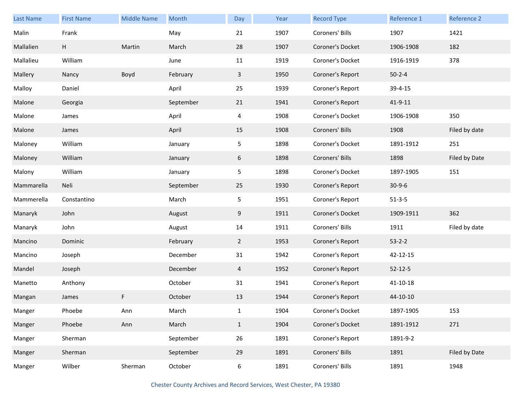| <b>Last Name</b> | <b>First Name</b> | <b>Middle Name</b> | Month     | Day            | Year | <b>Record Type</b> | Reference 1   | Reference 2   |
|------------------|-------------------|--------------------|-----------|----------------|------|--------------------|---------------|---------------|
| Malin            | Frank             |                    | May       | 21             | 1907 | Coroners' Bills    | 1907          | 1421          |
| Mallalien        | H                 | Martin             | March     | 28             | 1907 | Coroner's Docket   | 1906-1908     | 182           |
| Mallalieu        | William           |                    | June      | 11             | 1919 | Coroner's Docket   | 1916-1919     | 378           |
| Mallery          | Nancy             | Boyd               | February  | $\mathbf{3}$   | 1950 | Coroner's Report   | $50 - 2 - 4$  |               |
| Malloy           | Daniel            |                    | April     | 25             | 1939 | Coroner's Report   | 39-4-15       |               |
| Malone           | Georgia           |                    | September | 21             | 1941 | Coroner's Report   | $41 - 9 - 11$ |               |
| Malone           | James             |                    | April     | 4              | 1908 | Coroner's Docket   | 1906-1908     | 350           |
| Malone           | James             |                    | April     | 15             | 1908 | Coroners' Bills    | 1908          | Filed by date |
| Maloney          | William           |                    | January   | 5 <sub>1</sub> | 1898 | Coroner's Docket   | 1891-1912     | 251           |
| Maloney          | William           |                    | January   | 6              | 1898 | Coroners' Bills    | 1898          | Filed by Date |
| Malony           | William           |                    | January   | 5              | 1898 | Coroner's Docket   | 1897-1905     | 151           |
| Mammarella       | Neli              |                    | September | 25             | 1930 | Coroner's Report   | $30-9-6$      |               |
| Mammerella       | Constantino       |                    | March     | 5              | 1951 | Coroner's Report   | $51 - 3 - 5$  |               |
| Manaryk          | John              |                    | August    | 9              | 1911 | Coroner's Docket   | 1909-1911     | 362           |
| Manaryk          | John              |                    | August    | 14             | 1911 | Coroners' Bills    | 1911          | Filed by date |
| Mancino          | Dominic           |                    | February  | $\mathbf{2}$   | 1953 | Coroner's Report   | $53 - 2 - 2$  |               |
| Mancino          | Joseph            |                    | December  | 31             | 1942 | Coroner's Report   | 42-12-15      |               |
| Mandel           | Joseph            |                    | December  | 4              | 1952 | Coroner's Report   | $52 - 12 - 5$ |               |
| Manetto          | Anthony           |                    | October   | 31             | 1941 | Coroner's Report   | 41-10-18      |               |
| Mangan           | James             | F                  | October   | 13             | 1944 | Coroner's Report   | 44-10-10      |               |
| Manger           | Phoebe            | Ann                | March     | $\mathbf{1}$   | 1904 | Coroner's Docket   | 1897-1905     | 153           |
| Manger           | Phoebe            | Ann                | March     | $\mathbf{1}$   | 1904 | Coroner's Docket   | 1891-1912     | 271           |
| Manger           | Sherman           |                    | September | 26             | 1891 | Coroner's Report   | 1891-9-2      |               |
| Manger           | Sherman           |                    | September | 29             | 1891 | Coroners' Bills    | 1891          | Filed by Date |
| Manger           | Wilber            | Sherman            | October   | 6              | 1891 | Coroners' Bills    | 1891          | 1948          |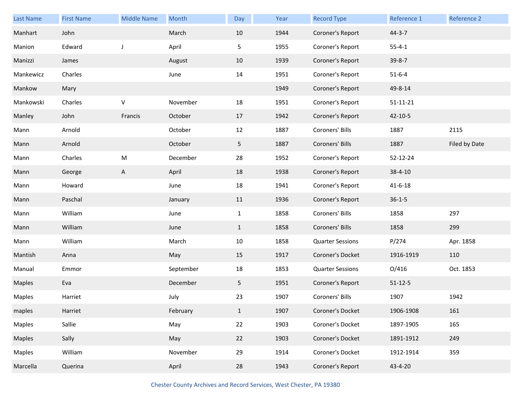| <b>Last Name</b> | <b>First Name</b> | <b>Middle Name</b> | Month     | Day            | Year | <b>Record Type</b>      | Reference 1    | Reference 2   |
|------------------|-------------------|--------------------|-----------|----------------|------|-------------------------|----------------|---------------|
| Manhart          | John              |                    | March     | 10             | 1944 | Coroner's Report        | $44 - 3 - 7$   |               |
| Manion           | Edward            | J                  | April     | 5              | 1955 | Coroner's Report        | $55 - 4 - 1$   |               |
| Manizzi          | James             |                    | August    | 10             | 1939 | Coroner's Report        | $39 - 8 - 7$   |               |
| Mankewicz        | Charles           |                    | June      | 14             | 1951 | Coroner's Report        | $51 - 6 - 4$   |               |
| Mankow           | Mary              |                    |           |                | 1949 | Coroner's Report        | 49-8-14        |               |
| Mankowski        | Charles           | $\mathsf{V}$       | November  | 18             | 1951 | Coroner's Report        | $51 - 11 - 21$ |               |
| Manley           | John              | Francis            | October   | 17             | 1942 | Coroner's Report        | $42 - 10 - 5$  |               |
| Mann             | Arnold            |                    | October   | 12             | 1887 | Coroners' Bills         | 1887           | 2115          |
| Mann             | Arnold            |                    | October   | 5              | 1887 | Coroners' Bills         | 1887           | Filed by Date |
| Mann             | Charles           | ${\sf M}$          | December  | 28             | 1952 | Coroner's Report        | 52-12-24       |               |
| Mann             | George            | A                  | April     | 18             | 1938 | Coroner's Report        | $38 - 4 - 10$  |               |
| Mann             | Howard            |                    | June      | 18             | 1941 | Coroner's Report        | $41 - 6 - 18$  |               |
| Mann             | Paschal           |                    | January   | 11             | 1936 | Coroner's Report        | $36 - 1 - 5$   |               |
| Mann             | William           |                    | June      | $\mathbf{1}$   | 1858 | Coroners' Bills         | 1858           | 297           |
| Mann             | William           |                    | June      | $\mathbf{1}$   | 1858 | Coroners' Bills         | 1858           | 299           |
| Mann             | William           |                    | March     | 10             | 1858 | <b>Quarter Sessions</b> | P/274          | Apr. 1858     |
| Mantish          | Anna              |                    | May       | 15             | 1917 | Coroner's Docket        | 1916-1919      | 110           |
| Manual           | Emmor             |                    | September | 18             | 1853 | <b>Quarter Sessions</b> | O/416          | Oct. 1853     |
| <b>Maples</b>    | Eva               |                    | December  | 5 <sub>1</sub> | 1951 | Coroner's Report        | $51 - 12 - 5$  |               |
| Maples           | Harriet           |                    | July      | 23             | 1907 | Coroners' Bills         | 1907           | 1942          |
| maples           | Harriet           |                    | February  | $\mathbf{1}$   | 1907 | Coroner's Docket        | 1906-1908      | 161           |
| Maples           | Sallie            |                    | May       | 22             | 1903 | Coroner's Docket        | 1897-1905      | 165           |
| Maples           | Sally             |                    | May       | 22             | 1903 | Coroner's Docket        | 1891-1912      | 249           |
| Maples           | William           |                    | November  | 29             | 1914 | Coroner's Docket        | 1912-1914      | 359           |
| Marcella         | Querina           |                    | April     | 28             | 1943 | Coroner's Report        | 43-4-20        |               |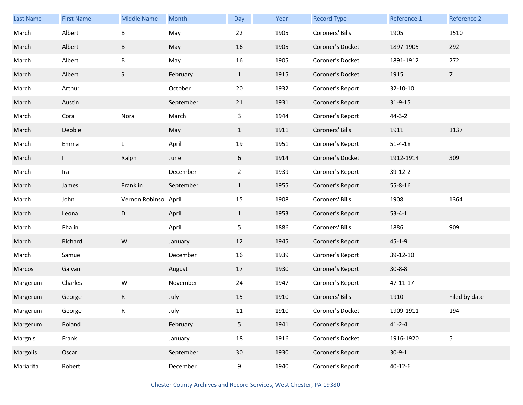| Last Name | <b>First Name</b> | <b>Middle Name</b>   | Month     | Day            | Year | <b>Record Type</b> | Reference 1   | Reference 2    |
|-----------|-------------------|----------------------|-----------|----------------|------|--------------------|---------------|----------------|
| March     | Albert            | B                    | May       | 22             | 1905 | Coroners' Bills    | 1905          | 1510           |
| March     | Albert            | B                    | May       | 16             | 1905 | Coroner's Docket   | 1897-1905     | 292            |
| March     | Albert            | Β                    | May       | 16             | 1905 | Coroner's Docket   | 1891-1912     | 272            |
| March     | Albert            | S                    | February  | $\mathbf{1}$   | 1915 | Coroner's Docket   | 1915          | 7 <sup>7</sup> |
| March     | Arthur            |                      | October   | 20             | 1932 | Coroner's Report   | 32-10-10      |                |
| March     | Austin            |                      | September | 21             | 1931 | Coroner's Report   | $31 - 9 - 15$ |                |
| March     | Cora              | Nora                 | March     | 3              | 1944 | Coroner's Report   | $44 - 3 - 2$  |                |
| March     | Debbie            |                      | May       | $\mathbf{1}$   | 1911 | Coroners' Bills    | 1911          | 1137           |
| March     | Emma              | L                    | April     | 19             | 1951 | Coroner's Report   | $51 - 4 - 18$ |                |
| March     | $\mathsf{I}$      | Ralph                | June      | 6              | 1914 | Coroner's Docket   | 1912-1914     | 309            |
| March     | Ira               |                      | December  | $\overline{2}$ | 1939 | Coroner's Report   | 39-12-2       |                |
| March     | James             | Franklin             | September | $\mathbf{1}$   | 1955 | Coroner's Report   | $55 - 8 - 16$ |                |
| March     | John              | Vernon Robinso April |           | 15             | 1908 | Coroners' Bills    | 1908          | 1364           |
| March     | Leona             | D                    | April     | $\mathbf{1}$   | 1953 | Coroner's Report   | $53 - 4 - 1$  |                |
| March     | Phalin            |                      | April     | 5              | 1886 | Coroners' Bills    | 1886          | 909            |
| March     | Richard           | ${\sf W}$            | January   | 12             | 1945 | Coroner's Report   | $45 - 1 - 9$  |                |
| March     | Samuel            |                      | December  | 16             | 1939 | Coroner's Report   | 39-12-10      |                |
| Marcos    | Galvan            |                      | August    | 17             | 1930 | Coroner's Report   | $30 - 8 - 8$  |                |
| Margerum  | Charles           | W                    | November  | 24             | 1947 | Coroner's Report   | 47-11-17      |                |
| Margerum  | George            | R                    | July      | 15             | 1910 | Coroners' Bills    | 1910          | Filed by date  |
| Margerum  | George            | R                    | July      | 11             | 1910 | Coroner's Docket   | 1909-1911     | 194            |
| Margerum  | Roland            |                      | February  | 5 <sub>5</sub> | 1941 | Coroner's Report   | $41 - 2 - 4$  |                |
| Margnis   | Frank             |                      | January   | 18             | 1916 | Coroner's Docket   | 1916-1920     | 5              |
| Margolis  | Oscar             |                      | September | 30             | 1930 | Coroner's Report   | $30-9-1$      |                |
| Mariarita | Robert            |                      | December  | 9              | 1940 | Coroner's Report   | $40 - 12 - 6$ |                |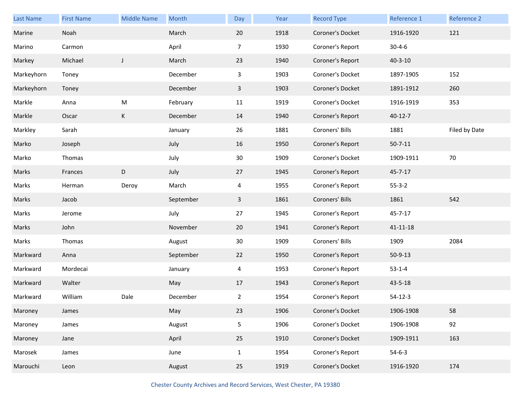| <b>Last Name</b> | <b>First Name</b> | <b>Middle Name</b> | Month     | Day            | Year | <b>Record Type</b> | Reference 1    | Reference 2   |
|------------------|-------------------|--------------------|-----------|----------------|------|--------------------|----------------|---------------|
| Marine           | Noah              |                    | March     | 20             | 1918 | Coroner's Docket   | 1916-1920      | 121           |
| Marino           | Carmon            |                    | April     | $\overline{7}$ | 1930 | Coroner's Report   | $30 - 4 - 6$   |               |
| Markey           | Michael           | $\mathsf J$        | March     | 23             | 1940 | Coroner's Report   | $40 - 3 - 10$  |               |
| Markeyhorn       | Toney             |                    | December  | 3              | 1903 | Coroner's Docket   | 1897-1905      | 152           |
| Markeyhorn       | Toney             |                    | December  | $\mathbf{3}$   | 1903 | Coroner's Docket   | 1891-1912      | 260           |
| Markle           | Anna              | M                  | February  | 11             | 1919 | Coroner's Docket   | 1916-1919      | 353           |
| Markle           | Oscar             | K                  | December  | 14             | 1940 | Coroner's Report   | $40 - 12 - 7$  |               |
| Markley          | Sarah             |                    | January   | 26             | 1881 | Coroners' Bills    | 1881           | Filed by Date |
| Marko            | Joseph            |                    | July      | 16             | 1950 | Coroner's Report   | $50 - 7 - 11$  |               |
| Marko            | Thomas            |                    | July      | 30             | 1909 | Coroner's Docket   | 1909-1911      | 70            |
| Marks            | Frances           | D                  | July      | 27             | 1945 | Coroner's Report   | $45 - 7 - 17$  |               |
| Marks            | Herman            | Deroy              | March     | 4              | 1955 | Coroner's Report   | $55 - 3 - 2$   |               |
| Marks            | Jacob             |                    | September | $\mathbf{3}$   | 1861 | Coroners' Bills    | 1861           | 542           |
| Marks            | Jerome            |                    | July      | 27             | 1945 | Coroner's Report   | 45-7-17        |               |
| Marks            | John              |                    | November  | 20             | 1941 | Coroner's Report   | $41 - 11 - 18$ |               |
| Marks            | Thomas            |                    | August    | 30             | 1909 | Coroners' Bills    | 1909           | 2084          |
| Markward         | Anna              |                    | September | 22             | 1950 | Coroner's Report   | $50-9-13$      |               |
| Markward         | Mordecai          |                    | January   | 4              | 1953 | Coroner's Report   | $53-1-4$       |               |
| Markward         | Walter            |                    | May       | 17             | 1943 | Coroner's Report   | 43-5-18        |               |
| Markward         | William           | Dale               | December  | $\overline{2}$ | 1954 | Coroner's Report   | $54 - 12 - 3$  |               |
| Maroney          | James             |                    | May       | 23             | 1906 | Coroner's Docket   | 1906-1908      | 58            |
| Maroney          | James             |                    | August    | 5              | 1906 | Coroner's Docket   | 1906-1908      | 92            |
| Maroney          | Jane              |                    | April     | 25             | 1910 | Coroner's Docket   | 1909-1911      | 163           |
| Marosek          | James             |                    | June      | $\mathbf{1}$   | 1954 | Coroner's Report   | $54-6-3$       |               |
| Marouchi         | Leon              |                    | August    | 25             | 1919 | Coroner's Docket   | 1916-1920      | 174           |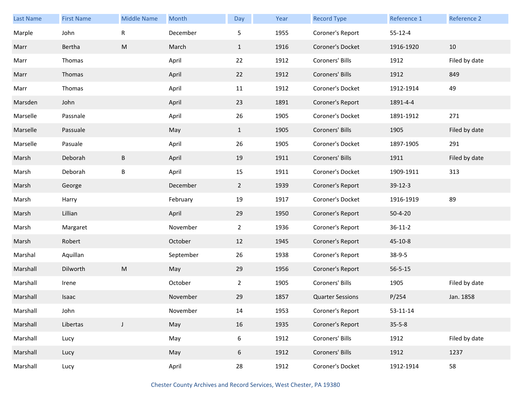| Last Name | <b>First Name</b> | <b>Middle Name</b> | Month     | Day            | Year | <b>Record Type</b>      | Reference 1   | Reference 2   |
|-----------|-------------------|--------------------|-----------|----------------|------|-------------------------|---------------|---------------|
| Marple    | John              | $\mathsf R$        | December  | 5              | 1955 | Coroner's Report        | $55 - 12 - 4$ |               |
| Marr      | Bertha            | ${\sf M}$          | March     | $\mathbf{1}$   | 1916 | Coroner's Docket        | 1916-1920     | 10            |
| Marr      | Thomas            |                    | April     | 22             | 1912 | Coroners' Bills         | 1912          | Filed by date |
| Marr      | Thomas            |                    | April     | 22             | 1912 | Coroners' Bills         | 1912          | 849           |
| Marr      | Thomas            |                    | April     | 11             | 1912 | Coroner's Docket        | 1912-1914     | 49            |
| Marsden   | John              |                    | April     | 23             | 1891 | Coroner's Report        | 1891-4-4      |               |
| Marselle  | Passnale          |                    | April     | 26             | 1905 | Coroner's Docket        | 1891-1912     | 271           |
| Marselle  | Passuale          |                    | May       | $\mathbf{1}$   | 1905 | Coroners' Bills         | 1905          | Filed by date |
| Marselle  | Pasuale           |                    | April     | 26             | 1905 | Coroner's Docket        | 1897-1905     | 291           |
| Marsh     | Deborah           | $\sf B$            | April     | 19             | 1911 | Coroners' Bills         | 1911          | Filed by date |
| Marsh     | Deborah           | B                  | April     | 15             | 1911 | Coroner's Docket        | 1909-1911     | 313           |
| Marsh     | George            |                    | December  | $\overline{2}$ | 1939 | Coroner's Report        | $39-12-3$     |               |
| Marsh     | Harry             |                    | February  | 19             | 1917 | Coroner's Docket        | 1916-1919     | 89            |
| Marsh     | Lillian           |                    | April     | 29             | 1950 | Coroner's Report        | $50 - 4 - 20$ |               |
| Marsh     | Margaret          |                    | November  | $\overline{2}$ | 1936 | Coroner's Report        | $36 - 11 - 2$ |               |
| Marsh     | Robert            |                    | October   | 12             | 1945 | Coroner's Report        | $45 - 10 - 8$ |               |
| Marshal   | Aquillan          |                    | September | 26             | 1938 | Coroner's Report        | $38-9-5$      |               |
| Marshall  | Dilworth          | ${\sf M}$          | May       | 29             | 1956 | Coroner's Report        | $56 - 5 - 15$ |               |
| Marshall  | Irene             |                    | October   | $\overline{2}$ | 1905 | Coroners' Bills         | 1905          | Filed by date |
| Marshall  | Isaac             |                    | November  | 29             | 1857 | <b>Quarter Sessions</b> | P/254         | Jan. 1858     |
| Marshall  | John              |                    | November  | 14             | 1953 | Coroner's Report        | 53-11-14      |               |
| Marshall  | Libertas          | $\mathsf J$        | May       | 16             | 1935 | Coroner's Report        | $35 - 5 - 8$  |               |
| Marshall  | Lucy              |                    | May       | $6\,$          | 1912 | Coroners' Bills         | 1912          | Filed by date |
| Marshall  | Lucy              |                    | May       | 6              | 1912 | Coroners' Bills         | 1912          | 1237          |
| Marshall  | Lucy              |                    | April     | 28             | 1912 | Coroner's Docket        | 1912-1914     | 58            |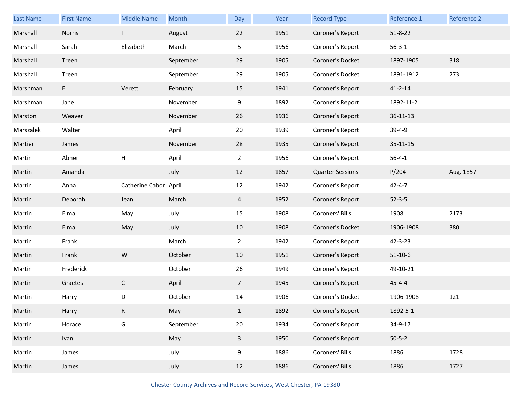| Last Name | <b>First Name</b> | <b>Middle Name</b>    | Month     | Day            | Year | <b>Record Type</b>      | Reference 1    | Reference 2 |
|-----------|-------------------|-----------------------|-----------|----------------|------|-------------------------|----------------|-------------|
| Marshall  | Norris            | T                     | August    | 22             | 1951 | Coroner's Report        | $51 - 8 - 22$  |             |
| Marshall  | Sarah             | Elizabeth             | March     | 5              | 1956 | Coroner's Report        | $56 - 3 - 1$   |             |
| Marshall  | Treen             |                       | September | 29             | 1905 | Coroner's Docket        | 1897-1905      | 318         |
| Marshall  | Treen             |                       | September | 29             | 1905 | Coroner's Docket        | 1891-1912      | 273         |
| Marshman  | E                 | Verett                | February  | 15             | 1941 | Coroner's Report        | $41 - 2 - 14$  |             |
| Marshman  | Jane              |                       | November  | 9              | 1892 | Coroner's Report        | 1892-11-2      |             |
| Marston   | Weaver            |                       | November  | 26             | 1936 | Coroner's Report        | $36 - 11 - 13$ |             |
| Marszalek | Walter            |                       | April     | 20             | 1939 | Coroner's Report        | $39-4-9$       |             |
| Martier   | James             |                       | November  | 28             | 1935 | Coroner's Report        | $35 - 11 - 15$ |             |
| Martin    | Abner             | Н                     | April     | $\overline{2}$ | 1956 | Coroner's Report        | $56 - 4 - 1$   |             |
| Martin    | Amanda            |                       | July      | 12             | 1857 | <b>Quarter Sessions</b> | P/204          | Aug. 1857   |
| Martin    | Anna              | Catherine Cabor April |           | 12             | 1942 | Coroner's Report        | $42 - 4 - 7$   |             |
| Martin    | Deborah           | Jean                  | March     | $\overline{4}$ | 1952 | Coroner's Report        | $52 - 3 - 5$   |             |
| Martin    | Elma              | May                   | July      | 15             | 1908 | Coroners' Bills         | 1908           | 2173        |
| Martin    | Elma              | May                   | July      | 10             | 1908 | Coroner's Docket        | 1906-1908      | 380         |
| Martin    | Frank             |                       | March     | $\overline{a}$ | 1942 | Coroner's Report        | 42-3-23        |             |
| Martin    | Frank             | ${\sf W}$             | October   | 10             | 1951 | Coroner's Report        | $51 - 10 - 6$  |             |
| Martin    | Frederick         |                       | October   | 26             | 1949 | Coroner's Report        | 49-10-21       |             |
| Martin    | Graetes           | $\mathsf C$           | April     | $\overline{7}$ | 1945 | Coroner's Report        | $45 - 4 - 4$   |             |
| Martin    | Harry             | D                     | October   | 14             | 1906 | Coroner's Docket        | 1906-1908      | 121         |
| Martin    | Harry             | $\mathsf{R}$          | May       | $\mathbf{1}$   | 1892 | Coroner's Report        | 1892-5-1       |             |
| Martin    | Horace            | G                     | September | $20\,$         | 1934 | Coroner's Report        | 34-9-17        |             |
| Martin    | Ivan              |                       | May       | $\mathbf{3}$   | 1950 | Coroner's Report        | $50 - 5 - 2$   |             |
| Martin    | James             |                       | July      | 9              | 1886 | Coroners' Bills         | 1886           | 1728        |
| Martin    | James             |                       | July      | 12             | 1886 | Coroners' Bills         | 1886           | 1727        |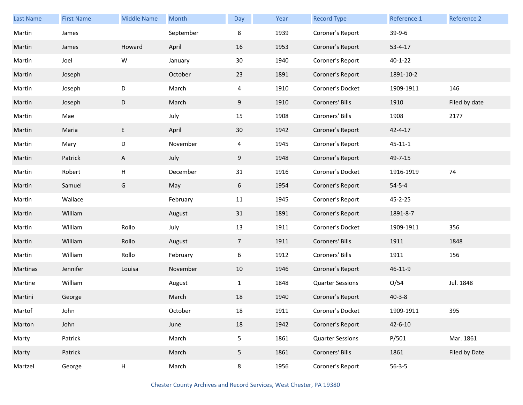| <b>Last Name</b> | <b>First Name</b> | <b>Middle Name</b>        | Month     | Day            | Year | <b>Record Type</b>      | Reference 1   | Reference 2   |
|------------------|-------------------|---------------------------|-----------|----------------|------|-------------------------|---------------|---------------|
| Martin           | James             |                           | September | 8              | 1939 | Coroner's Report        | 39-9-6        |               |
| Martin           | James             | Howard                    | April     | 16             | 1953 | Coroner's Report        | $53 - 4 - 17$ |               |
| Martin           | Joel              | W                         | January   | 30             | 1940 | Coroner's Report        | $40 - 1 - 22$ |               |
| Martin           | Joseph            |                           | October   | 23             | 1891 | Coroner's Report        | 1891-10-2     |               |
| Martin           | Joseph            | D                         | March     | $\overline{4}$ | 1910 | Coroner's Docket        | 1909-1911     | 146           |
| Martin           | Joseph            | $\mathsf D$               | March     | 9              | 1910 | Coroners' Bills         | 1910          | Filed by date |
| Martin           | Mae               |                           | July      | 15             | 1908 | Coroners' Bills         | 1908          | 2177          |
| Martin           | Maria             | E.                        | April     | 30             | 1942 | Coroner's Report        | $42 - 4 - 17$ |               |
| Martin           | Mary              | D                         | November  | $\overline{4}$ | 1945 | Coroner's Report        | $45 - 11 - 1$ |               |
| Martin           | Patrick           | $\mathsf{A}$              | July      | 9              | 1948 | Coroner's Report        | 49-7-15       |               |
| Martin           | Robert            | $\sf H$                   | December  | 31             | 1916 | Coroner's Docket        | 1916-1919     | 74            |
| Martin           | Samuel            | G                         | May       | 6              | 1954 | Coroner's Report        | $54 - 5 - 4$  |               |
| Martin           | Wallace           |                           | February  | 11             | 1945 | Coroner's Report        | 45-2-25       |               |
| Martin           | William           |                           | August    | 31             | 1891 | Coroner's Report        | 1891-8-7      |               |
| Martin           | William           | Rollo                     | July      | 13             | 1911 | Coroner's Docket        | 1909-1911     | 356           |
| Martin           | William           | Rollo                     | August    | $\overline{7}$ | 1911 | Coroners' Bills         | 1911          | 1848          |
| Martin           | William           | Rollo                     | February  | 6              | 1912 | Coroners' Bills         | 1911          | 156           |
| Martinas         | Jennifer          | Louisa                    | November  | 10             | 1946 | Coroner's Report        | 46-11-9       |               |
| Martine          | William           |                           | August    | $\mathbf{1}$   | 1848 | <b>Quarter Sessions</b> | O/54          | Jul. 1848     |
| Martini          | George            |                           | March     | 18             | 1940 | Coroner's Report        | $40 - 3 - 8$  |               |
| Martof           | John              |                           | October   | $18\,$         | 1911 | Coroner's Docket        | 1909-1911     | 395           |
| Marton           | John              |                           | June      | 18             | 1942 | Coroner's Report        | $42 - 6 - 10$ |               |
| Marty            | Patrick           |                           | March     | 5              | 1861 | <b>Quarter Sessions</b> | P/501         | Mar. 1861     |
| Marty            | Patrick           |                           | March     | 5              | 1861 | Coroners' Bills         | 1861          | Filed by Date |
| Martzel          | George            | $\boldsymbol{\mathsf{H}}$ | March     | 8              | 1956 | Coroner's Report        | $56 - 3 - 5$  |               |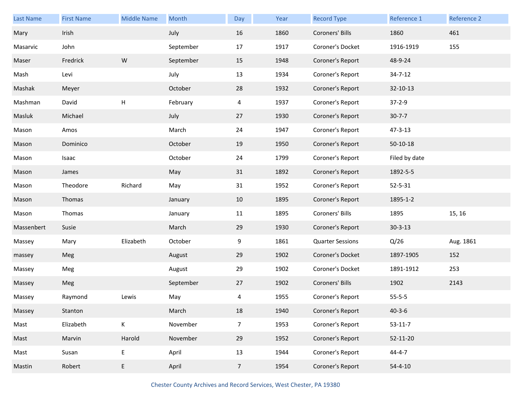| Last Name  | <b>First Name</b> | <b>Middle Name</b> | Month     | Day            | Year | <b>Record Type</b>      | Reference 1   | Reference 2 |
|------------|-------------------|--------------------|-----------|----------------|------|-------------------------|---------------|-------------|
| Mary       | Irish             |                    | July      | 16             | 1860 | Coroners' Bills         | 1860          | 461         |
| Masarvic   | John              |                    | September | 17             | 1917 | Coroner's Docket        | 1916-1919     | 155         |
| Maser      | Fredrick          | ${\sf W}$          | September | 15             | 1948 | Coroner's Report        | 48-9-24       |             |
| Mash       | Levi              |                    | July      | 13             | 1934 | Coroner's Report        | $34 - 7 - 12$ |             |
| Mashak     | Meyer             |                    | October   | 28             | 1932 | Coroner's Report        | 32-10-13      |             |
| Mashman    | David             | Н                  | February  | 4              | 1937 | Coroner's Report        | $37 - 2 - 9$  |             |
| Masluk     | Michael           |                    | July      | 27             | 1930 | Coroner's Report        | $30 - 7 - 7$  |             |
| Mason      | Amos              |                    | March     | 24             | 1947 | Coroner's Report        | $47 - 3 - 13$ |             |
| Mason      | Dominico          |                    | October   | 19             | 1950 | Coroner's Report        | $50-10-18$    |             |
| Mason      | Isaac             |                    | October   | 24             | 1799 | Coroner's Report        | Filed by date |             |
| Mason      | James             |                    | May       | 31             | 1892 | Coroner's Report        | 1892-5-5      |             |
| Mason      | Theodore          | Richard            | May       | 31             | 1952 | Coroner's Report        | $52 - 5 - 31$ |             |
| Mason      | Thomas            |                    | January   | 10             | 1895 | Coroner's Report        | 1895-1-2      |             |
| Mason      | Thomas            |                    | January   | 11             | 1895 | Coroners' Bills         | 1895          | 15, 16      |
| Massenbert | Susie             |                    | March     | 29             | 1930 | Coroner's Report        | $30 - 3 - 13$ |             |
| Massey     | Mary              | Elizabeth          | October   | 9              | 1861 | <b>Quarter Sessions</b> | Q/26          | Aug. 1861   |
| massey     | Meg               |                    | August    | 29             | 1902 | Coroner's Docket        | 1897-1905     | 152         |
| Massey     | Meg               |                    | August    | 29             | 1902 | Coroner's Docket        | 1891-1912     | 253         |
| Massey     | Meg               |                    | September | 27             | 1902 | Coroners' Bills         | 1902          | 2143        |
| Massey     | Raymond           | Lewis              | May       | 4              | 1955 | Coroner's Report        | $55 - 5 - 5$  |             |
| Massey     | Stanton           |                    | March     | 18             | 1940 | Coroner's Report        | $40 - 3 - 6$  |             |
| Mast       | Elizabeth         | K                  | November  | $\overline{7}$ | 1953 | Coroner's Report        | $53-11-7$     |             |
| Mast       | Marvin            | Harold             | November  | 29             | 1952 | Coroner's Report        | 52-11-20      |             |
| Mast       | Susan             | E                  | April     | 13             | 1944 | Coroner's Report        | $44 - 4 - 7$  |             |
| Mastin     | Robert            | E                  | April     | $\overline{7}$ | 1954 | Coroner's Report        | $54 - 4 - 10$ |             |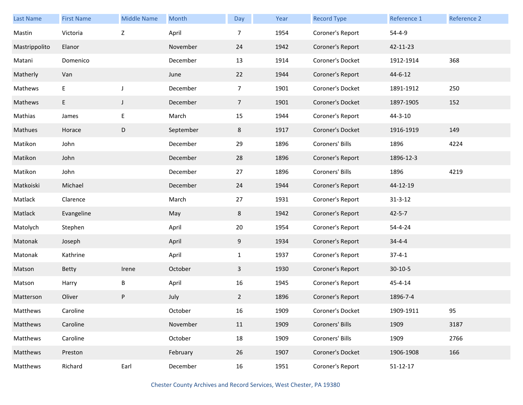| <b>Last Name</b> | <b>First Name</b> | <b>Middle Name</b> | Month     | Day            | Year | <b>Record Type</b> | Reference 1    | Reference 2 |
|------------------|-------------------|--------------------|-----------|----------------|------|--------------------|----------------|-------------|
| Mastin           | Victoria          | Z                  | April     | 7              | 1954 | Coroner's Report   | $54 - 4 - 9$   |             |
| Mastrippolito    | Elanor            |                    | November  | 24             | 1942 | Coroner's Report   | 42-11-23       |             |
| Matani           | Domenico          |                    | December  | 13             | 1914 | Coroner's Docket   | 1912-1914      | 368         |
| Matherly         | Van               |                    | June      | 22             | 1944 | Coroner's Report   | $44 - 6 - 12$  |             |
| Mathews          | E                 | $\mathsf J$        | December  | $\overline{7}$ | 1901 | Coroner's Docket   | 1891-1912      | 250         |
| Mathews          | E                 | J                  | December  | $\overline{7}$ | 1901 | Coroner's Docket   | 1897-1905      | 152         |
| Mathias          | James             | E                  | March     | 15             | 1944 | Coroner's Report   | $44 - 3 - 10$  |             |
| Mathues          | Horace            | D                  | September | 8              | 1917 | Coroner's Docket   | 1916-1919      | 149         |
| Matikon          | John              |                    | December  | 29             | 1896 | Coroners' Bills    | 1896           | 4224        |
| Matikon          | John              |                    | December  | 28             | 1896 | Coroner's Report   | 1896-12-3      |             |
| Matikon          | John              |                    | December  | 27             | 1896 | Coroners' Bills    | 1896           | 4219        |
| Matkoiski        | Michael           |                    | December  | 24             | 1944 | Coroner's Report   | 44-12-19       |             |
| Matlack          | Clarence          |                    | March     | 27             | 1931 | Coroner's Report   | $31 - 3 - 12$  |             |
| Matlack          | Evangeline        |                    | May       | 8              | 1942 | Coroner's Report   | $42 - 5 - 7$   |             |
| Matolych         | Stephen           |                    | April     | 20             | 1954 | Coroner's Report   | 54-4-24        |             |
| Matonak          | Joseph            |                    | April     | 9              | 1934 | Coroner's Report   | $34 - 4 - 4$   |             |
| Matonak          | Kathrine          |                    | April     | $\mathbf{1}$   | 1937 | Coroner's Report   | $37 - 4 - 1$   |             |
| Matson           | <b>Betty</b>      | Irene              | October   | 3              | 1930 | Coroner's Report   | $30-10-5$      |             |
| Matson           | Harry             | B                  | April     | 16             | 1945 | Coroner's Report   | 45-4-14        |             |
| Matterson        | Oliver            | P                  | July      | $\mathbf{2}$   | 1896 | Coroner's Report   | 1896-7-4       |             |
| Matthews         | Caroline          |                    | October   | 16             | 1909 | Coroner's Docket   | 1909-1911      | 95          |
| Matthews         | Caroline          |                    | November  | 11             | 1909 | Coroners' Bills    | 1909           | 3187        |
| Matthews         | Caroline          |                    | October   | 18             | 1909 | Coroners' Bills    | 1909           | 2766        |
| Matthews         | Preston           |                    | February  | 26             | 1907 | Coroner's Docket   | 1906-1908      | 166         |
| Matthews         | Richard           | Earl               | December  | 16             | 1951 | Coroner's Report   | $51 - 12 - 17$ |             |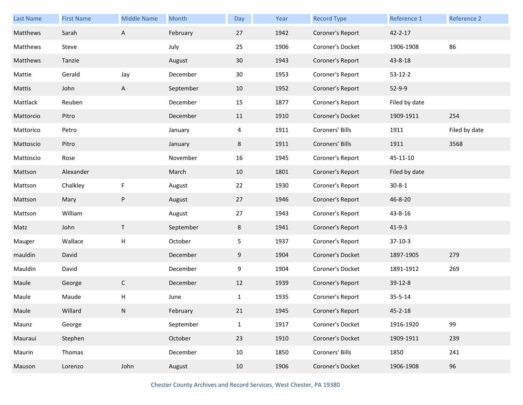| Last Name | <b>First Name</b> | <b>Middle Name</b>        | Month     | Day          | Year | <b>Record Type</b> | Reference 1   | Reference 2   |
|-----------|-------------------|---------------------------|-----------|--------------|------|--------------------|---------------|---------------|
| Matthews  | Sarah             | A                         | February  | 27           | 1942 | Coroner's Report   | $42 - 2 - 17$ |               |
| Matthews  | Steve             |                           | July      | 25           | 1906 | Coroner's Docket   | 1906-1908     | 86            |
| Matthews  | Tanzie            |                           | August    | 30           | 1943 | Coroner's Report   | 43-8-18       |               |
| Mattie    | Gerald            | Jay                       | December  | 30           | 1953 | Coroner's Report   | $53 - 12 - 2$ |               |
| Mattis    | John              | A                         | September | 10           | 1952 | Coroner's Report   | $52-9-9$      |               |
| Mattlack  | Reuben            |                           | December  | 15           | 1877 | Coroner's Report   | Filed by date |               |
| Mattorcio | Pitro             |                           | December  | 11           | 1910 | Coroner's Docket   | 1909-1911     | 254           |
| Mattorico | Petro             |                           | January   | 4            | 1911 | Coroners' Bills    | 1911          | Filed by date |
| Mattoscio | Pitro             |                           | January   | 8            | 1911 | Coroners' Bills    | 1911          | 3568          |
| Mattoscio | Rose              |                           | November  | 16           | 1945 | Coroner's Report   | 45-11-10      |               |
| Mattson   | Alexander         |                           | March     | 10           | 1801 | Coroner's Report   | Filed by date |               |
| Mattson   | Chalkley          | F                         | August    | 22           | 1930 | Coroner's Report   | $30 - 8 - 1$  |               |
| Mattson   | Mary              | ${\sf P}$                 | August    | 27           | 1946 | Coroner's Report   | 46-8-20       |               |
| Mattson   | William           |                           | August    | 27           | 1943 | Coroner's Report   | 43-8-16       |               |
| Matz      | John              | $\top$                    | September | 8            | 1941 | Coroner's Report   | $41 - 9 - 3$  |               |
| Mauger    | Wallace           | $\boldsymbol{\mathsf{H}}$ | October   | 5            | 1937 | Coroner's Report   | $37-10-3$     |               |
| mauldin   | David             |                           | December  | 9            | 1904 | Coroner's Docket   | 1897-1905     | 279           |
| Mauldin   | David             |                           | December  | 9            | 1904 | Coroner's Docket   | 1891-1912     | 269           |
| Maule     | George            | $\mathsf C$               | December  | 12           | 1939 | Coroner's Report   | 39-12-8       |               |
| Maule     | Maude             | $\mathsf{H}$              | June      | $\mathbf{1}$ | 1935 | Coroner's Report   | $35 - 5 - 14$ |               |
| Maule     | Willard           | N                         | February  | 21           | 1945 | Coroner's Report   | $45 - 2 - 18$ |               |
| Maunz     | George            |                           | September | $\mathbf{1}$ | 1917 | Coroner's Docket   | 1916-1920     | 99            |
| Mauraui   | Stephen           |                           | October   | 23           | 1910 | Coroner's Docket   | 1909-1911     | 239           |
| Maurin    | Thomas            |                           | December  | 10           | 1850 | Coroners' Bills    | 1850          | 241           |
| Mauson    | Lorenzo           | John                      | August    | 10           | 1906 | Coroner's Docket   | 1906-1908     | 96            |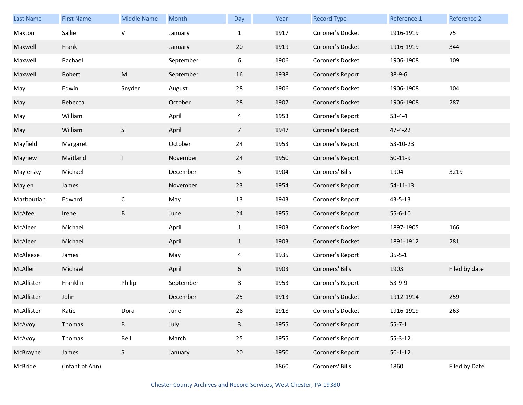| <b>Last Name</b> | <b>First Name</b> | <b>Middle Name</b> | Month     | Day            | Year | <b>Record Type</b> | Reference 1    | Reference 2   |
|------------------|-------------------|--------------------|-----------|----------------|------|--------------------|----------------|---------------|
| Maxton           | Sallie            | $\vee$             | January   | $\mathbf{1}$   | 1917 | Coroner's Docket   | 1916-1919      | 75            |
| Maxwell          | Frank             |                    | January   | 20             | 1919 | Coroner's Docket   | 1916-1919      | 344           |
| Maxwell          | Rachael           |                    | September | 6              | 1906 | Coroner's Docket   | 1906-1908      | 109           |
| Maxwell          | Robert            | M                  | September | 16             | 1938 | Coroner's Report   | $38-9-6$       |               |
| May              | Edwin             | Snyder             | August    | 28             | 1906 | Coroner's Docket   | 1906-1908      | 104           |
| May              | Rebecca           |                    | October   | 28             | 1907 | Coroner's Docket   | 1906-1908      | 287           |
| May              | William           |                    | April     | 4              | 1953 | Coroner's Report   | $53 - 4 - 4$   |               |
| May              | William           | S                  | April     | 7 <sup>1</sup> | 1947 | Coroner's Report   | 47-4-22        |               |
| Mayfield         | Margaret          |                    | October   | 24             | 1953 | Coroner's Report   | 53-10-23       |               |
| Mayhew           | Maitland          | $\mathsf{I}$       | November  | 24             | 1950 | Coroner's Report   | $50-11-9$      |               |
| Mayiersky        | Michael           |                    | December  | 5              | 1904 | Coroners' Bills    | 1904           | 3219          |
| Maylen           | James             |                    | November  | 23             | 1954 | Coroner's Report   | $54 - 11 - 13$ |               |
| Mazboutian       | Edward            | $\mathsf C$        | May       | 13             | 1943 | Coroner's Report   | 43-5-13        |               |
| McAfee           | Irene             | B                  | June      | 24             | 1955 | Coroner's Report   | $55 - 6 - 10$  |               |
| McAleer          | Michael           |                    | April     | $\mathbf{1}$   | 1903 | Coroner's Docket   | 1897-1905      | 166           |
| McAleer          | Michael           |                    | April     | $\mathbf{1}$   | 1903 | Coroner's Docket   | 1891-1912      | 281           |
| McAleese         | James             |                    | May       | 4              | 1935 | Coroner's Report   | $35 - 5 - 1$   |               |
| McAller          | Michael           |                    | April     | 6              | 1903 | Coroners' Bills    | 1903           | Filed by date |
| McAllister       | Franklin          | Philip             | September | 8              | 1953 | Coroner's Report   | 53-9-9         |               |
| McAllister       | John              |                    | December  | 25             | 1913 | Coroner's Docket   | 1912-1914      | 259           |
| McAllister       | Katie             | Dora               | June      | 28             | 1918 | Coroner's Docket   | 1916-1919      | 263           |
| McAvoy           | Thomas            | B                  | July      | $\mathbf{3}$   | 1955 | Coroner's Report   | $55 - 7 - 1$   |               |
| McAvoy           | Thomas            | Bell               | March     | 25             | 1955 | Coroner's Report   | $55 - 3 - 12$  |               |
| McBrayne         | James             | S                  | January   | 20             | 1950 | Coroner's Report   | $50 - 1 - 12$  |               |
| McBride          | (infant of Ann)   |                    |           |                | 1860 | Coroners' Bills    | 1860           | Filed by Date |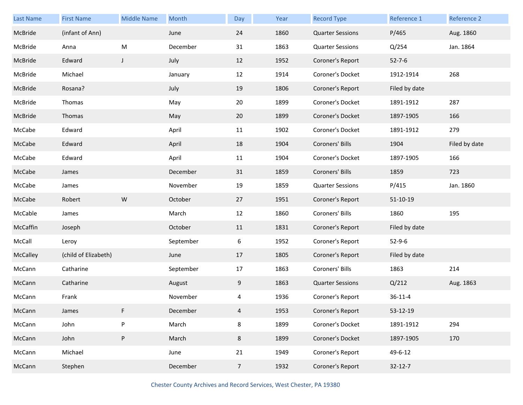| <b>Last Name</b> | <b>First Name</b>    | <b>Middle Name</b> | Month     | Day            | Year | <b>Record Type</b>      | Reference 1    | Reference 2   |
|------------------|----------------------|--------------------|-----------|----------------|------|-------------------------|----------------|---------------|
| McBride          | (infant of Ann)      |                    | June      | 24             | 1860 | <b>Quarter Sessions</b> | P/465          | Aug. 1860     |
| McBride          | Anna                 | M                  | December  | 31             | 1863 | <b>Quarter Sessions</b> | Q/254          | Jan. 1864     |
| McBride          | Edward               | $\mathsf J$        | July      | 12             | 1952 | Coroner's Report        | $52 - 7 - 6$   |               |
| McBride          | Michael              |                    | January   | 12             | 1914 | Coroner's Docket        | 1912-1914      | 268           |
| McBride          | Rosana?              |                    | July      | 19             | 1806 | Coroner's Report        | Filed by date  |               |
| McBride          | Thomas               |                    | May       | 20             | 1899 | Coroner's Docket        | 1891-1912      | 287           |
| McBride          | Thomas               |                    | May       | 20             | 1899 | Coroner's Docket        | 1897-1905      | 166           |
| McCabe           | Edward               |                    | April     | 11             | 1902 | Coroner's Docket        | 1891-1912      | 279           |
| McCabe           | Edward               |                    | April     | 18             | 1904 | Coroners' Bills         | 1904           | Filed by date |
| McCabe           | Edward               |                    | April     | 11             | 1904 | Coroner's Docket        | 1897-1905      | 166           |
| McCabe           | James                |                    | December  | 31             | 1859 | Coroners' Bills         | 1859           | 723           |
| McCabe           | James                |                    | November  | 19             | 1859 | <b>Quarter Sessions</b> | P/415          | Jan. 1860     |
| McCabe           | Robert               | ${\sf W}$          | October   | 27             | 1951 | Coroner's Report        | $51 - 10 - 19$ |               |
| McCable          | James                |                    | March     | 12             | 1860 | Coroners' Bills         | 1860           | 195           |
| McCaffin         | Joseph               |                    | October   | 11             | 1831 | Coroner's Report        | Filed by date  |               |
| McCall           | Leroy                |                    | September | 6              | 1952 | Coroner's Report        | $52 - 9 - 6$   |               |
| McCalley         | (child of Elizabeth) |                    | June      | 17             | 1805 | Coroner's Report        | Filed by date  |               |
| McCann           | Catharine            |                    | September | 17             | 1863 | Coroners' Bills         | 1863           | 214           |
| McCann           | Catharine            |                    | August    | 9              | 1863 | <b>Quarter Sessions</b> | Q/212          | Aug. 1863     |
| McCann           | Frank                |                    | November  | 4              | 1936 | Coroner's Report        | $36 - 11 - 4$  |               |
| McCann           | James                | F                  | December  | 4              | 1953 | Coroner's Report        | 53-12-19       |               |
| McCann           | John                 | ${\sf P}$          | March     | 8              | 1899 | Coroner's Docket        | 1891-1912      | 294           |
| McCann           | John                 | $\sf P$            | March     | 8              | 1899 | Coroner's Docket        | 1897-1905      | 170           |
| McCann           | Michael              |                    | June      | 21             | 1949 | Coroner's Report        | 49-6-12        |               |
| McCann           | Stephen              |                    | December  | 7 <sup>7</sup> | 1932 | Coroner's Report        | $32 - 12 - 7$  |               |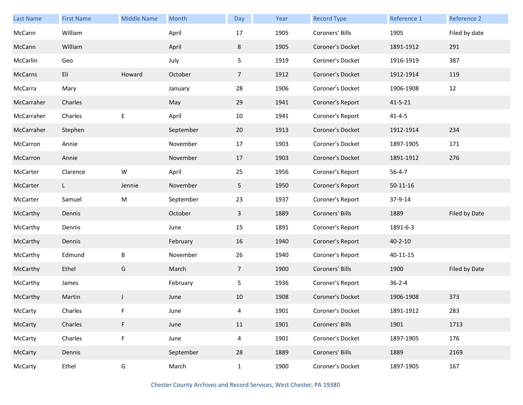| Last Name  | <b>First Name</b> | <b>Middle Name</b> | Month     | Day            | Year | <b>Record Type</b> | Reference 1   | <b>Reference 2</b> |
|------------|-------------------|--------------------|-----------|----------------|------|--------------------|---------------|--------------------|
| McCann     | William           |                    | April     | 17             | 1905 | Coroners' Bills    | 1905          | Filed by date      |
| McCann     | William           |                    | April     | 8              | 1905 | Coroner's Docket   | 1891-1912     | 291                |
| McCarlin   | Geo               |                    | July      | 5              | 1919 | Coroner's Docket   | 1916-1919     | 387                |
| McCarns    | Eli               | Howard             | October   | 7 <sup>1</sup> | 1912 | Coroner's Docket   | 1912-1914     | 119                |
| McCarra    | Mary              |                    | January   | 28             | 1906 | Coroner's Docket   | 1906-1908     | 12                 |
| McCarraher | Charles           |                    | May       | 29             | 1941 | Coroner's Report   | $41 - 5 - 21$ |                    |
| McCarraher | Charles           | E                  | April     | 10             | 1941 | Coroner's Report   | $41 - 4 - 5$  |                    |
| McCarraher | Stephen           |                    | September | 20             | 1913 | Coroner's Docket   | 1912-1914     | 234                |
| McCarron   | Annie             |                    | November  | 17             | 1903 | Coroner's Docket   | 1897-1905     | 171                |
| McCarron   | Annie             |                    | November  | 17             | 1903 | Coroner's Docket   | 1891-1912     | 276                |
| McCarter   | Clarence          | W                  | April     | 25             | 1956 | Coroner's Report   | $56 - 4 - 7$  |                    |
| McCarter   | $\mathsf{L}$      | Jennie             | November  | 5              | 1950 | Coroner's Report   | $50-11-16$    |                    |
| McCarter   | Samuel            | ${\sf M}$          | September | 23             | 1937 | Coroner's Report   | 37-9-14       |                    |
| McCarthy   | Dennis            |                    | October   | 3              | 1889 | Coroners' Bills    | 1889          | Filed by Date      |
| McCarthy   | Dennis            |                    | June      | 15             | 1891 | Coroner's Report   | 1891-6-3      |                    |
| McCarthy   | Dennis            |                    | February  | 16             | 1940 | Coroner's Report   | $40 - 2 - 10$ |                    |
| McCarthy   | Edmund            | B                  | November  | 26             | 1940 | Coroner's Report   | 40-11-15      |                    |
| McCarthy   | Ethel             | G                  | March     | 7 <sup>1</sup> | 1900 | Coroners' Bills    | 1900          | Filed by Date      |
| McCarthy   | James             |                    | February  | 5              | 1936 | Coroner's Report   | $36 - 2 - 4$  |                    |
| McCarthy   | Martin            | J                  | June      | 10             | 1908 | Coroner's Docket   | 1906-1908     | 373                |
| McCarty    | Charles           |                    | June      | 4              | 1901 | Coroner's Docket   | 1891-1912     | 283                |
| McCarty    | Charles           | F.                 | June      | 11             | 1901 | Coroners' Bills    | 1901          | 1713               |
| McCarty    | Charles           | F                  | June      | $\overline{4}$ | 1901 | Coroner's Docket   | 1897-1905     | 176                |
| McCarty    | Dennis            |                    | September | 28             | 1889 | Coroners' Bills    | 1889          | 2169               |
| McCarty    | Ethel             | G                  | March     | $\mathbf{1}$   | 1900 | Coroner's Docket   | 1897-1905     | 167                |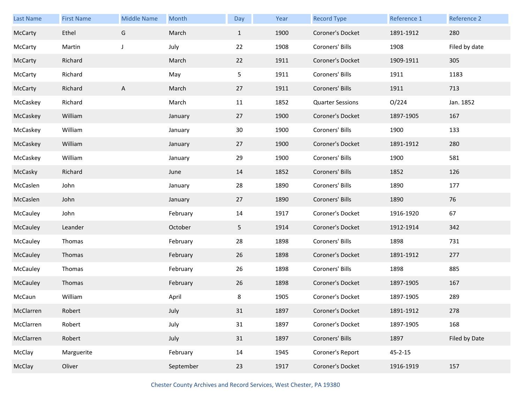| Last Name | <b>First Name</b> | <b>Middle Name</b> | Month     | Day          | Year | <b>Record Type</b>      | Reference 1   | Reference 2   |
|-----------|-------------------|--------------------|-----------|--------------|------|-------------------------|---------------|---------------|
| McCarty   | Ethel             | G                  | March     | $\mathbf{1}$ | 1900 | Coroner's Docket        | 1891-1912     | 280           |
| McCarty   | Martin            | J                  | July      | 22           | 1908 | Coroners' Bills         | 1908          | Filed by date |
| McCarty   | Richard           |                    | March     | 22           | 1911 | Coroner's Docket        | 1909-1911     | 305           |
| McCarty   | Richard           |                    | May       | 5            | 1911 | Coroners' Bills         | 1911          | 1183          |
| McCarty   | Richard           | Α                  | March     | 27           | 1911 | Coroners' Bills         | 1911          | 713           |
| McCaskey  | Richard           |                    | March     | 11           | 1852 | <b>Quarter Sessions</b> | O/224         | Jan. 1852     |
| McCaskey  | William           |                    | January   | 27           | 1900 | Coroner's Docket        | 1897-1905     | 167           |
| McCaskey  | William           |                    | January   | 30           | 1900 | Coroners' Bills         | 1900          | 133           |
| McCaskey  | William           |                    | January   | 27           | 1900 | Coroner's Docket        | 1891-1912     | 280           |
| McCaskey  | William           |                    | January   | 29           | 1900 | Coroners' Bills         | 1900          | 581           |
| McCasky   | Richard           |                    | June      | 14           | 1852 | Coroners' Bills         | 1852          | 126           |
| McCaslen  | John              |                    | January   | 28           | 1890 | Coroners' Bills         | 1890          | 177           |
| McCaslen  | John              |                    | January   | 27           | 1890 | Coroners' Bills         | 1890          | 76            |
| McCauley  | John              |                    | February  | 14           | 1917 | Coroner's Docket        | 1916-1920     | 67            |
| McCauley  | Leander           |                    | October   | 5            | 1914 | Coroner's Docket        | 1912-1914     | 342           |
| McCauley  | Thomas            |                    | February  | 28           | 1898 | Coroners' Bills         | 1898          | 731           |
| McCauley  | Thomas            |                    | February  | 26           | 1898 | Coroner's Docket        | 1891-1912     | 277           |
| McCauley  | Thomas            |                    | February  | 26           | 1898 | Coroners' Bills         | 1898          | 885           |
| McCauley  | Thomas            |                    | February  | 26           | 1898 | Coroner's Docket        | 1897-1905     | 167           |
| McCaun    | William           |                    | April     | 8            | 1905 | Coroner's Docket        | 1897-1905     | 289           |
| McClarren | Robert            |                    | July      | 31           | 1897 | Coroner's Docket        | 1891-1912     | 278           |
| McClarren | Robert            |                    | July      | 31           | 1897 | Coroner's Docket        | 1897-1905     | 168           |
| McClarren | Robert            |                    | July      | 31           | 1897 | Coroners' Bills         | 1897          | Filed by Date |
| McClay    | Marguerite        |                    | February  | 14           | 1945 | Coroner's Report        | $45 - 2 - 15$ |               |
| McClay    | Oliver            |                    | September | 23           | 1917 | Coroner's Docket        | 1916-1919     | 157           |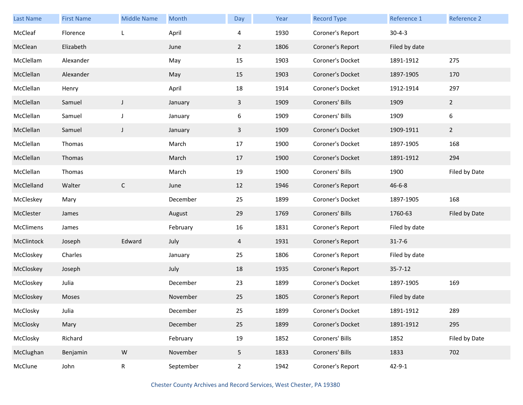| Last Name  | <b>First Name</b> | <b>Middle Name</b> | Month     | Day            | Year | <b>Record Type</b> | Reference 1   | Reference 2      |
|------------|-------------------|--------------------|-----------|----------------|------|--------------------|---------------|------------------|
| McCleaf    | Florence          | L                  | April     | 4              | 1930 | Coroner's Report   | $30 - 4 - 3$  |                  |
| McClean    | Elizabeth         |                    | June      | $\overline{2}$ | 1806 | Coroner's Report   | Filed by date |                  |
| McClellam  | Alexander         |                    | May       | 15             | 1903 | Coroner's Docket   | 1891-1912     | 275              |
| McClellan  | Alexander         |                    | May       | 15             | 1903 | Coroner's Docket   | 1897-1905     | 170              |
| McClellan  | Henry             |                    | April     | 18             | 1914 | Coroner's Docket   | 1912-1914     | 297              |
| McClellan  | Samuel            | $\mathsf{J}$       | January   | $\mathbf{3}$   | 1909 | Coroners' Bills    | 1909          | $\overline{2}$   |
| McClellan  | Samuel            | J                  | January   | 6              | 1909 | Coroners' Bills    | 1909          | $\boldsymbol{6}$ |
| McClellan  | Samuel            | $\mathsf{J}$       | January   | 3              | 1909 | Coroner's Docket   | 1909-1911     | $\overline{2}$   |
| McClellan  | Thomas            |                    | March     | 17             | 1900 | Coroner's Docket   | 1897-1905     | 168              |
| McClellan  | Thomas            |                    | March     | 17             | 1900 | Coroner's Docket   | 1891-1912     | 294              |
| McClellan  | Thomas            |                    | March     | 19             | 1900 | Coroners' Bills    | 1900          | Filed by Date    |
| McClelland | Walter            | $\mathsf C$        | June      | 12             | 1946 | Coroner's Report   | $46 - 6 - 8$  |                  |
| McCleskey  | Mary              |                    | December  | 25             | 1899 | Coroner's Docket   | 1897-1905     | 168              |
| McClester  | James             |                    | August    | 29             | 1769 | Coroners' Bills    | 1760-63       | Filed by Date    |
| McClimens  | James             |                    | February  | 16             | 1831 | Coroner's Report   | Filed by date |                  |
| McClintock | Joseph            | Edward             | July      | 4              | 1931 | Coroner's Report   | $31 - 7 - 6$  |                  |
| McCloskey  | Charles           |                    | January   | 25             | 1806 | Coroner's Report   | Filed by date |                  |
| McCloskey  | Joseph            |                    | July      | 18             | 1935 | Coroner's Report   | $35 - 7 - 12$ |                  |
| McCloskey  | Julia             |                    | December  | 23             | 1899 | Coroner's Docket   | 1897-1905     | 169              |
| McCloskey  | Moses             |                    | November  | 25             | 1805 | Coroner's Report   | Filed by date |                  |
| McClosky   | Julia             |                    | December  | 25             | 1899 | Coroner's Docket   | 1891-1912     | 289              |
| McClosky   | Mary              |                    | December  | 25             | 1899 | Coroner's Docket   | 1891-1912     | 295              |
| McClosky   | Richard           |                    | February  | 19             | 1852 | Coroners' Bills    | 1852          | Filed by Date    |
| McClughan  | Benjamin          | ${\sf W}$          | November  | 5              | 1833 | Coroners' Bills    | 1833          | 702              |
| McClune    | John              | R                  | September | $\overline{2}$ | 1942 | Coroner's Report   | $42 - 9 - 1$  |                  |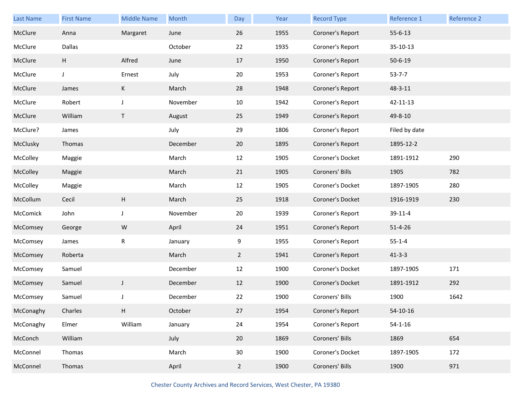| <b>Last Name</b> | <b>First Name</b> | <b>Middle Name</b> | Month    | Day            | Year | <b>Record Type</b> | Reference 1   | Reference 2 |
|------------------|-------------------|--------------------|----------|----------------|------|--------------------|---------------|-------------|
| McClure          | Anna              | Margaret           | June     | 26             | 1955 | Coroner's Report   | $55 - 6 - 13$ |             |
| McClure          | Dallas            |                    | October  | 22             | 1935 | Coroner's Report   | 35-10-13      |             |
| McClure          | H                 | Alfred             | June     | 17             | 1950 | Coroner's Report   | $50 - 6 - 19$ |             |
| McClure          | J                 | Ernest             | July     | 20             | 1953 | Coroner's Report   | $53 - 7 - 7$  |             |
| McClure          | James             | K                  | March    | 28             | 1948 | Coroner's Report   | 48-3-11       |             |
| McClure          | Robert            | J                  | November | 10             | 1942 | Coroner's Report   | 42-11-13      |             |
| McClure          | William           | Τ                  | August   | 25             | 1949 | Coroner's Report   | 49-8-10       |             |
| McClure?         | James             |                    | July     | 29             | 1806 | Coroner's Report   | Filed by date |             |
| McClusky         | Thomas            |                    | December | 20             | 1895 | Coroner's Report   | 1895-12-2     |             |
| McColley         | Maggie            |                    | March    | 12             | 1905 | Coroner's Docket   | 1891-1912     | 290         |
| McColley         | Maggie            |                    | March    | 21             | 1905 | Coroners' Bills    | 1905          | 782         |
| McColley         | Maggie            |                    | March    | 12             | 1905 | Coroner's Docket   | 1897-1905     | 280         |
| McCollum         | Cecil             | Н                  | March    | 25             | 1918 | Coroner's Docket   | 1916-1919     | 230         |
| McComick         | John              | J                  | November | 20             | 1939 | Coroner's Report   | 39-11-4       |             |
| McComsey         | George            | ${\sf W}$          | April    | 24             | 1951 | Coroner's Report   | $51 - 4 - 26$ |             |
| McComsey         | James             | R                  | January  | 9              | 1955 | Coroner's Report   | $55 - 1 - 4$  |             |
| McComsey         | Roberta           |                    | March    | $\overline{2}$ | 1941 | Coroner's Report   | $41 - 3 - 3$  |             |
| McComsey         | Samuel            |                    | December | 12             | 1900 | Coroner's Docket   | 1897-1905     | 171         |
| McComsey         | Samuel            | J                  | December | 12             | 1900 | Coroner's Docket   | 1891-1912     | 292         |
| McComsey         | Samuel            | J                  | December | 22             | 1900 | Coroners' Bills    | 1900          | 1642        |
| McConaghy        | Charles           | Н                  | October  | 27             | 1954 | Coroner's Report   | 54-10-16      |             |
| McConaghy        | Elmer             | William            | January  | 24             | 1954 | Coroner's Report   | $54 - 1 - 16$ |             |
| McConch          | William           |                    | July     | 20             | 1869 | Coroners' Bills    | 1869          | 654         |
| McConnel         | Thomas            |                    | March    | 30             | 1900 | Coroner's Docket   | 1897-1905     | 172         |
| McConnel         | Thomas            |                    | April    | $\overline{2}$ | 1900 | Coroners' Bills    | 1900          | 971         |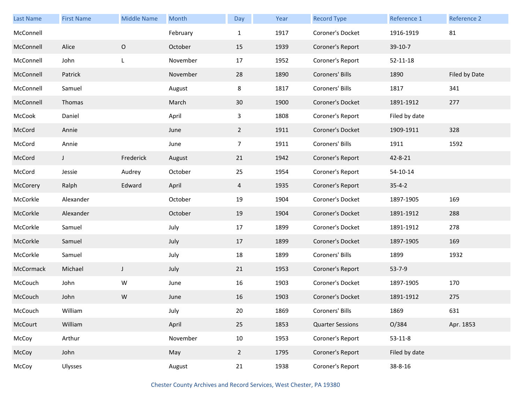| Last Name | <b>First Name</b> | <b>Middle Name</b> | Month    | Day             | Year | <b>Record Type</b>      | Reference 1    | Reference 2   |
|-----------|-------------------|--------------------|----------|-----------------|------|-------------------------|----------------|---------------|
| McConnell |                   |                    | February | $\mathbf{1}$    | 1917 | Coroner's Docket        | 1916-1919      | 81            |
| McConnell | Alice             | $\mathsf O$        | October  | 15              | 1939 | Coroner's Report        | 39-10-7        |               |
| McConnell | John              | L                  | November | 17              | 1952 | Coroner's Report        | $52 - 11 - 18$ |               |
| McConnell | Patrick           |                    | November | 28              | 1890 | Coroners' Bills         | 1890           | Filed by Date |
| McConnell | Samuel            |                    | August   | 8               | 1817 | Coroners' Bills         | 1817           | 341           |
| McConnell | Thomas            |                    | March    | 30 <sup>°</sup> | 1900 | Coroner's Docket        | 1891-1912      | 277           |
| McCook    | Daniel            |                    | April    | 3               | 1808 | Coroner's Report        | Filed by date  |               |
| McCord    | Annie             |                    | June     | $2^{\circ}$     | 1911 | Coroner's Docket        | 1909-1911      | 328           |
| McCord    | Annie             |                    | June     | $\overline{7}$  | 1911 | Coroners' Bills         | 1911           | 1592          |
| McCord    | J                 | Frederick          | August   | 21              | 1942 | Coroner's Report        | 42-8-21        |               |
| McCord    | Jessie            | Audrey             | October  | 25              | 1954 | Coroner's Report        | 54-10-14       |               |
| McCorery  | Ralph             | Edward             | April    | 4               | 1935 | Coroner's Report        | $35 - 4 - 2$   |               |
| McCorkle  | Alexander         |                    | October  | 19              | 1904 | Coroner's Docket        | 1897-1905      | 169           |
| McCorkle  | Alexander         |                    | October  | 19              | 1904 | Coroner's Docket        | 1891-1912      | 288           |
| McCorkle  | Samuel            |                    | July     | 17              | 1899 | Coroner's Docket        | 1891-1912      | 278           |
| McCorkle  | Samuel            |                    | July     | 17              | 1899 | Coroner's Docket        | 1897-1905      | 169           |
| McCorkle  | Samuel            |                    | July     | 18              | 1899 | Coroners' Bills         | 1899           | 1932          |
| McCormack | Michael           | J                  | July     | 21              | 1953 | Coroner's Report        | $53 - 7 - 9$   |               |
| McCouch   | John              | W                  | June     | 16              | 1903 | Coroner's Docket        | 1897-1905      | 170           |
| McCouch   | John              | W                  | June     | 16              | 1903 | Coroner's Docket        | 1891-1912      | 275           |
| McCouch   | William           |                    | July     | 20              | 1869 | Coroners' Bills         | 1869           | 631           |
| McCourt   | William           |                    | April    | 25              | 1853 | <b>Quarter Sessions</b> | O/384          | Apr. 1853     |
| McCoy     | Arthur            |                    | November | 10              | 1953 | Coroner's Report        | $53 - 11 - 8$  |               |
| McCoy     | John              |                    | May      | $\overline{2}$  | 1795 | Coroner's Report        | Filed by date  |               |
| McCoy     | Ulysses           |                    | August   | 21              | 1938 | Coroner's Report        | 38-8-16        |               |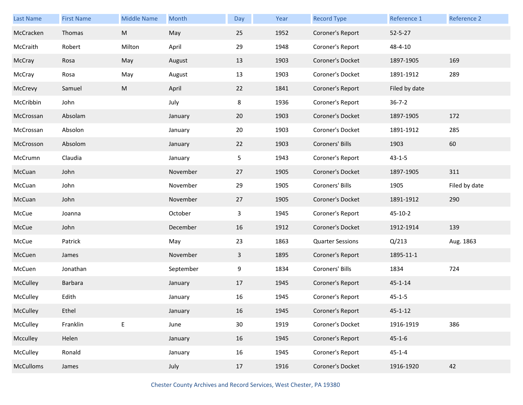| Last Name        | <b>First Name</b> | <b>Middle Name</b> | Month     | Day          | Year | <b>Record Type</b>      | Reference 1   | Reference 2   |
|------------------|-------------------|--------------------|-----------|--------------|------|-------------------------|---------------|---------------|
| McCracken        | Thomas            | ${\sf M}$          | May       | 25           | 1952 | Coroner's Report        | $52 - 5 - 27$ |               |
| McCraith         | Robert            | Milton             | April     | 29           | 1948 | Coroner's Report        | 48-4-10       |               |
| McCray           | Rosa              | May                | August    | 13           | 1903 | Coroner's Docket        | 1897-1905     | 169           |
| McCray           | Rosa              | May                | August    | 13           | 1903 | Coroner's Docket        | 1891-1912     | 289           |
| McCrevy          | Samuel            | M                  | April     | 22           | 1841 | Coroner's Report        | Filed by date |               |
| McCribbin        | John              |                    | July      | 8            | 1936 | Coroner's Report        | $36 - 7 - 2$  |               |
| McCrossan        | Absolam           |                    | January   | 20           | 1903 | Coroner's Docket        | 1897-1905     | 172           |
| McCrossan        | Absolon           |                    | January   | 20           | 1903 | Coroner's Docket        | 1891-1912     | 285           |
| McCrosson        | Absolom           |                    | January   | 22           | 1903 | Coroners' Bills         | 1903          | 60            |
| McCrumn          | Claudia           |                    | January   | 5            | 1943 | Coroner's Report        | $43 - 1 - 5$  |               |
| McCuan           | John              |                    | November  | 27           | 1905 | Coroner's Docket        | 1897-1905     | 311           |
| McCuan           | John              |                    | November  | 29           | 1905 | Coroners' Bills         | 1905          | Filed by date |
| McCuan           | John              |                    | November  | 27           | 1905 | Coroner's Docket        | 1891-1912     | 290           |
| McCue            | Joanna            |                    | October   | 3            | 1945 | Coroner's Report        | $45 - 10 - 2$ |               |
| McCue            | John              |                    | December  | 16           | 1912 | Coroner's Docket        | 1912-1914     | 139           |
| McCue            | Patrick           |                    | May       | 23           | 1863 | <b>Quarter Sessions</b> | Q/213         | Aug. 1863     |
| McCuen           | James             |                    | November  | $\mathbf{3}$ | 1895 | Coroner's Report        | 1895-11-1     |               |
| McCuen           | Jonathan          |                    | September | 9            | 1834 | Coroners' Bills         | 1834          | 724           |
| McCulley         | Barbara           |                    | January   | 17           | 1945 | Coroner's Report        | $45 - 1 - 14$ |               |
| McCulley         | Edith             |                    | January   | 16           | 1945 | Coroner's Report        | $45 - 1 - 5$  |               |
| McCulley         | Ethel             |                    | January   | 16           | 1945 | Coroner's Report        | $45 - 1 - 12$ |               |
| McCulley         | Franklin          | E                  | June      | 30           | 1919 | Coroner's Docket        | 1916-1919     | 386           |
| Mcculley         | Helen             |                    | January   | 16           | 1945 | Coroner's Report        | $45 - 1 - 6$  |               |
| McCulley         | Ronald            |                    | January   | 16           | 1945 | Coroner's Report        | $45 - 1 - 4$  |               |
| <b>McCulloms</b> | James             |                    | July      | 17           | 1916 | Coroner's Docket        | 1916-1920     | 42            |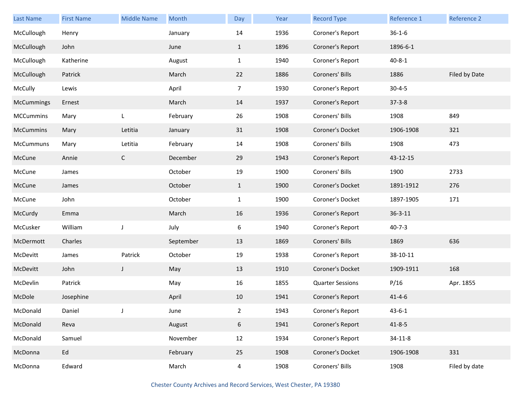| Last Name        | <b>First Name</b> | <b>Middle Name</b> | Month     | Day            | Year | <b>Record Type</b>      | Reference 1   | Reference 2   |
|------------------|-------------------|--------------------|-----------|----------------|------|-------------------------|---------------|---------------|
| McCullough       | Henry             |                    | January   | 14             | 1936 | Coroner's Report        | $36 - 1 - 6$  |               |
| McCullough       | John              |                    | June      | $\mathbf{1}$   | 1896 | Coroner's Report        | 1896-6-1      |               |
| McCullough       | Katherine         |                    | August    | $\mathbf{1}$   | 1940 | Coroner's Report        | $40 - 8 - 1$  |               |
| McCullough       | Patrick           |                    | March     | 22             | 1886 | Coroners' Bills         | 1886          | Filed by Date |
| McCully          | Lewis             |                    | April     | $\overline{7}$ | 1930 | Coroner's Report        | $30 - 4 - 5$  |               |
| McCummings       | Ernest            |                    | March     | 14             | 1937 | Coroner's Report        | $37 - 3 - 8$  |               |
| <b>MCCummins</b> | Mary              | L                  | February  | 26             | 1908 | Coroners' Bills         | 1908          | 849           |
| McCummins        | Mary              | Letitia            | January   | 31             | 1908 | Coroner's Docket        | 1906-1908     | 321           |
| McCummuns        | Mary              | Letitia            | February  | 14             | 1908 | Coroners' Bills         | 1908          | 473           |
| McCune           | Annie             | $\mathsf{C}$       | December  | 29             | 1943 | Coroner's Report        | 43-12-15      |               |
| McCune           | James             |                    | October   | 19             | 1900 | Coroners' Bills         | 1900          | 2733          |
| McCune           | James             |                    | October   | $\mathbf{1}$   | 1900 | Coroner's Docket        | 1891-1912     | 276           |
| McCune           | John              |                    | October   | $\mathbf{1}$   | 1900 | Coroner's Docket        | 1897-1905     | 171           |
| McCurdy          | Emma              |                    | March     | 16             | 1936 | Coroner's Report        | $36 - 3 - 11$ |               |
| McCusker         | William           | J                  | July      | 6              | 1940 | Coroner's Report        | $40 - 7 - 3$  |               |
| McDermott        | Charles           |                    | September | 13             | 1869 | Coroners' Bills         | 1869          | 636           |
| McDevitt         | James             | Patrick            | October   | 19             | 1938 | Coroner's Report        | 38-10-11      |               |
| McDevitt         | John              | J                  | May       | 13             | 1910 | Coroner's Docket        | 1909-1911     | 168           |
| McDevlin         | Patrick           |                    | May       | 16             | 1855 | <b>Quarter Sessions</b> | P/16          | Apr. 1855     |
| McDole           | Josephine         |                    | April     | 10             | 1941 | Coroner's Report        | $41 - 4 - 6$  |               |
| McDonald         | Daniel            |                    | June      | $\overline{2}$ | 1943 | Coroner's Report        | $43 - 6 - 1$  |               |
| McDonald         | Reva              |                    | August    | 6              | 1941 | Coroner's Report        | $41 - 8 - 5$  |               |
| McDonald         | Samuel            |                    | November  | 12             | 1934 | Coroner's Report        | $34 - 11 - 8$ |               |
| McDonna          | Ed                |                    | February  | 25             | 1908 | Coroner's Docket        | 1906-1908     | 331           |
| McDonna          | Edward            |                    | March     | $\overline{4}$ | 1908 | Coroners' Bills         | 1908          | Filed by date |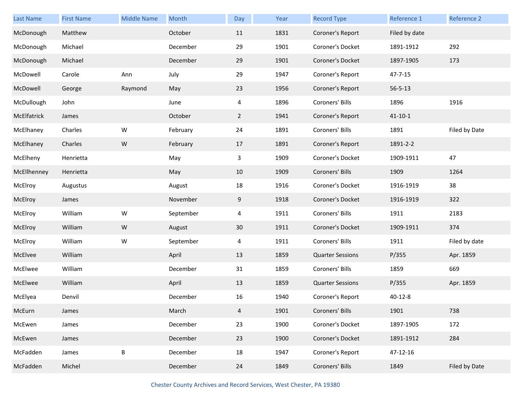| <b>Last Name</b> | <b>First Name</b> | <b>Middle Name</b> | Month     | Day         | Year | <b>Record Type</b>      | Reference 1   | Reference 2   |
|------------------|-------------------|--------------------|-----------|-------------|------|-------------------------|---------------|---------------|
| McDonough        | Matthew           |                    | October   | 11          | 1831 | Coroner's Report        | Filed by date |               |
| McDonough        | Michael           |                    | December  | 29          | 1901 | Coroner's Docket        | 1891-1912     | 292           |
| McDonough        | Michael           |                    | December  | 29          | 1901 | Coroner's Docket        | 1897-1905     | 173           |
| McDowell         | Carole            | Ann                | July      | 29          | 1947 | Coroner's Report        | $47 - 7 - 15$ |               |
| McDowell         | George            | Raymond            | May       | 23          | 1956 | Coroner's Report        | $56 - 5 - 13$ |               |
| McDullough       | John              |                    | June      | 4           | 1896 | Coroners' Bills         | 1896          | 1916          |
| McElfatrick      | James             |                    | October   | $2^{\circ}$ | 1941 | Coroner's Report        | $41 - 10 - 1$ |               |
| McElhaney        | Charles           | W                  | February  | 24          | 1891 | Coroners' Bills         | 1891          | Filed by Date |
| McElhaney        | Charles           | ${\sf W}$          | February  | 17          | 1891 | Coroner's Report        | 1891-2-2      |               |
| McElheny         | Henrietta         |                    | May       | 3           | 1909 | Coroner's Docket        | 1909-1911     | 47            |
| McEllhenney      | Henrietta         |                    | May       | 10          | 1909 | Coroners' Bills         | 1909          | 1264          |
| McElroy          | Augustus          |                    | August    | 18          | 1916 | Coroner's Docket        | 1916-1919     | 38            |
| McElroy          | James             |                    | November  | 9           | 1918 | Coroner's Docket        | 1916-1919     | 322           |
| McElroy          | William           | W                  | September | 4           | 1911 | Coroners' Bills         | 1911          | 2183          |
| McElroy          | William           | ${\sf W}$          | August    | 30          | 1911 | Coroner's Docket        | 1909-1911     | 374           |
| McElroy          | William           | W                  | September | 4           | 1911 | Coroners' Bills         | 1911          | Filed by date |
| McElvee          | William           |                    | April     | 13          | 1859 | <b>Quarter Sessions</b> | P/355         | Apr. 1859     |
| McElwee          | William           |                    | December  | 31          | 1859 | Coroners' Bills         | 1859          | 669           |
| McElwee          | William           |                    | April     | 13          | 1859 | <b>Quarter Sessions</b> | P/355         | Apr. 1859     |
| McElyea          | Denvil            |                    | December  | 16          | 1940 | Coroner's Report        | $40 - 12 - 8$ |               |
| McEurn           | James             |                    | March     | 4           | 1901 | Coroners' Bills         | 1901          | 738           |
| McEwen           | James             |                    | December  | 23          | 1900 | Coroner's Docket        | 1897-1905     | 172           |
| McEwen           | James             |                    | December  | 23          | 1900 | Coroner's Docket        | 1891-1912     | 284           |
| McFadden         | James             | $\sf B$            | December  | 18          | 1947 | Coroner's Report        | 47-12-16      |               |
| McFadden         | Michel            |                    | December  | 24          | 1849 | Coroners' Bills         | 1849          | Filed by Date |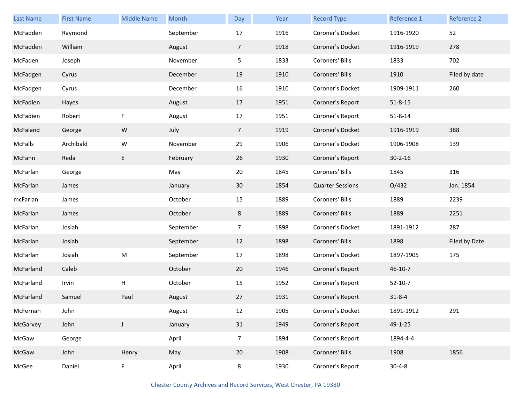| Last Name | <b>First Name</b> | <b>Middle Name</b> | Month     | Day            | Year | <b>Record Type</b>      | <b>Reference 1</b> | <b>Reference 2</b> |
|-----------|-------------------|--------------------|-----------|----------------|------|-------------------------|--------------------|--------------------|
| McFadden  | Raymond           |                    | September | 17             | 1916 | Coroner's Docket        | 1916-1920          | 52                 |
| McFadden  | William           |                    | August    | $\overline{7}$ | 1918 | Coroner's Docket        | 1916-1919          | 278                |
| McFaden   | Joseph            |                    | November  | 5              | 1833 | Coroners' Bills         | 1833               | 702                |
| McFadgen  | Cyrus             |                    | December  | 19             | 1910 | Coroners' Bills         | 1910               | Filed by date      |
| McFadgen  | Cyrus             |                    | December  | 16             | 1910 | Coroner's Docket        | 1909-1911          | 260                |
| McFadien  | Hayes             |                    | August    | 17             | 1951 | Coroner's Report        | $51 - 8 - 15$      |                    |
| McFadien  | Robert            | F                  | August    | 17             | 1951 | Coroner's Report        | $51 - 8 - 14$      |                    |
| McFaland  | George            | W                  | July      | $\overline{7}$ | 1919 | Coroner's Docket        | 1916-1919          | 388                |
| McFalls   | Archibald         | W                  | November  | 29             | 1906 | Coroner's Docket        | 1906-1908          | 139                |
| McFann    | Reda              | E                  | February  | 26             | 1930 | Coroner's Report        | $30 - 2 - 16$      |                    |
| McFarlan  | George            |                    | May       | 20             | 1845 | Coroners' Bills         | 1845               | 316                |
| McFarlan  | James             |                    | January   | 30             | 1854 | <b>Quarter Sessions</b> | O/432              | Jan. 1854          |
| mcFarlan  | James             |                    | October   | 15             | 1889 | Coroners' Bills         | 1889               | 2239               |
| McFarlan  | James             |                    | October   | 8              | 1889 | Coroners' Bills         | 1889               | 2251               |
| McFarlan  | Josiah            |                    | September | $\overline{7}$ | 1898 | Coroner's Docket        | 1891-1912          | 287                |
| McFarlan  | Josiah            |                    | September | 12             | 1898 | Coroners' Bills         | 1898               | Filed by Date      |
| McFarlan  | Josiah            | ${\sf M}$          | September | 17             | 1898 | Coroner's Docket        | 1897-1905          | 175                |
| McFarland | Caleb             |                    | October   | 20             | 1946 | Coroner's Report        | $46 - 10 - 7$      |                    |
| McFarland | Irvin             | Н                  | October   | 15             | 1952 | Coroner's Report        | $52 - 10 - 7$      |                    |
| McFarland | Samuel            | Paul               | August    | 27             | 1931 | Coroner's Report        | $31 - 8 - 4$       |                    |
| McFernan  | John              |                    | August    | 12             | 1905 | Coroner's Docket        | 1891-1912          | 291                |
| McGarvey  | John              | J                  | January   | 31             | 1949 | Coroner's Report        | $49 - 1 - 25$      |                    |
| McGaw     | George            |                    | April     | $\overline{7}$ | 1894 | Coroner's Report        | 1894-4-4           |                    |
| McGaw     | John              | Henry              | May       | 20             | 1908 | Coroners' Bills         | 1908               | 1856               |
| McGee     | Daniel            | F.                 | April     | 8              | 1930 | Coroner's Report        | $30 - 4 - 8$       |                    |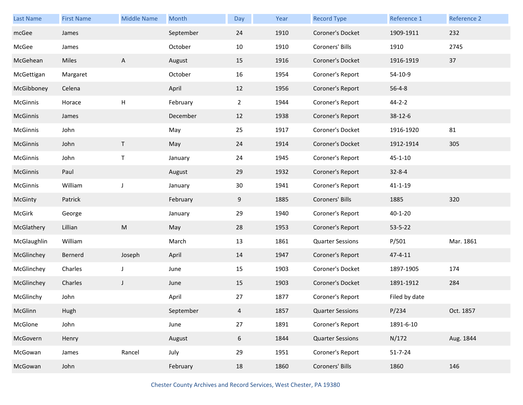| Last Name   | <b>First Name</b> | <b>Middle Name</b> | Month     | Day            | Year | <b>Record Type</b>      | Reference 1   | Reference 2 |
|-------------|-------------------|--------------------|-----------|----------------|------|-------------------------|---------------|-------------|
| mcGee       | James             |                    | September | 24             | 1910 | Coroner's Docket        | 1909-1911     | 232         |
| McGee       | James             |                    | October   | 10             | 1910 | Coroners' Bills         | 1910          | 2745        |
| McGehean    | Miles             | A                  | August    | 15             | 1916 | Coroner's Docket        | 1916-1919     | 37          |
| McGettigan  | Margaret          |                    | October   | 16             | 1954 | Coroner's Report        | 54-10-9       |             |
| McGibboney  | Celena            |                    | April     | 12             | 1956 | Coroner's Report        | $56 - 4 - 8$  |             |
| McGinnis    | Horace            | H                  | February  | $\overline{2}$ | 1944 | Coroner's Report        | $44 - 2 - 2$  |             |
| McGinnis    | James             |                    | December  | 12             | 1938 | Coroner's Report        | 38-12-6       |             |
| McGinnis    | John              |                    | May       | 25             | 1917 | Coroner's Docket        | 1916-1920     | 81          |
| McGinnis    | John              | $\mathsf T$        | May       | 24             | 1914 | Coroner's Docket        | 1912-1914     | 305         |
| McGinnis    | John              | Τ                  | January   | 24             | 1945 | Coroner's Report        | $45 - 1 - 10$ |             |
| McGinnis    | Paul              |                    | August    | 29             | 1932 | Coroner's Report        | $32 - 8 - 4$  |             |
| McGinnis    | William           | J                  | January   | 30             | 1941 | Coroner's Report        | $41 - 1 - 19$ |             |
| McGinty     | Patrick           |                    | February  | 9              | 1885 | Coroners' Bills         | 1885          | 320         |
| McGirk      | George            |                    | January   | 29             | 1940 | Coroner's Report        | $40 - 1 - 20$ |             |
| McGlathery  | Lillian           | ${\sf M}$          | May       | 28             | 1953 | Coroner's Report        | $53 - 5 - 22$ |             |
| McGlaughlin | William           |                    | March     | 13             | 1861 | <b>Quarter Sessions</b> | P/501         | Mar. 1861   |
| McGlinchey  | Bernerd           | Joseph             | April     | 14             | 1947 | Coroner's Report        | $47 - 4 - 11$ |             |
| McGlinchey  | Charles           | J                  | June      | 15             | 1903 | Coroner's Docket        | 1897-1905     | 174         |
| McGlinchey  | Charles           | J                  | June      | 15             | 1903 | Coroner's Docket        | 1891-1912     | 284         |
| McGlinchy   | John              |                    | April     | 27             | 1877 | Coroner's Report        | Filed by date |             |
| McGlinn     | Hugh              |                    | September | 4              | 1857 | <b>Quarter Sessions</b> | P/234         | Oct. 1857   |
| McGlone     | John              |                    | June      | 27             | 1891 | Coroner's Report        | 1891-6-10     |             |
| McGovern    | Henry             |                    | August    | 6              | 1844 | <b>Quarter Sessions</b> | N/172         | Aug. 1844   |
| McGowan     | James             | Rancel             | July      | 29             | 1951 | Coroner's Report        | $51 - 7 - 24$ |             |
| McGowan     | John              |                    | February  | 18             | 1860 | Coroners' Bills         | 1860          | 146         |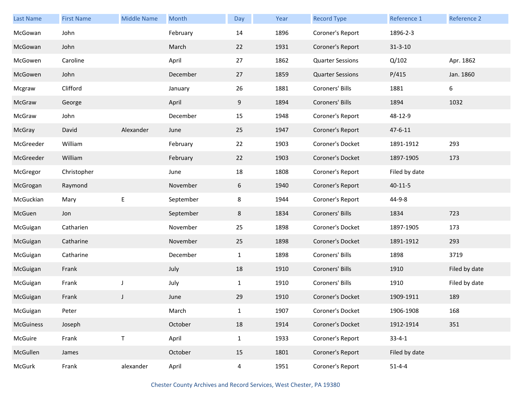| Last Name | <b>First Name</b> | <b>Middle Name</b> | Month     | Day          | Year | <b>Record Type</b>      | Reference 1   | Reference 2   |
|-----------|-------------------|--------------------|-----------|--------------|------|-------------------------|---------------|---------------|
| McGowan   | John              |                    | February  | 14           | 1896 | Coroner's Report        | 1896-2-3      |               |
| McGowan   | John              |                    | March     | 22           | 1931 | Coroner's Report        | $31 - 3 - 10$ |               |
| McGowen   | Caroline          |                    | April     | 27           | 1862 | <b>Quarter Sessions</b> | Q/102         | Apr. 1862     |
| McGowen   | John              |                    | December  | 27           | 1859 | <b>Quarter Sessions</b> | P/415         | Jan. 1860     |
| Mcgraw    | Clifford          |                    | January   | 26           | 1881 | Coroners' Bills         | 1881          | 6             |
| McGraw    | George            |                    | April     | 9            | 1894 | Coroners' Bills         | 1894          | 1032          |
| McGraw    | John              |                    | December  | 15           | 1948 | Coroner's Report        | 48-12-9       |               |
| McGray    | David             | Alexander          | June      | 25           | 1947 | Coroner's Report        | $47 - 6 - 11$ |               |
| McGreeder | William           |                    | February  | 22           | 1903 | Coroner's Docket        | 1891-1912     | 293           |
| McGreeder | William           |                    | February  | 22           | 1903 | Coroner's Docket        | 1897-1905     | 173           |
| McGregor  | Christopher       |                    | June      | 18           | 1808 | Coroner's Report        | Filed by date |               |
| McGrogan  | Raymond           |                    | November  | 6            | 1940 | Coroner's Report        | $40 - 11 - 5$ |               |
| McGuckian | Mary              | E                  | September | 8            | 1944 | Coroner's Report        | 44-9-8        |               |
| McGuen    | Jon               |                    | September | 8            | 1834 | Coroners' Bills         | 1834          | 723           |
| McGuigan  | Catharien         |                    | November  | 25           | 1898 | Coroner's Docket        | 1897-1905     | 173           |
| McGuigan  | Catharine         |                    | November  | 25           | 1898 | Coroner's Docket        | 1891-1912     | 293           |
| McGuigan  | Catharine         |                    | December  | $\mathbf{1}$ | 1898 | Coroners' Bills         | 1898          | 3719          |
| McGuigan  | Frank             |                    | July      | 18           | 1910 | Coroners' Bills         | 1910          | Filed by date |
| McGuigan  | Frank             | J                  | July      | $\mathbf{1}$ | 1910 | Coroners' Bills         | 1910          | Filed by date |
| McGuigan  | Frank             | J                  | June      | 29           | 1910 | Coroner's Docket        | 1909-1911     | 189           |
| McGuigan  | Peter             |                    | March     | $\mathbf{1}$ | 1907 | Coroner's Docket        | 1906-1908     | 168           |
| McGuiness | Joseph            |                    | October   | 18           | 1914 | Coroner's Docket        | 1912-1914     | 351           |
| McGuire   | Frank             | $\top$             | April     | $\mathbf{1}$ | 1933 | Coroner's Report        | $33 - 4 - 1$  |               |
| McGullen  | James             |                    | October   | 15           | 1801 | Coroner's Report        | Filed by date |               |
| McGurk    | Frank             | alexander          | April     | 4            | 1951 | Coroner's Report        | $51 - 4 - 4$  |               |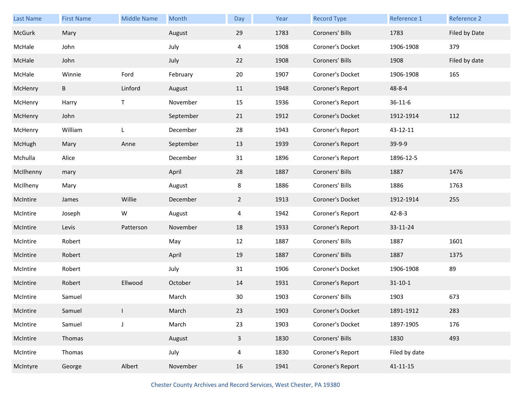| Last Name | <b>First Name</b> | <b>Middle Name</b> | Month     | Day          | Year | <b>Record Type</b> | Reference 1    | Reference 2   |
|-----------|-------------------|--------------------|-----------|--------------|------|--------------------|----------------|---------------|
| McGurk    | Mary              |                    | August    | 29           | 1783 | Coroners' Bills    | 1783           | Filed by Date |
| McHale    | John              |                    | July      | 4            | 1908 | Coroner's Docket   | 1906-1908      | 379           |
| McHale    | John              |                    | July      | 22           | 1908 | Coroners' Bills    | 1908           | Filed by date |
| McHale    | Winnie            | Ford               | February  | 20           | 1907 | Coroner's Docket   | 1906-1908      | 165           |
| McHenry   | B                 | Linford            | August    | 11           | 1948 | Coroner's Report   | 48-8-4         |               |
| McHenry   | Harry             | T                  | November  | 15           | 1936 | Coroner's Report   | $36 - 11 - 6$  |               |
| McHenry   | John              |                    | September | 21           | 1912 | Coroner's Docket   | 1912-1914      | 112           |
| McHenry   | William           | L                  | December  | 28           | 1943 | Coroner's Report   | 43-12-11       |               |
| McHugh    | Mary              | Anne               | September | 13           | 1939 | Coroner's Report   | 39-9-9         |               |
| Mchulla   | Alice             |                    | December  | 31           | 1896 | Coroner's Report   | 1896-12-5      |               |
| McIlhenny | mary              |                    | April     | 28           | 1887 | Coroners' Bills    | 1887           | 1476          |
| McIlheny  | Mary              |                    | August    | 8            | 1886 | Coroners' Bills    | 1886           | 1763          |
| McIntire  | James             | Willie             | December  | $2^{\circ}$  | 1913 | Coroner's Docket   | 1912-1914      | 255           |
| McIntire  | Joseph            | W                  | August    | 4            | 1942 | Coroner's Report   | $42 - 8 - 3$   |               |
| McIntire  | Levis             | Patterson          | November  | 18           | 1933 | Coroner's Report   | 33-11-24       |               |
| McIntire  | Robert            |                    | May       | 12           | 1887 | Coroners' Bills    | 1887           | 1601          |
| McIntire  | Robert            |                    | April     | 19           | 1887 | Coroners' Bills    | 1887           | 1375          |
| McIntire  | Robert            |                    | July      | 31           | 1906 | Coroner's Docket   | 1906-1908      | 89            |
| McIntire  | Robert            | Ellwood            | October   | 14           | 1931 | Coroner's Report   | $31 - 10 - 1$  |               |
| McIntire  | Samuel            |                    | March     | 30           | 1903 | Coroners' Bills    | 1903           | 673           |
| McIntire  | Samuel            |                    | March     | 23           | 1903 | Coroner's Docket   | 1891-1912      | 283           |
| McIntire  | Samuel            | $\mathsf J$        | March     | 23           | 1903 | Coroner's Docket   | 1897-1905      | 176           |
| McIntire  | Thomas            |                    | August    | $\mathbf{3}$ | 1830 | Coroners' Bills    | 1830           | 493           |
| McIntire  | Thomas            |                    | July      | 4            | 1830 | Coroner's Report   | Filed by date  |               |
| McIntyre  | George            | Albert             | November  | 16           | 1941 | Coroner's Report   | $41 - 11 - 15$ |               |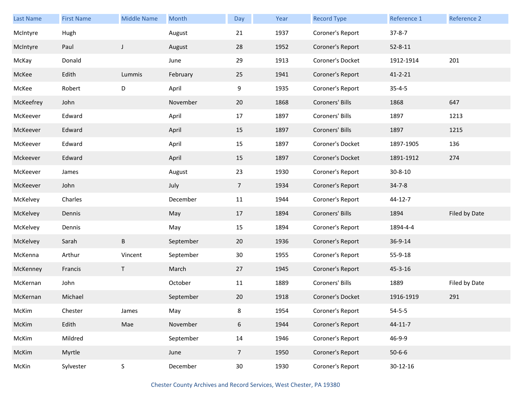| Last Name | <b>First Name</b> | <b>Middle Name</b> | Month     | Day             | Year | <b>Record Type</b> | Reference 1    | Reference 2   |
|-----------|-------------------|--------------------|-----------|-----------------|------|--------------------|----------------|---------------|
| McIntyre  | Hugh              |                    | August    | 21              | 1937 | Coroner's Report   | $37 - 8 - 7$   |               |
| McIntyre  | Paul              | $\mathsf{J}$       | August    | 28              | 1952 | Coroner's Report   | $52 - 8 - 11$  |               |
| McKay     | Donald            |                    | June      | 29              | 1913 | Coroner's Docket   | 1912-1914      | 201           |
| McKee     | Edith             | Lummis             | February  | 25              | 1941 | Coroner's Report   | $41 - 2 - 21$  |               |
| McKee     | Robert            | D                  | April     | 9               | 1935 | Coroner's Report   | $35 - 4 - 5$   |               |
| McKeefrey | John              |                    | November  | 20              | 1868 | Coroners' Bills    | 1868           | 647           |
| McKeever  | Edward            |                    | April     | 17              | 1897 | Coroners' Bills    | 1897           | 1213          |
| McKeever  | Edward            |                    | April     | 15              | 1897 | Coroners' Bills    | 1897           | 1215          |
| McKeever  | Edward            |                    | April     | 15              | 1897 | Coroner's Docket   | 1897-1905      | 136           |
| Mckeever  | Edward            |                    | April     | 15              | 1897 | Coroner's Docket   | 1891-1912      | 274           |
| McKeever  | James             |                    | August    | 23              | 1930 | Coroner's Report   | $30 - 8 - 10$  |               |
| McKeever  | John              |                    | July      | $\overline{7}$  | 1934 | Coroner's Report   | $34 - 7 - 8$   |               |
| McKelvey  | Charles           |                    | December  | 11              | 1944 | Coroner's Report   | 44-12-7        |               |
| McKelvey  | Dennis            |                    | May       | 17              | 1894 | Coroners' Bills    | 1894           | Filed by Date |
| McKelvey  | Dennis            |                    | May       | 15              | 1894 | Coroner's Report   | 1894-4-4       |               |
| McKelvey  | Sarah             | В                  | September | 20              | 1936 | Coroner's Report   | 36-9-14        |               |
| McKenna   | Arthur            | Vincent            | September | 30 <sup>°</sup> | 1955 | Coroner's Report   | 55-9-18        |               |
| McKenney  | Francis           | T                  | March     | 27              | 1945 | Coroner's Report   | 45-3-16        |               |
| McKernan  | John              |                    | October   | 11              | 1889 | Coroners' Bills    | 1889           | Filed by Date |
| McKernan  | Michael           |                    | September | 20              | 1918 | Coroner's Docket   | 1916-1919      | 291           |
| McKim     | Chester           | James              | May       | 8               | 1954 | Coroner's Report   | $54 - 5 - 5$   |               |
| McKim     | Edith             | Mae                | November  | 6               | 1944 | Coroner's Report   | $44 - 11 - 7$  |               |
| McKim     | Mildred           |                    | September | 14              | 1946 | Coroner's Report   | 46-9-9         |               |
| McKim     | Myrtle            |                    | June      | $\overline{7}$  | 1950 | Coroner's Report   | $50 - 6 - 6$   |               |
| McKin     | Sylvester         | $\sf S$            | December  | 30 <sub>o</sub> | 1930 | Coroner's Report   | $30 - 12 - 16$ |               |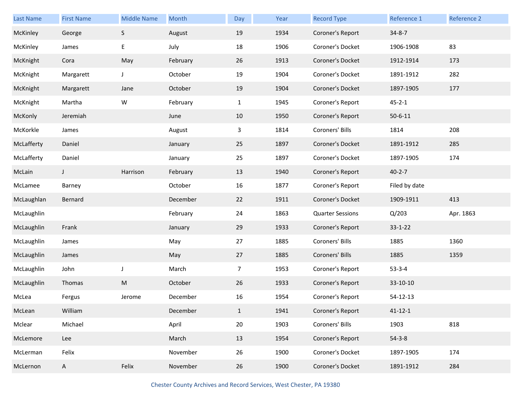| Last Name  | <b>First Name</b> | <b>Middle Name</b> | Month    | Day            | Year | <b>Record Type</b>      | Reference 1   | Reference 2 |
|------------|-------------------|--------------------|----------|----------------|------|-------------------------|---------------|-------------|
| McKinley   | George            | S                  | August   | 19             | 1934 | Coroner's Report        | $34 - 8 - 7$  |             |
| McKinley   | James             | E                  | July     | 18             | 1906 | Coroner's Docket        | 1906-1908     | 83          |
| McKnight   | Cora              | May                | February | 26             | 1913 | Coroner's Docket        | 1912-1914     | 173         |
| McKnight   | Margarett         | J                  | October  | 19             | 1904 | Coroner's Docket        | 1891-1912     | 282         |
| McKnight   | Margarett         | Jane               | October  | 19             | 1904 | Coroner's Docket        | 1897-1905     | 177         |
| McKnight   | Martha            | W                  | February | $\mathbf{1}$   | 1945 | Coroner's Report        | $45 - 2 - 1$  |             |
| McKonly    | Jeremiah          |                    | June     | 10             | 1950 | Coroner's Report        | $50 - 6 - 11$ |             |
| McKorkle   | James             |                    | August   | 3              | 1814 | Coroners' Bills         | 1814          | 208         |
| McLafferty | Daniel            |                    | January  | 25             | 1897 | Coroner's Docket        | 1891-1912     | 285         |
| McLafferty | Daniel            |                    | January  | 25             | 1897 | Coroner's Docket        | 1897-1905     | 174         |
| McLain     | J                 | Harrison           | February | 13             | 1940 | Coroner's Report        | $40 - 2 - 7$  |             |
| McLamee    | Barney            |                    | October  | 16             | 1877 | Coroner's Report        | Filed by date |             |
| McLaughlan | Bernard           |                    | December | 22             | 1911 | Coroner's Docket        | 1909-1911     | 413         |
| McLaughlin |                   |                    | February | 24             | 1863 | <b>Quarter Sessions</b> | Q/203         | Apr. 1863   |
| McLaughlin | Frank             |                    | January  | 29             | 1933 | Coroner's Report        | $33 - 1 - 22$ |             |
| McLaughlin | James             |                    | May      | 27             | 1885 | Coroners' Bills         | 1885          | 1360        |
| McLaughlin | James             |                    | May      | 27             | 1885 | Coroners' Bills         | 1885          | 1359        |
| McLaughlin | John              | J                  | March    | $\overline{7}$ | 1953 | Coroner's Report        | $53 - 3 - 4$  |             |
| McLaughlin | Thomas            | ${\sf M}$          | October  | 26             | 1933 | Coroner's Report        | 33-10-10      |             |
| McLea      | Fergus            | Jerome             | December | 16             | 1954 | Coroner's Report        | 54-12-13      |             |
| McLean     | William           |                    | December | $\mathbf{1}$   | 1941 | Coroner's Report        | $41 - 12 - 1$ |             |
| Mclear     | Michael           |                    | April    | 20             | 1903 | Coroners' Bills         | 1903          | 818         |
| McLemore   | Lee               |                    | March    | 13             | 1954 | Coroner's Report        | $54 - 3 - 8$  |             |
| McLerman   | Felix             |                    | November | 26             | 1900 | Coroner's Docket        | 1897-1905     | 174         |
|            |                   |                    |          |                |      |                         |               |             |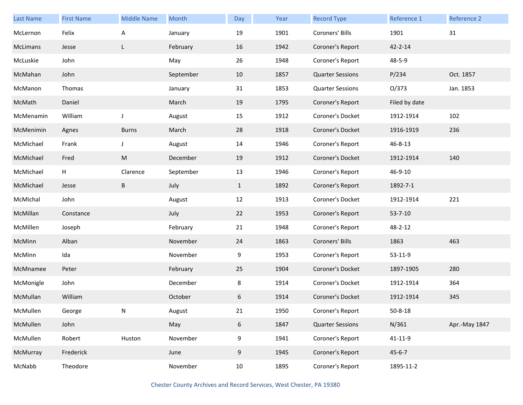| Last Name | <b>First Name</b> | <b>Middle Name</b> | Month     | Day          | Year | <b>Record Type</b>      | Reference 1   | <b>Reference 2</b> |
|-----------|-------------------|--------------------|-----------|--------------|------|-------------------------|---------------|--------------------|
| McLernon  | Felix             | Α                  | January   | 19           | 1901 | Coroners' Bills         | 1901          | 31                 |
| McLimans  | Jesse             | L                  | February  | 16           | 1942 | Coroner's Report        | $42 - 2 - 14$ |                    |
| McLuskie  | John              |                    | May       | 26           | 1948 | Coroner's Report        | 48-5-9        |                    |
| McMahan   | John              |                    | September | 10           | 1857 | <b>Quarter Sessions</b> | P/234         | Oct. 1857          |
| McManon   | Thomas            |                    | January   | 31           | 1853 | <b>Quarter Sessions</b> | O/373         | Jan. 1853          |
| McMath    | Daniel            |                    | March     | 19           | 1795 | Coroner's Report        | Filed by date |                    |
| McMenamin | William           | J                  | August    | 15           | 1912 | Coroner's Docket        | 1912-1914     | 102                |
| McMenimin | Agnes             | <b>Burns</b>       | March     | 28           | 1918 | Coroner's Docket        | 1916-1919     | 236                |
| McMichael | Frank             | J                  | August    | 14           | 1946 | Coroner's Report        | 46-8-13       |                    |
| McMichael | Fred              | ${\sf M}$          | December  | 19           | 1912 | Coroner's Docket        | 1912-1914     | 140                |
| McMichael | н                 | Clarence           | September | 13           | 1946 | Coroner's Report        | 46-9-10       |                    |
| McMichael | Jesse             | B                  | July      | $\mathbf{1}$ | 1892 | Coroner's Report        | 1892-7-1      |                    |
| McMichal  | John              |                    | August    | 12           | 1913 | Coroner's Docket        | 1912-1914     | 221                |
| McMillan  | Constance         |                    | July      | 22           | 1953 | Coroner's Report        | $53 - 7 - 10$ |                    |
| McMillen  | Joseph            |                    | February  | 21           | 1948 | Coroner's Report        | 48-2-12       |                    |
| McMinn    | Alban             |                    | November  | 24           | 1863 | Coroners' Bills         | 1863          | 463                |
| McMinn    | Ida               |                    | November  | 9            | 1953 | Coroner's Report        | 53-11-9       |                    |
| McMnamee  | Peter             |                    | February  | 25           | 1904 | Coroner's Docket        | 1897-1905     | 280                |
| McMonigle | John              |                    | December  | 8            | 1914 | Coroner's Docket        | 1912-1914     | 364                |
| McMullan  | William           |                    | October   | 6            | 1914 | Coroner's Docket        | 1912-1914     | 345                |
| McMullen  | George            | N                  | August    | 21           | 1950 | Coroner's Report        | $50 - 8 - 18$ |                    |
| McMullen  | John              |                    | May       | 6            | 1847 | <b>Quarter Sessions</b> | N/361         | Apr.-May 1847      |
| McMullen  | Robert            | Huston             | November  | 9            | 1941 | Coroner's Report        | $41 - 11 - 9$ |                    |
| McMurray  | Frederick         |                    | June      | 9            | 1945 | Coroner's Report        | $45 - 6 - 7$  |                    |
| McNabb    | Theodore          |                    | November  | 10           | 1895 | Coroner's Report        | 1895-11-2     |                    |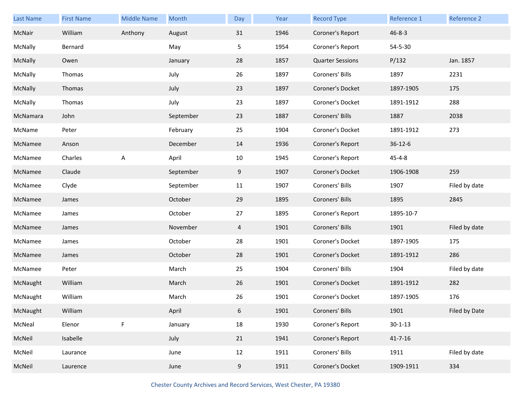| Last Name | <b>First Name</b> | <b>Middle Name</b> | Month     | Day            | Year | <b>Record Type</b>      | Reference 1   | Reference 2   |
|-----------|-------------------|--------------------|-----------|----------------|------|-------------------------|---------------|---------------|
| McNair    | William           | Anthony            | August    | 31             | 1946 | Coroner's Report        | $46 - 8 - 3$  |               |
| McNally   | Bernard           |                    | May       | 5              | 1954 | Coroner's Report        | 54-5-30       |               |
| McNally   | Owen              |                    | January   | 28             | 1857 | <b>Quarter Sessions</b> | P/132         | Jan. 1857     |
| McNally   | Thomas            |                    | July      | 26             | 1897 | Coroners' Bills         | 1897          | 2231          |
| McNally   | Thomas            |                    | July      | 23             | 1897 | Coroner's Docket        | 1897-1905     | 175           |
| McNally   | Thomas            |                    | July      | 23             | 1897 | Coroner's Docket        | 1891-1912     | 288           |
| McNamara  | John              |                    | September | 23             | 1887 | Coroners' Bills         | 1887          | 2038          |
| McName    | Peter             |                    | February  | 25             | 1904 | Coroner's Docket        | 1891-1912     | 273           |
| McNamee   | Anson             |                    | December  | 14             | 1936 | Coroner's Report        | $36 - 12 - 6$ |               |
| McNamee   | Charles           | A                  | April     | 10             | 1945 | Coroner's Report        | $45 - 4 - 8$  |               |
| McNamee   | Claude            |                    | September | 9              | 1907 | Coroner's Docket        | 1906-1908     | 259           |
| McNamee   | Clyde             |                    | September | 11             | 1907 | Coroners' Bills         | 1907          | Filed by date |
| McNamee   | James             |                    | October   | 29             | 1895 | Coroners' Bills         | 1895          | 2845          |
| McNamee   | James             |                    | October   | 27             | 1895 | Coroner's Report        | 1895-10-7     |               |
| McNamee   | James             |                    | November  | $\overline{4}$ | 1901 | Coroners' Bills         | 1901          | Filed by date |
| McNamee   | James             |                    | October   | 28             | 1901 | Coroner's Docket        | 1897-1905     | 175           |
| McNamee   | James             |                    | October   | 28             | 1901 | Coroner's Docket        | 1891-1912     | 286           |
| McNamee   | Peter             |                    | March     | 25             | 1904 | Coroners' Bills         | 1904          | Filed by date |
| McNaught  | William           |                    | March     | 26             | 1901 | Coroner's Docket        | 1891-1912     | 282           |
| McNaught  | William           |                    | March     | 26             | 1901 | Coroner's Docket        | 1897-1905     | 176           |
| McNaught  | William           |                    | April     | 6              | 1901 | Coroners' Bills         | 1901          | Filed by Date |
| McNeal    | Elenor            | F                  | January   | 18             | 1930 | Coroner's Report        | $30 - 1 - 13$ |               |
| McNeil    | Isabelle          |                    | July      | 21             | 1941 | Coroner's Report        | $41 - 7 - 16$ |               |
| McNeil    | Laurance          |                    | June      | 12             | 1911 | Coroners' Bills         | 1911          | Filed by date |
| McNeil    | Laurence          |                    | June      | 9              | 1911 | Coroner's Docket        | 1909-1911     | 334           |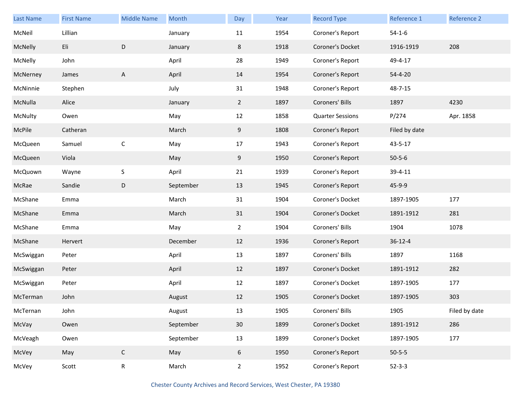| Last Name | <b>First Name</b> | <b>Middle Name</b> | Month     | Day             | Year | <b>Record Type</b>      | Reference 1   | Reference 2   |
|-----------|-------------------|--------------------|-----------|-----------------|------|-------------------------|---------------|---------------|
| McNeil    | Lillian           |                    | January   | 11              | 1954 | Coroner's Report        | $54-1-6$      |               |
| McNelly   | Eli               | D                  | January   | 8               | 1918 | Coroner's Docket        | 1916-1919     | 208           |
| McNelly   | John              |                    | April     | 28              | 1949 | Coroner's Report        | 49-4-17       |               |
| McNerney  | James             | A                  | April     | 14              | 1954 | Coroner's Report        | $54 - 4 - 20$ |               |
| McNinnie  | Stephen           |                    | July      | 31              | 1948 | Coroner's Report        | 48-7-15       |               |
| McNulla   | Alice             |                    | January   | $\overline{2}$  | 1897 | Coroners' Bills         | 1897          | 4230          |
| McNulty   | Owen              |                    | May       | 12              | 1858 | <b>Quarter Sessions</b> | P/274         | Apr. 1858     |
| McPile    | Catheran          |                    | March     | 9               | 1808 | Coroner's Report        | Filed by date |               |
| McQueen   | Samuel            | $\mathsf C$        | May       | 17              | 1943 | Coroner's Report        | 43-5-17       |               |
| McQueen   | Viola             |                    | May       | 9               | 1950 | Coroner's Report        | $50 - 5 - 6$  |               |
| McQuown   | Wayne             | $\sf S$            | April     | 21              | 1939 | Coroner's Report        | 39-4-11       |               |
| McRae     | Sandie            | D                  | September | 13              | 1945 | Coroner's Report        | 45-9-9        |               |
| McShane   | Emma              |                    | March     | 31              | 1904 | Coroner's Docket        | 1897-1905     | 177           |
| McShane   | Emma              |                    | March     | 31              | 1904 | Coroner's Docket        | 1891-1912     | 281           |
| McShane   | Emma              |                    | May       | $\overline{2}$  | 1904 | Coroners' Bills         | 1904          | 1078          |
| McShane   | Hervert           |                    | December  | 12              | 1936 | Coroner's Report        | $36 - 12 - 4$ |               |
| McSwiggan | Peter             |                    | April     | 13              | 1897 | Coroners' Bills         | 1897          | 1168          |
| McSwiggan | Peter             |                    | April     | 12              | 1897 | Coroner's Docket        | 1891-1912     | 282           |
| McSwiggan | Peter             |                    | April     | 12              | 1897 | Coroner's Docket        | 1897-1905     | 177           |
| McTerman  | John              |                    | August    | 12              | 1905 | Coroner's Docket        | 1897-1905     | 303           |
| McTernan  | John              |                    | August    | 13              | 1905 | Coroners' Bills         | 1905          | Filed by date |
| McVay     | Owen              |                    | September | 30 <sup>°</sup> | 1899 | Coroner's Docket        | 1891-1912     | 286           |
| McVeagh   | Owen              |                    | September | 13              | 1899 | Coroner's Docket        | 1897-1905     | 177           |
| McVey     | May               | $\mathsf{C}$       | May       | 6               | 1950 | Coroner's Report        | $50 - 5 - 5$  |               |
| McVey     | Scott             | R                  | March     | $\overline{2}$  | 1952 | Coroner's Report        | $52 - 3 - 3$  |               |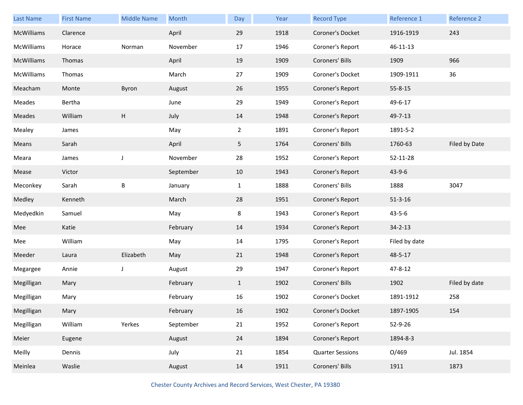| Last Name  | <b>First Name</b> | <b>Middle Name</b> | Month     | Day            | Year | <b>Record Type</b>      | Reference 1   | Reference 2   |
|------------|-------------------|--------------------|-----------|----------------|------|-------------------------|---------------|---------------|
| McWilliams | Clarence          |                    | April     | 29             | 1918 | Coroner's Docket        | 1916-1919     | 243           |
| McWilliams | Horace            | Norman             | November  | 17             | 1946 | Coroner's Report        | 46-11-13      |               |
| McWilliams | Thomas            |                    | April     | 19             | 1909 | Coroners' Bills         | 1909          | 966           |
| McWilliams | Thomas            |                    | March     | 27             | 1909 | Coroner's Docket        | 1909-1911     | 36            |
| Meacham    | Monte             | Byron              | August    | 26             | 1955 | Coroner's Report        | $55 - 8 - 15$ |               |
| Meades     | Bertha            |                    | June      | 29             | 1949 | Coroner's Report        | 49-6-17       |               |
| Meades     | William           | Н                  | July      | 14             | 1948 | Coroner's Report        | 49-7-13       |               |
| Mealey     | James             |                    | May       | $\overline{2}$ | 1891 | Coroner's Report        | 1891-5-2      |               |
| Means      | Sarah             |                    | April     | 5              | 1764 | Coroners' Bills         | 1760-63       | Filed by Date |
| Meara      | James             | J                  | November  | 28             | 1952 | Coroner's Report        | 52-11-28      |               |
| Mease      | Victor            |                    | September | 10             | 1943 | Coroner's Report        | 43-9-6        |               |
| Meconkey   | Sarah             | B                  | January   | $\mathbf{1}$   | 1888 | Coroners' Bills         | 1888          | 3047          |
| Medley     | Kenneth           |                    | March     | 28             | 1951 | Coroner's Report        | $51 - 3 - 16$ |               |
| Medyedkin  | Samuel            |                    | May       | 8              | 1943 | Coroner's Report        | $43 - 5 - 6$  |               |
| Mee        | Katie             |                    | February  | 14             | 1934 | Coroner's Report        | $34 - 2 - 13$ |               |
| Mee        | William           |                    | May       | 14             | 1795 | Coroner's Report        | Filed by date |               |
| Meeder     | Laura             | Elizabeth          | May       | 21             | 1948 | Coroner's Report        | 48-5-17       |               |
| Megargee   | Annie             | J                  | August    | 29             | 1947 | Coroner's Report        | 47-8-12       |               |
| Megilligan | Mary              |                    | February  | $\mathbf{1}$   | 1902 | Coroners' Bills         | 1902          | Filed by date |
| Megilligan | Mary              |                    | February  | 16             | 1902 | Coroner's Docket        | 1891-1912     | 258           |
| Megilligan | Mary              |                    | February  | 16             | 1902 | Coroner's Docket        | 1897-1905     | 154           |
| Megilligan | William           | Yerkes             | September | 21             | 1952 | Coroner's Report        | 52-9-26       |               |
| Meier      | Eugene            |                    | August    | 24             | 1894 | Coroner's Report        | 1894-8-3      |               |
| Meilly     | Dennis            |                    | July      | 21             | 1854 | <b>Quarter Sessions</b> | O/469         | Jul. 1854     |
| Meinlea    | Waslie            |                    | August    | 14             | 1911 | Coroners' Bills         | 1911          | 1873          |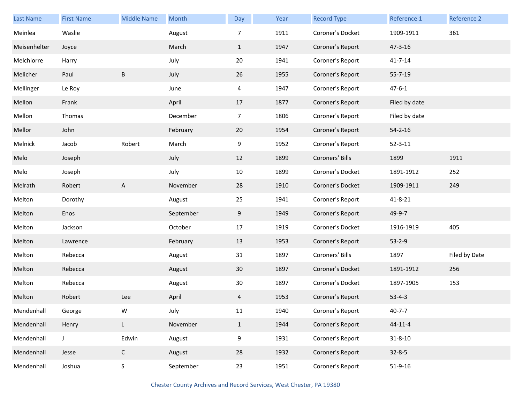| Last Name    | <b>First Name</b> | <b>Middle Name</b> | Month     | Day             | Year | <b>Record Type</b> | Reference 1   | Reference 2   |
|--------------|-------------------|--------------------|-----------|-----------------|------|--------------------|---------------|---------------|
| Meinlea      | Waslie            |                    | August    | 7               | 1911 | Coroner's Docket   | 1909-1911     | 361           |
| Meisenhelter | Joyce             |                    | March     | $\mathbf{1}$    | 1947 | Coroner's Report   | 47-3-16       |               |
| Melchiorre   | Harry             |                    | July      | 20              | 1941 | Coroner's Report   | $41 - 7 - 14$ |               |
| Melicher     | Paul              | B                  | July      | 26              | 1955 | Coroner's Report   | $55 - 7 - 19$ |               |
| Mellinger    | Le Roy            |                    | June      | 4               | 1947 | Coroner's Report   | $47 - 6 - 1$  |               |
| Mellon       | Frank             |                    | April     | 17              | 1877 | Coroner's Report   | Filed by date |               |
| Mellon       | Thomas            |                    | December  | $\overline{7}$  | 1806 | Coroner's Report   | Filed by date |               |
| Mellor       | John              |                    | February  | 20              | 1954 | Coroner's Report   | $54 - 2 - 16$ |               |
| Melnick      | Jacob             | Robert             | March     | 9               | 1952 | Coroner's Report   | $52 - 3 - 11$ |               |
| Melo         | Joseph            |                    | July      | 12              | 1899 | Coroners' Bills    | 1899          | 1911          |
| Melo         | Joseph            |                    | July      | 10              | 1899 | Coroner's Docket   | 1891-1912     | 252           |
| Melrath      | Robert            | A                  | November  | 28              | 1910 | Coroner's Docket   | 1909-1911     | 249           |
| Melton       | Dorothy           |                    | August    | 25              | 1941 | Coroner's Report   | $41 - 8 - 21$ |               |
| Melton       | Enos              |                    | September | 9               | 1949 | Coroner's Report   | 49-9-7        |               |
| Melton       | Jackson           |                    | October   | 17              | 1919 | Coroner's Docket   | 1916-1919     | 405           |
| Melton       | Lawrence          |                    | February  | 13              | 1953 | Coroner's Report   | $53 - 2 - 9$  |               |
| Melton       | Rebecca           |                    | August    | 31              | 1897 | Coroners' Bills    | 1897          | Filed by Date |
| Melton       | Rebecca           |                    | August    | 30 <sup>°</sup> | 1897 | Coroner's Docket   | 1891-1912     | 256           |
| Melton       | Rebecca           |                    | August    | 30              | 1897 | Coroner's Docket   | 1897-1905     | 153           |
| Melton       | Robert            | Lee                | April     | 4               | 1953 | Coroner's Report   | $53 - 4 - 3$  |               |
| Mendenhall   | George            | W                  | July      | 11              | 1940 | Coroner's Report   | $40 - 7 - 7$  |               |
| Mendenhall   | Henry             | L.                 | November  | $\mathbf{1}$    | 1944 | Coroner's Report   | $44 - 11 - 4$ |               |
| Mendenhall   | J                 | Edwin              | August    | 9               | 1931 | Coroner's Report   | $31 - 8 - 10$ |               |
| Mendenhall   | Jesse             | $\mathsf C$        | August    | 28              | 1932 | Coroner's Report   | $32 - 8 - 5$  |               |
| Mendenhall   | Joshua            | S                  | September | 23              | 1951 | Coroner's Report   | $51 - 9 - 16$ |               |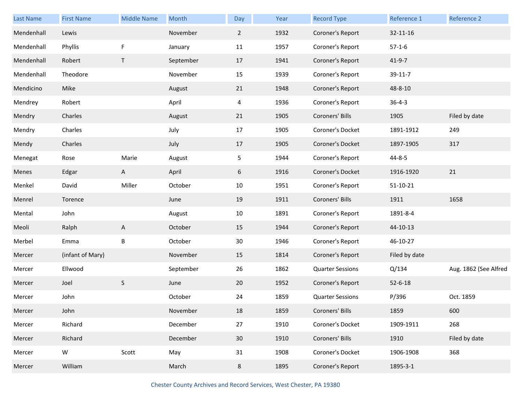| <b>Last Name</b> | <b>First Name</b> | <b>Middle Name</b> | Month     | Day            | Year | <b>Record Type</b>      | Reference 1    | Reference 2           |
|------------------|-------------------|--------------------|-----------|----------------|------|-------------------------|----------------|-----------------------|
| Mendenhall       | Lewis             |                    | November  | $\overline{2}$ | 1932 | Coroner's Report        | 32-11-16       |                       |
| Mendenhall       | Phyllis           | F                  | January   | 11             | 1957 | Coroner's Report        | $57-1-6$       |                       |
| Mendenhall       | Robert            | T                  | September | 17             | 1941 | Coroner's Report        | $41 - 9 - 7$   |                       |
| Mendenhall       | Theodore          |                    | November  | 15             | 1939 | Coroner's Report        | 39-11-7        |                       |
| Mendicino        | Mike              |                    | August    | 21             | 1948 | Coroner's Report        | 48-8-10        |                       |
| Mendrey          | Robert            |                    | April     | 4              | 1936 | Coroner's Report        | $36 - 4 - 3$   |                       |
| Mendry           | Charles           |                    | August    | 21             | 1905 | Coroners' Bills         | 1905           | Filed by date         |
| Mendry           | Charles           |                    | July      | 17             | 1905 | Coroner's Docket        | 1891-1912      | 249                   |
| Mendy            | Charles           |                    | July      | 17             | 1905 | Coroner's Docket        | 1897-1905      | 317                   |
| Menegat          | Rose              | Marie              | August    | 5              | 1944 | Coroner's Report        | 44-8-5         |                       |
| Menes            | Edgar             | A                  | April     | 6              | 1916 | Coroner's Docket        | 1916-1920      | 21                    |
| Menkel           | David             | Miller             | October   | 10             | 1951 | Coroner's Report        | $51 - 10 - 21$ |                       |
| Menrel           | Torence           |                    | June      | 19             | 1911 | Coroners' Bills         | 1911           | 1658                  |
| Mental           | John              |                    | August    | 10             | 1891 | Coroner's Report        | 1891-8-4       |                       |
| Meoli            | Ralph             | A                  | October   | 15             | 1944 | Coroner's Report        | 44-10-13       |                       |
| Merbel           | Emma              | Β                  | October   | 30             | 1946 | Coroner's Report        | 46-10-27       |                       |
| Mercer           | (infant of Mary)  |                    | November  | 15             | 1814 | Coroner's Report        | Filed by date  |                       |
| Mercer           | Ellwood           |                    | September | 26             | 1862 | <b>Quarter Sessions</b> | Q/134          | Aug. 1862 (See Alfred |
| Mercer           | Joel              | S                  | June      | 20             | 1952 | Coroner's Report        | $52 - 6 - 18$  |                       |
| Mercer           | John              |                    | October   | 24             | 1859 | <b>Quarter Sessions</b> | P/396          | Oct. 1859             |
|                  |                   |                    |           |                |      |                         |                |                       |
| Mercer           | John              |                    | November  | 18             | 1859 | Coroners' Bills         | 1859           | 600                   |
| Mercer           | Richard           |                    | December  | 27             | 1910 | Coroner's Docket        | 1909-1911      | 268                   |
| Mercer           | Richard           |                    | December  | 30             | 1910 | Coroners' Bills         | 1910           | Filed by date         |
| Mercer           | ${\mathsf W}$     | Scott              | May       | 31             | 1908 | Coroner's Docket        | 1906-1908      | 368                   |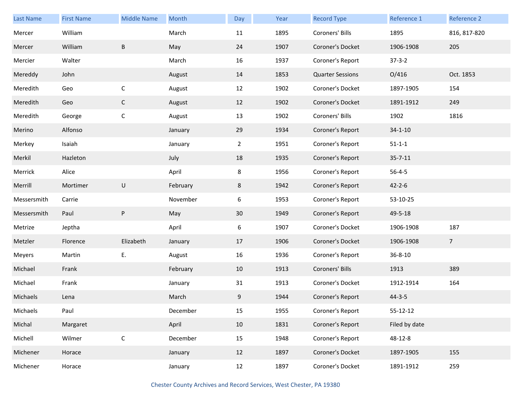| Last Name   | <b>First Name</b> | <b>Middle Name</b> | Month    | Day            | Year | <b>Record Type</b>      | Reference 1    | Reference 2     |
|-------------|-------------------|--------------------|----------|----------------|------|-------------------------|----------------|-----------------|
| Mercer      | William           |                    | March    | 11             | 1895 | Coroners' Bills         | 1895           | 816, 817-820    |
| Mercer      | William           | B                  | May      | 24             | 1907 | Coroner's Docket        | 1906-1908      | 205             |
| Mercier     | Walter            |                    | March    | 16             | 1937 | Coroner's Report        | $37 - 3 - 2$   |                 |
| Mereddy     | John              |                    | August   | 14             | 1853 | <b>Quarter Sessions</b> | O/416          | Oct. 1853       |
| Meredith    | Geo               | $\mathsf C$        | August   | 12             | 1902 | Coroner's Docket        | 1897-1905      | 154             |
| Meredith    | Geo               | $\mathsf C$        | August   | 12             | 1902 | Coroner's Docket        | 1891-1912      | 249             |
| Meredith    | George            | $\mathsf C$        | August   | 13             | 1902 | Coroners' Bills         | 1902           | 1816            |
| Merino      | Alfonso           |                    | January  | 29             | 1934 | Coroner's Report        | $34 - 1 - 10$  |                 |
| Merkey      | Isaiah            |                    | January  | $\overline{2}$ | 1951 | Coroner's Report        | $51 - 1 - 1$   |                 |
| Merkil      | Hazleton          |                    | July     | 18             | 1935 | Coroner's Report        | $35 - 7 - 11$  |                 |
| Merrick     | Alice             |                    | April    | 8              | 1956 | Coroner's Report        | $56 - 4 - 5$   |                 |
| Merrill     | Mortimer          | U                  | February | 8              | 1942 | Coroner's Report        | $42 - 2 - 6$   |                 |
| Messersmith | Carrie            |                    | November | 6              | 1953 | Coroner's Report        | 53-10-25       |                 |
| Messersmith | Paul              | ${\sf P}$          | May      | 30             | 1949 | Coroner's Report        | 49-5-18        |                 |
| Metrize     | Jeptha            |                    | April    | 6              | 1907 | Coroner's Docket        | 1906-1908      | 187             |
| Metzler     | Florence          | Elizabeth          | January  | 17             | 1906 | Coroner's Docket        | 1906-1908      | $7\overline{ }$ |
| Meyers      | Martin            | Ε.                 | August   | 16             | 1936 | Coroner's Report        | 36-8-10        |                 |
| Michael     | Frank             |                    | February | 10             | 1913 | Coroners' Bills         | 1913           | 389             |
| Michael     | Frank             |                    | January  | 31             | 1913 | Coroner's Docket        | 1912-1914      | 164             |
| Michaels    | Lena              |                    | March    | 9              | 1944 | Coroner's Report        | $44 - 3 - 5$   |                 |
| Michaels    | Paul              |                    | December | 15             | 1955 | Coroner's Report        | $55 - 12 - 12$ |                 |
| Michal      | Margaret          |                    | April    | 10             | 1831 | Coroner's Report        | Filed by date  |                 |
| Michell     | Wilmer            | $\mathsf C$        | December | 15             | 1948 | Coroner's Report        | 48-12-8        |                 |
| Michener    | Horace            |                    | January  | 12             | 1897 | Coroner's Docket        | 1897-1905      | 155             |
| Michener    | Horace            |                    | January  | 12             | 1897 | Coroner's Docket        | 1891-1912      | 259             |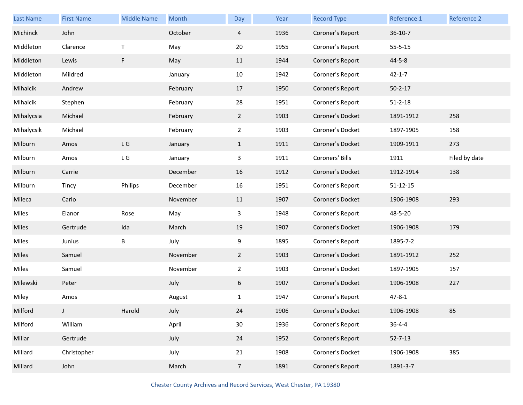| Last Name  | <b>First Name</b> | <b>Middle Name</b>               | Month    | Day            | Year | <b>Record Type</b> | Reference 1    | Reference 2   |
|------------|-------------------|----------------------------------|----------|----------------|------|--------------------|----------------|---------------|
| Michinck   | John              |                                  | October  | $\overline{4}$ | 1936 | Coroner's Report   | $36 - 10 - 7$  |               |
| Middleton  | Clarence          | $\mathsf{T}$                     | May      | 20             | 1955 | Coroner's Report   | $55 - 5 - 15$  |               |
| Middleton  | Lewis             | F                                | May      | 11             | 1944 | Coroner's Report   | $44 - 5 - 8$   |               |
| Middleton  | Mildred           |                                  | January  | 10             | 1942 | Coroner's Report   | $42 - 1 - 7$   |               |
| Mihalcik   | Andrew            |                                  | February | 17             | 1950 | Coroner's Report   | $50 - 2 - 17$  |               |
| Mihalcik   | Stephen           |                                  | February | 28             | 1951 | Coroner's Report   | $51 - 2 - 18$  |               |
| Mihalycsia | Michael           |                                  | February | 2 <sup>1</sup> | 1903 | Coroner's Docket   | 1891-1912      | 258           |
| Mihalycsik | Michael           |                                  | February | $\overline{a}$ | 1903 | Coroner's Docket   | 1897-1905      | 158           |
| Milburn    | Amos              | $\mathsf{L}\mathrel{\mathsf{G}}$ | January  | $\mathbf{1}$   | 1911 | Coroner's Docket   | 1909-1911      | 273           |
| Milburn    | Amos              | $\mathsf{L}\mathrel{\mathsf{G}}$ | January  | 3              | 1911 | Coroners' Bills    | 1911           | Filed by date |
| Milburn    | Carrie            |                                  | December | 16             | 1912 | Coroner's Docket   | 1912-1914      | 138           |
| Milburn    | Tincy             | Philips                          | December | 16             | 1951 | Coroner's Report   | $51 - 12 - 15$ |               |
| Mileca     | Carlo             |                                  | November | 11             | 1907 | Coroner's Docket   | 1906-1908      | 293           |
| Miles      | Elanor            | Rose                             | May      | 3              | 1948 | Coroner's Report   | 48-5-20        |               |
| Miles      | Gertrude          | Ida                              | March    | 19             | 1907 | Coroner's Docket   | 1906-1908      | 179           |
| Miles      | Junius            | В                                | July     | 9              | 1895 | Coroner's Report   | 1895-7-2       |               |
| Miles      | Samuel            |                                  | November | $\overline{2}$ | 1903 | Coroner's Docket   | 1891-1912      | 252           |
| Miles      | Samuel            |                                  | November | $\overline{2}$ | 1903 | Coroner's Docket   | 1897-1905      | 157           |
| Milewski   | Peter             |                                  | July     | 6              | 1907 | Coroner's Docket   | 1906-1908      | 227           |
| Miley      | Amos              |                                  | August   | 1              | 1947 | Coroner's Report   | $47 - 8 - 1$   |               |
| Milford    |                   | Harold                           | July     | 24             | 1906 | Coroner's Docket   | 1906-1908      | 85            |
| Milford    | William           |                                  | April    | 30             | 1936 | Coroner's Report   | $36 - 4 - 4$   |               |
| Millar     | Gertrude          |                                  | July     | 24             | 1952 | Coroner's Report   | $52 - 7 - 13$  |               |
| Millard    | Christopher       |                                  | July     | 21             | 1908 | Coroner's Docket   | 1906-1908      | 385           |
| Millard    | John              |                                  | March    | $\overline{7}$ | 1891 | Coroner's Report   | 1891-3-7       |               |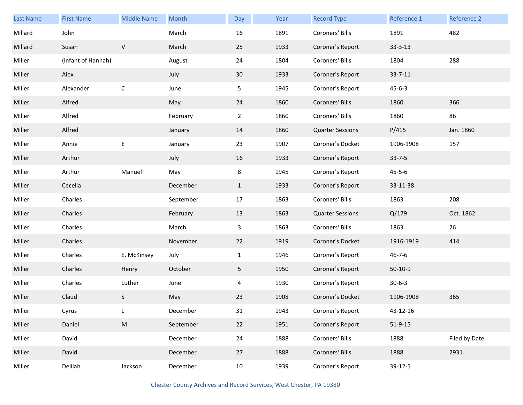| <b>Last Name</b> | <b>First Name</b>  | <b>Middle Name</b> | Month     | Day            | Year | <b>Record Type</b>      | Reference 1   | Reference 2   |
|------------------|--------------------|--------------------|-----------|----------------|------|-------------------------|---------------|---------------|
| Millard          | John               |                    | March     | 16             | 1891 | Coroners' Bills         | 1891          | 482           |
| Millard          | Susan              | $\vee$             | March     | 25             | 1933 | Coroner's Report        | $33 - 3 - 13$ |               |
| Miller           | (infant of Hannah) |                    | August    | 24             | 1804 | Coroners' Bills         | 1804          | 288           |
| Miller           | Alex               |                    | July      | 30             | 1933 | Coroner's Report        | $33 - 7 - 11$ |               |
| Miller           | Alexander          | $\mathsf C$        | June      | 5              | 1945 | Coroner's Report        | $45 - 6 - 3$  |               |
| Miller           | Alfred             |                    | May       | 24             | 1860 | Coroners' Bills         | 1860          | 366           |
| Miller           | Alfred             |                    | February  | $\overline{a}$ | 1860 | Coroners' Bills         | 1860          | 86            |
| Miller           | Alfred             |                    | January   | 14             | 1860 | <b>Quarter Sessions</b> | P/415         | Jan. 1860     |
| Miller           | Annie              | $\mathsf E$        | January   | 23             | 1907 | Coroner's Docket        | 1906-1908     | 157           |
| Miller           | Arthur             |                    | July      | 16             | 1933 | Coroner's Report        | $33 - 7 - 5$  |               |
| Miller           | Arthur             | Manuel             | May       | 8              | 1945 | Coroner's Report        | $45 - 5 - 6$  |               |
| Miller           | Cecelia            |                    | December  | $\mathbf{1}$   | 1933 | Coroner's Report        | 33-11-38      |               |
| Miller           | Charles            |                    | September | 17             | 1863 | Coroners' Bills         | 1863          | 208           |
| Miller           | Charles            |                    | February  | 13             | 1863 | <b>Quarter Sessions</b> | Q/179         | Oct. 1862     |
| Miller           | Charles            |                    | March     | 3              | 1863 | Coroners' Bills         | 1863          | 26            |
| Miller           | Charles            |                    | November  | 22             | 1919 | Coroner's Docket        | 1916-1919     | 414           |
| Miller           | Charles            | E. McKinsey        | July      | $\mathbf{1}$   | 1946 | Coroner's Report        | $46 - 7 - 6$  |               |
| Miller           | Charles            | Henry              | October   | 5              | 1950 | Coroner's Report        | $50-10-9$     |               |
| Miller           | Charles            | Luther             | June      | 4              | 1930 | Coroner's Report        | $30 - 6 - 3$  |               |
| Miller           | Claud              | S                  | May       | 23             | 1908 | Coroner's Docket        | 1906-1908     | 365           |
| Miller           | Cyrus              | L                  | December  | 31             | 1943 | Coroner's Report        | 43-12-16      |               |
| Miller           | Daniel             | ${\sf M}$          | September | 22             | 1951 | Coroner's Report        | $51 - 9 - 15$ |               |
| Miller           | David              |                    | December  | 24             | 1888 | Coroners' Bills         | 1888          | Filed by Date |
| Miller           | David              |                    | December  | 27             | 1888 | Coroners' Bills         | 1888          | 2931          |
| Miller           | Delilah            | Jackson            | December  | 10             | 1939 | Coroner's Report        | 39-12-5       |               |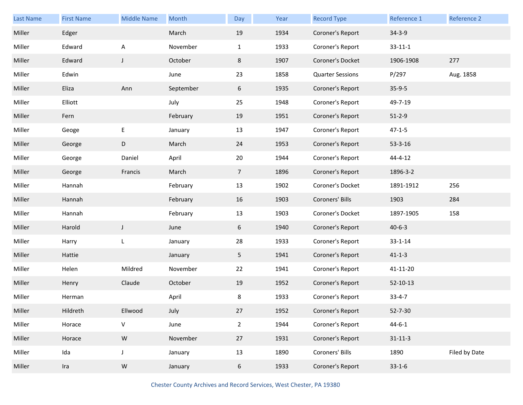| Last Name | <b>First Name</b> | <b>Middle Name</b> | Month     | Day            | Year | <b>Record Type</b>      | Reference 1    | Reference 2   |
|-----------|-------------------|--------------------|-----------|----------------|------|-------------------------|----------------|---------------|
| Miller    | Edger             |                    | March     | 19             | 1934 | Coroner's Report        | $34 - 3 - 9$   |               |
| Miller    | Edward            | Α                  | November  | $\mathbf{1}$   | 1933 | Coroner's Report        | $33 - 11 - 1$  |               |
| Miller    | Edward            | $\mathsf J$        | October   | 8              | 1907 | Coroner's Docket        | 1906-1908      | 277           |
| Miller    | Edwin             |                    | June      | 23             | 1858 | <b>Quarter Sessions</b> | P/297          | Aug. 1858     |
| Miller    | Eliza             | Ann                | September | 6              | 1935 | Coroner's Report        | $35-9-5$       |               |
| Miller    | Elliott           |                    | July      | 25             | 1948 | Coroner's Report        | 49-7-19        |               |
| Miller    | Fern              |                    | February  | 19             | 1951 | Coroner's Report        | $51 - 2 - 9$   |               |
| Miller    | Geoge             | E                  | January   | 13             | 1947 | Coroner's Report        | $47 - 1 - 5$   |               |
| Miller    | George            | D                  | March     | 24             | 1953 | Coroner's Report        | $53 - 3 - 16$  |               |
| Miller    | George            | Daniel             | April     | 20             | 1944 | Coroner's Report        | $44 - 4 - 12$  |               |
| Miller    | George            | Francis            | March     | $\overline{7}$ | 1896 | Coroner's Report        | 1896-3-2       |               |
| Miller    | Hannah            |                    | February  | 13             | 1902 | Coroner's Docket        | 1891-1912      | 256           |
| Miller    | Hannah            |                    | February  | 16             | 1903 | Coroners' Bills         | 1903           | 284           |
| Miller    | Hannah            |                    | February  | 13             | 1903 | Coroner's Docket        | 1897-1905      | 158           |
| Miller    | Harold            | $\mathsf J$        | June      | 6              | 1940 | Coroner's Report        | $40 - 6 - 3$   |               |
| Miller    | Harry             | L                  | January   | 28             | 1933 | Coroner's Report        | $33 - 1 - 14$  |               |
| Miller    | Hattie            |                    | January   | 5 <sub>1</sub> | 1941 | Coroner's Report        | $41 - 1 - 3$   |               |
| Miller    | Helen             | Mildred            | November  | 22             | 1941 | Coroner's Report        | 41-11-20       |               |
| Miller    | Henry             | Claude             | October   | 19             | 1952 | Coroner's Report        | $52 - 10 - 13$ |               |
| Miller    | Herman            |                    | April     | 8              | 1933 | Coroner's Report        | $33 - 4 - 7$   |               |
| Miller    | Hildreth          | Ellwood            | July      | 27             | 1952 | Coroner's Report        | $52 - 7 - 30$  |               |
| Miller    | Horace            | ${\sf V}$          | June      | $\overline{2}$ | 1944 | Coroner's Report        | $44 - 6 - 1$   |               |
| Miller    | Horace            | ${\sf W}$          | November  | 27             | 1931 | Coroner's Report        | $31 - 11 - 3$  |               |
| Miller    | Ida               | $\mathsf J$        | January   | 13             | 1890 | Coroners' Bills         | 1890           | Filed by Date |
| Miller    | Ira               | ${\sf W}$          | January   | 6              | 1933 | Coroner's Report        | $33 - 1 - 6$   |               |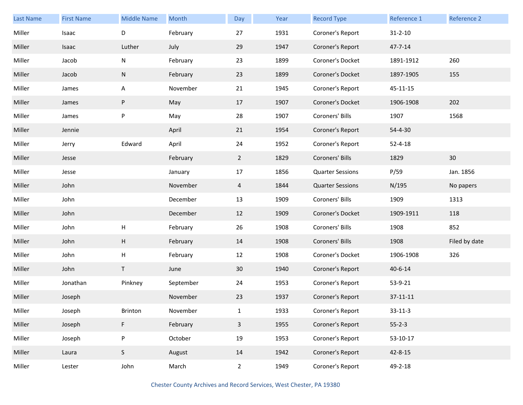| <b>Last Name</b> | <b>First Name</b> | <b>Middle Name</b> | Month     | Day            | Year | <b>Record Type</b>      | Reference 1   | Reference 2   |
|------------------|-------------------|--------------------|-----------|----------------|------|-------------------------|---------------|---------------|
| Miller           | Isaac             | D                  | February  | 27             | 1931 | Coroner's Report        | $31 - 2 - 10$ |               |
| Miller           | Isaac             | Luther             | July      | 29             | 1947 | Coroner's Report        | $47 - 7 - 14$ |               |
| Miller           | Jacob             | N                  | February  | 23             | 1899 | Coroner's Docket        | 1891-1912     | 260           |
| Miller           | Jacob             | N                  | February  | 23             | 1899 | Coroner's Docket        | 1897-1905     | 155           |
| Miller           | James             | A                  | November  | 21             | 1945 | Coroner's Report        | 45-11-15      |               |
| Miller           | James             | P                  | May       | 17             | 1907 | Coroner's Docket        | 1906-1908     | 202           |
| Miller           | James             | P                  | May       | 28             | 1907 | Coroners' Bills         | 1907          | 1568          |
| Miller           | Jennie            |                    | April     | 21             | 1954 | Coroner's Report        | 54-4-30       |               |
| Miller           | Jerry             | Edward             | April     | 24             | 1952 | Coroner's Report        | $52 - 4 - 18$ |               |
| Miller           | Jesse             |                    | February  | $\overline{2}$ | 1829 | Coroners' Bills         | 1829          | 30            |
| Miller           | Jesse             |                    | January   | 17             | 1856 | <b>Quarter Sessions</b> | P/59          | Jan. 1856     |
| Miller           | John              |                    | November  | 4              | 1844 | <b>Quarter Sessions</b> | N/195         | No papers     |
| Miller           | John              |                    | December  | 13             | 1909 | Coroners' Bills         | 1909          | 1313          |
| Miller           | John              |                    | December  | 12             | 1909 | Coroner's Docket        | 1909-1911     | 118           |
| Miller           | John              | Н                  | February  | 26             | 1908 | Coroners' Bills         | 1908          | 852           |
| Miller           | John              | H                  | February  | 14             | 1908 | Coroners' Bills         | 1908          | Filed by date |
| Miller           | John              | H                  | February  | 12             | 1908 | Coroner's Docket        | 1906-1908     | 326           |
| Miller           | John              | T                  | June      | 30             | 1940 | Coroner's Report        | $40 - 6 - 14$ |               |
| Miller           | Jonathan          | Pinkney            | September | 24             | 1953 | Coroner's Report        | 53-9-21       |               |
| Miller           | Joseph            |                    | November  | 23             | 1937 | Coroner's Report        | 37-11-11      |               |
| Miller           | Joseph            | Brinton            | November  | $\mathbf{1}$   | 1933 | Coroner's Report        | $33 - 11 - 3$ |               |
| Miller           | Joseph            | F                  | February  | $\overline{3}$ | 1955 | Coroner's Report        | $55 - 2 - 3$  |               |
| Miller           | Joseph            | P                  | October   | 19             | 1953 | Coroner's Report        | 53-10-17      |               |
| Miller           | Laura             | S                  | August    | 14             | 1942 | Coroner's Report        | 42-8-15       |               |
| Miller           | Lester            | John               | March     | $\overline{2}$ | 1949 | Coroner's Report        | 49-2-18       |               |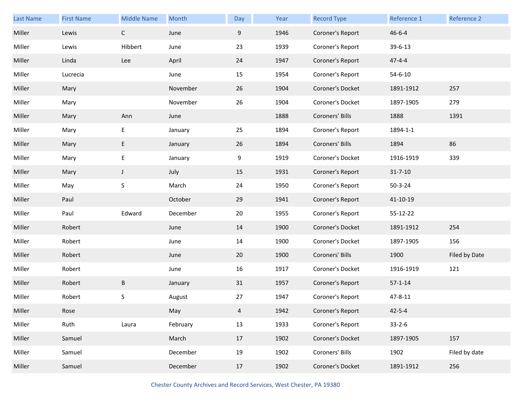| <b>Last Name</b> | <b>First Name</b> | <b>Middle Name</b> | Month    | Day | Year | <b>Record Type</b> | Reference 1   | Reference 2   |
|------------------|-------------------|--------------------|----------|-----|------|--------------------|---------------|---------------|
| Miller           | Lewis             | $\mathsf{C}$       | June     | 9   | 1946 | Coroner's Report   | $46 - 6 - 4$  |               |
| Miller           | Lewis             | Hibbert            | June     | 23  | 1939 | Coroner's Report   | 39-6-13       |               |
| Miller           | Linda             | Lee                | April    | 24  | 1947 | Coroner's Report   | $47 - 4 - 4$  |               |
| Miller           | Lucrecia          |                    | June     | 15  | 1954 | Coroner's Report   | $54 - 6 - 10$ |               |
| Miller           | Mary              |                    | November | 26  | 1904 | Coroner's Docket   | 1891-1912     | 257           |
| Miller           | Mary              |                    | November | 26  | 1904 | Coroner's Docket   | 1897-1905     | 279           |
| Miller           | Mary              | Ann                | June     |     | 1888 | Coroners' Bills    | 1888          | 1391          |
| Miller           | Mary              | E                  | January  | 25  | 1894 | Coroner's Report   | 1894-1-1      |               |
| Miller           | Mary              | E                  | January  | 26  | 1894 | Coroners' Bills    | 1894          | 86            |
| Miller           | Mary              | E                  | January  | 9   | 1919 | Coroner's Docket   | 1916-1919     | 339           |
| Miller           | Mary              | $\mathsf J$        | July     | 15  | 1931 | Coroner's Report   | $31 - 7 - 10$ |               |
| Miller           | May               | S                  | March    | 24  | 1950 | Coroner's Report   | $50 - 3 - 24$ |               |
| Miller           | Paul              |                    | October  | 29  | 1941 | Coroner's Report   | 41-10-19      |               |
| Miller           | Paul              | Edward             | December | 20  | 1955 | Coroner's Report   | 55-12-22      |               |
| Miller           | Robert            |                    | June     | 14  | 1900 | Coroner's Docket   | 1891-1912     | 254           |
| Miller           | Robert            |                    | June     | 14  | 1900 | Coroner's Docket   | 1897-1905     | 156           |
| Miller           | Robert            |                    | June     | 20  | 1900 | Coroners' Bills    | 1900          | Filed by Date |
| Miller           | Robert            |                    | June     | 16  | 1917 | Coroner's Docket   | 1916-1919     | 121           |
| Miller           | Robert            | B                  | January  | 31  | 1957 | Coroner's Report   | $57 - 1 - 14$ |               |
| Miller           | Robert            | S                  | August   | 27  | 1947 | Coroner's Report   | 47-8-11       |               |
| Miller           | Rose              |                    | May      | 4   | 1942 | Coroner's Report   | $42 - 5 - 4$  |               |
| Miller           | Ruth              | Laura              | February | 13  | 1933 | Coroner's Report   | $33 - 2 - 6$  |               |
| Miller           | Samuel            |                    | March    | 17  | 1902 | Coroner's Docket   | 1897-1905     | 157           |
| Miller           | Samuel            |                    | December | 19  | 1902 | Coroners' Bills    | 1902          | Filed by date |
| Miller           | Samuel            |                    | December | 17  | 1902 | Coroner's Docket   | 1891-1912     | 256           |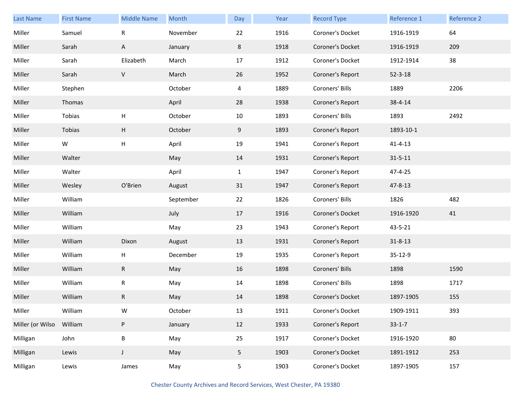| <b>Last Name</b> | <b>First Name</b> | <b>Middle Name</b>        | Month     | Day          | Year | <b>Record Type</b> | Reference 1   | Reference 2 |
|------------------|-------------------|---------------------------|-----------|--------------|------|--------------------|---------------|-------------|
| Miller           | Samuel            | $\mathsf R$               | November  | 22           | 1916 | Coroner's Docket   | 1916-1919     | 64          |
| Miller           | Sarah             | A                         | January   | 8            | 1918 | Coroner's Docket   | 1916-1919     | 209         |
| Miller           | Sarah             | Elizabeth                 | March     | 17           | 1912 | Coroner's Docket   | 1912-1914     | 38          |
| Miller           | Sarah             | $\mathsf{V}$              | March     | 26           | 1952 | Coroner's Report   | $52 - 3 - 18$ |             |
| Miller           | Stephen           |                           | October   | 4            | 1889 | Coroners' Bills    | 1889          | 2206        |
| Miller           | Thomas            |                           | April     | 28           | 1938 | Coroner's Report   | 38-4-14       |             |
| Miller           | Tobias            | $\boldsymbol{\mathsf{H}}$ | October   | 10           | 1893 | Coroners' Bills    | 1893          | 2492        |
| Miller           | Tobias            | H                         | October   | 9            | 1893 | Coroner's Report   | 1893-10-1     |             |
| Miller           | W                 | $\boldsymbol{\mathsf{H}}$ | April     | 19           | 1941 | Coroner's Report   | $41 - 4 - 13$ |             |
| Miller           | Walter            |                           | May       | 14           | 1931 | Coroner's Report   | $31 - 5 - 11$ |             |
| Miller           | Walter            |                           | April     | $\mathbf{1}$ | 1947 | Coroner's Report   | 47-4-25       |             |
| Miller           | Wesley            | O'Brien                   | August    | 31           | 1947 | Coroner's Report   | 47-8-13       |             |
| Miller           | William           |                           | September | 22           | 1826 | Coroners' Bills    | 1826          | 482         |
| Miller           | William           |                           | July      | 17           | 1916 | Coroner's Docket   | 1916-1920     | 41          |
| Miller           | William           |                           | May       | 23           | 1943 | Coroner's Report   | 43-5-21       |             |
| Miller           | William           | Dixon                     | August    | 13           | 1931 | Coroner's Report   | $31 - 8 - 13$ |             |
| Miller           | William           | $\boldsymbol{\mathsf{H}}$ | December  | 19           | 1935 | Coroner's Report   | 35-12-9       |             |
| Miller           | William           | ${\sf R}$                 | May       | 16           | 1898 | Coroners' Bills    | 1898          | 1590        |
| Miller           | William           | ${\sf R}$                 | May       | 14           | 1898 | Coroners' Bills    | 1898          | 1717        |
| Miller           | William           | R                         | May       | 14           | 1898 | Coroner's Docket   | 1897-1905     | 155         |
| Miller           | William           | W                         | October   | 13           | 1911 | Coroner's Docket   | 1909-1911     | 393         |
| Miller (or Wilso | William           | P                         | January   | 12           | 1933 | Coroner's Report   | $33-1-7$      |             |
| Milligan         | John              | $\sf B$                   | May       | 25           | 1917 | Coroner's Docket   | 1916-1920     | 80          |
| Milligan         | Lewis             | $\mathsf J$               | May       | 5            | 1903 | Coroner's Docket   | 1891-1912     | 253         |
| Milligan         | Lewis             | James                     | May       | 5            | 1903 | Coroner's Docket   | 1897-1905     | 157         |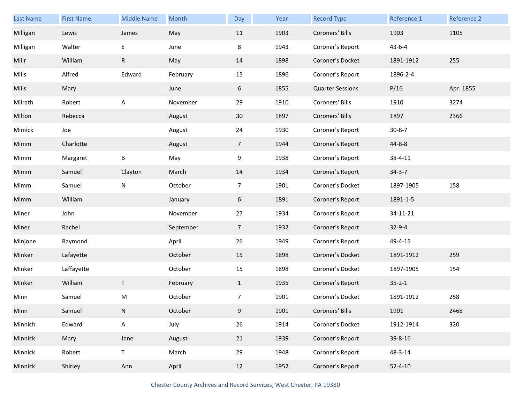| <b>Last Name</b> | <b>First Name</b> | <b>Middle Name</b> | Month     | Day             | Year | <b>Record Type</b>      | Reference 1   | Reference 2 |
|------------------|-------------------|--------------------|-----------|-----------------|------|-------------------------|---------------|-------------|
| Milligan         | Lewis             | James              | May       | 11              | 1903 | Coroners' Bills         | 1903          | 1105        |
| Milligan         | Walter            | E                  | June      | 8               | 1943 | Coroner's Report        | $43 - 6 - 4$  |             |
| Millr            | William           | R                  | May       | 14              | 1898 | Coroner's Docket        | 1891-1912     | 255         |
| Mills            | Alfred            | Edward             | February  | 15              | 1896 | Coroner's Report        | 1896-2-4      |             |
| Mills            | Mary              |                    | June      | 6               | 1855 | <b>Quarter Sessions</b> | P/16          | Apr. 1855   |
| Milrath          | Robert            | A                  | November  | 29              | 1910 | Coroners' Bills         | 1910          | 3274        |
| Milton           | Rebecca           |                    | August    | 30 <sup>°</sup> | 1897 | Coroners' Bills         | 1897          | 2366        |
| Mimick           | Joe               |                    | August    | 24              | 1930 | Coroner's Report        | $30 - 8 - 7$  |             |
| Mimm             | Charlotte         |                    | August    | $7\overline{ }$ | 1944 | Coroner's Report        | 44-8-8        |             |
| Mimm             | Margaret          | B                  | May       | 9               | 1938 | Coroner's Report        | 38-4-11       |             |
| Mimm             | Samuel            | Clayton            | March     | 14              | 1934 | Coroner's Report        | $34 - 3 - 7$  |             |
| Mimm             | Samuel            | N                  | October   | 7               | 1901 | Coroner's Docket        | 1897-1905     | 158         |
| Mimm             | William           |                    | January   | 6               | 1891 | Coroner's Report        | 1891-1-5      |             |
| Miner            | John              |                    | November  | 27              | 1934 | Coroner's Report        | 34-11-21      |             |
| Miner            | Rachel            |                    | September | $7\overline{ }$ | 1932 | Coroner's Report        | $32 - 9 - 4$  |             |
| Minjone          | Raymond           |                    | April     | 26              | 1949 | Coroner's Report        | 49-4-15       |             |
| Minker           | Lafayette         |                    | October   | 15              | 1898 | Coroner's Docket        | 1891-1912     | 259         |
| Minker           | Laffayette        |                    | October   | 15              | 1898 | Coroner's Docket        | 1897-1905     | 154         |
| Minker           | William           | T                  | February  | $\mathbf{1}$    | 1935 | Coroner's Report        | $35 - 2 - 1$  |             |
| Minn             | Samuel            | М                  | October   | $\overline{7}$  | 1901 | Coroner's Docket        | 1891-1912     | 258         |
| Minn             | Samuel            | N                  | October   | 9               | 1901 | Coroners' Bills         | 1901          | 2468        |
| Minnich          | Edward            | A                  | July      | 26              | 1914 | Coroner's Docket        | 1912-1914     | 320         |
| Minnick          | Mary              | Jane               | August    | 21              | 1939 | Coroner's Report        | 39-8-16       |             |
| Minnick          | Robert            | $\mathsf T$        | March     | 29              | 1948 | Coroner's Report        | 48-3-14       |             |
| Minnick          | Shirley           | Ann                | April     | 12              | 1952 | Coroner's Report        | $52 - 4 - 10$ |             |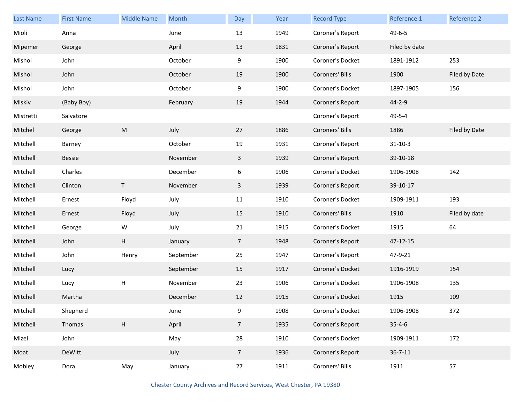| <b>Last Name</b> | <b>First Name</b> | <b>Middle Name</b> | Month     | Day             | Year | <b>Record Type</b> | Reference 1   | Reference 2   |
|------------------|-------------------|--------------------|-----------|-----------------|------|--------------------|---------------|---------------|
| Mioli            | Anna              |                    | June      | 13              | 1949 | Coroner's Report   | $49 - 6 - 5$  |               |
| Mipemer          | George            |                    | April     | 13              | 1831 | Coroner's Report   | Filed by date |               |
| Mishol           | John              |                    | October   | 9               | 1900 | Coroner's Docket   | 1891-1912     | 253           |
| Mishol           | John              |                    | October   | 19              | 1900 | Coroners' Bills    | 1900          | Filed by Date |
| Mishol           | John              |                    | October   | 9               | 1900 | Coroner's Docket   | 1897-1905     | 156           |
| Miskiv           | (Baby Boy)        |                    | February  | 19              | 1944 | Coroner's Report   | 44-2-9        |               |
| Mistretti        | Salvatore         |                    |           |                 |      | Coroner's Report   | 49-5-4        |               |
| Mitchel          | George            | M                  | July      | 27              | 1886 | Coroners' Bills    | 1886          | Filed by Date |
| Mitchell         | Barney            |                    | October   | 19              | 1931 | Coroner's Report   | $31 - 10 - 3$ |               |
| Mitchell         | Bessie            |                    | November  | $\mathbf{3}$    | 1939 | Coroner's Report   | 39-10-18      |               |
| Mitchell         | Charles           |                    | December  | 6               | 1906 | Coroner's Docket   | 1906-1908     | 142           |
| Mitchell         | Clinton           | T.                 | November  | $\mathbf{3}$    | 1939 | Coroner's Report   | 39-10-17      |               |
| Mitchell         | Ernest            | Floyd              | July      | 11              | 1910 | Coroner's Docket   | 1909-1911     | 193           |
| Mitchell         | Ernest            | Floyd              | July      | 15              | 1910 | Coroners' Bills    | 1910          | Filed by date |
| Mitchell         | George            | W                  | July      | 21              | 1915 | Coroner's Docket   | 1915          | 64            |
| Mitchell         | John              | H                  | January   | $\overline{7}$  | 1948 | Coroner's Report   | 47-12-15      |               |
| Mitchell         | John              | Henry              | September | 25              | 1947 | Coroner's Report   | 47-9-21       |               |
| Mitchell         | Lucy              |                    | September | 15              | 1917 | Coroner's Docket   | 1916-1919     | 154           |
| Mitchell         | Lucy              | $\sf H$            | November  | 23              | 1906 | Coroner's Docket   | 1906-1908     | 135           |
| Mitchell         | Martha            |                    | December  | 12              | 1915 | Coroner's Docket   | 1915          | 109           |
| Mitchell         | Shepherd          |                    | June      | 9               | 1908 | Coroner's Docket   | 1906-1908     | 372           |
| Mitchell         | Thomas            | $\mathsf H$        | April     | 7 <sup>7</sup>  | 1935 | Coroner's Report   | $35 - 4 - 6$  |               |
| Mizel            | John              |                    | May       | 28              | 1910 | Coroner's Docket   | 1909-1911     | 172           |
| Moat             | DeWitt            |                    | July      | $7\overline{ }$ | 1936 | Coroner's Report   | $36 - 7 - 11$ |               |
| Mobley           | Dora              | May                | January   | 27              | 1911 | Coroners' Bills    | 1911          | 57            |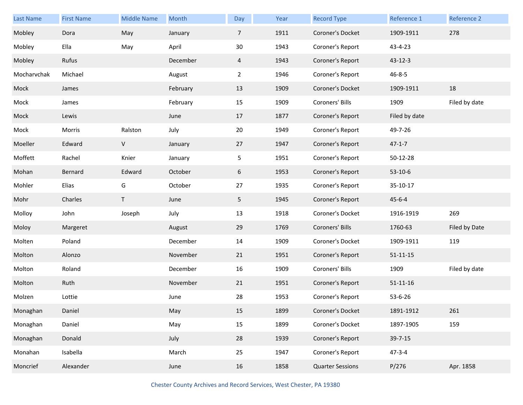| <b>Last Name</b> | <b>First Name</b> | <b>Middle Name</b> | Month    | Day            | Year | <b>Record Type</b>      | Reference 1    | Reference 2   |
|------------------|-------------------|--------------------|----------|----------------|------|-------------------------|----------------|---------------|
| Mobley           | Dora              | May                | January  | $\overline{7}$ | 1911 | Coroner's Docket        | 1909-1911      | 278           |
| Mobley           | Ella              | May                | April    | 30             | 1943 | Coroner's Report        | 43-4-23        |               |
| Mobley           | Rufus             |                    | December | 4              | 1943 | Coroner's Report        | $43 - 12 - 3$  |               |
| Mocharvchak      | Michael           |                    | August   | $\mathbf{2}$   | 1946 | Coroner's Report        | $46 - 8 - 5$   |               |
| Mock             | James             |                    | February | 13             | 1909 | Coroner's Docket        | 1909-1911      | 18            |
| Mock             | James             |                    | February | 15             | 1909 | Coroners' Bills         | 1909           | Filed by date |
| Mock             | Lewis             |                    | June     | 17             | 1877 | Coroner's Report        | Filed by date  |               |
| Mock             | Morris            | Ralston            | July     | 20             | 1949 | Coroner's Report        | 49-7-26        |               |
| Moeller          | Edward            | V                  | January  | 27             | 1947 | Coroner's Report        | $47 - 1 - 7$   |               |
| Moffett          | Rachel            | Knier              | January  | 5              | 1951 | Coroner's Report        | 50-12-28       |               |
| Mohan            | Bernard           | Edward             | October  | 6              | 1953 | Coroner's Report        | $53-10-6$      |               |
| Mohler           | Elias             | G                  | October  | 27             | 1935 | Coroner's Report        | 35-10-17       |               |
| Mohr             | Charles           | $\mathsf T$        | June     | 5 <sub>1</sub> | 1945 | Coroner's Report        | $45 - 6 - 4$   |               |
| Molloy           | John              | Joseph             | July     | 13             | 1918 | Coroner's Docket        | 1916-1919      | 269           |
| Moloy            | Margeret          |                    | August   | 29             | 1769 | Coroners' Bills         | 1760-63        | Filed by Date |
| Molten           | Poland            |                    | December | 14             | 1909 | Coroner's Docket        | 1909-1911      | 119           |
| Molton           | Alonzo            |                    | November | 21             | 1951 | Coroner's Report        | $51 - 11 - 15$ |               |
| Molton           | Roland            |                    | December | 16             | 1909 | Coroners' Bills         | 1909           | Filed by date |
| Molton           | Ruth              |                    | November | 21             | 1951 | Coroner's Report        | $51 - 11 - 16$ |               |
| Molzen           | Lottie            |                    | June     | 28             | 1953 | Coroner's Report        | 53-6-26        |               |
| Monaghan         | Daniel            |                    | May      | 15             | 1899 | Coroner's Docket        | 1891-1912      | 261           |
| Monaghan         | Daniel            |                    | May      | 15             | 1899 | Coroner's Docket        | 1897-1905      | 159           |
| Monaghan         | Donald            |                    | July     | 28             | 1939 | Coroner's Report        | 39-7-15        |               |
| Monahan          | Isabella          |                    | March    | 25             | 1947 | Coroner's Report        | $47 - 3 - 4$   |               |
| Moncrief         | Alexander         |                    | June     | 16             | 1858 | <b>Quarter Sessions</b> | P/276          | Apr. 1858     |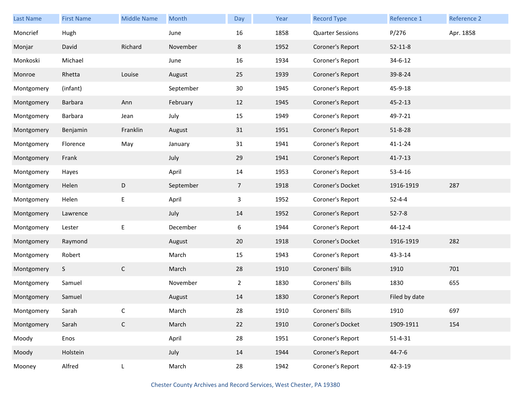| Last Name  | <b>First Name</b> | <b>Middle Name</b> | Month     | Day            | Year | <b>Record Type</b>      | Reference 1   | Reference 2 |
|------------|-------------------|--------------------|-----------|----------------|------|-------------------------|---------------|-------------|
| Moncrief   | Hugh              |                    | June      | 16             | 1858 | <b>Quarter Sessions</b> | P/276         | Apr. 1858   |
| Monjar     | David             | Richard            | November  | 8              | 1952 | Coroner's Report        | $52 - 11 - 8$ |             |
| Monkoski   | Michael           |                    | June      | 16             | 1934 | Coroner's Report        | $34 - 6 - 12$ |             |
| Monroe     | Rhetta            | Louise             | August    | 25             | 1939 | Coroner's Report        | 39-8-24       |             |
| Montgomery | (infant)          |                    | September | 30             | 1945 | Coroner's Report        | 45-9-18       |             |
| Montgomery | Barbara           | Ann                | February  | 12             | 1945 | Coroner's Report        | $45 - 2 - 13$ |             |
| Montgomery | Barbara           | Jean               | July      | 15             | 1949 | Coroner's Report        | 49-7-21       |             |
| Montgomery | Benjamin          | Franklin           | August    | 31             | 1951 | Coroner's Report        | $51 - 8 - 28$ |             |
| Montgomery | Florence          | May                | January   | 31             | 1941 | Coroner's Report        | $41 - 1 - 24$ |             |
| Montgomery | Frank             |                    | July      | 29             | 1941 | Coroner's Report        | $41 - 7 - 13$ |             |
| Montgomery | Hayes             |                    | April     | 14             | 1953 | Coroner's Report        | $53 - 4 - 16$ |             |
| Montgomery | Helen             | D                  | September | $\overline{7}$ | 1918 | Coroner's Docket        | 1916-1919     | 287         |
| Montgomery | Helen             | E                  | April     | 3              | 1952 | Coroner's Report        | $52 - 4 - 4$  |             |
| Montgomery | Lawrence          |                    | July      | 14             | 1952 | Coroner's Report        | $52 - 7 - 8$  |             |
| Montgomery | Lester            | E                  | December  | 6              | 1944 | Coroner's Report        | 44-12-4       |             |
| Montgomery | Raymond           |                    | August    | 20             | 1918 | Coroner's Docket        | 1916-1919     | 282         |
| Montgomery | Robert            |                    | March     | 15             | 1943 | Coroner's Report        | 43-3-14       |             |
| Montgomery | S                 | $\mathsf{C}$       | March     | 28             | 1910 | Coroners' Bills         | 1910          | 701         |
| Montgomery | Samuel            |                    | November  | $\overline{2}$ | 1830 | Coroners' Bills         | 1830          | 655         |
| Montgomery | Samuel            |                    | August    | 14             | 1830 | Coroner's Report        | Filed by date |             |
| Montgomery | Sarah             | C                  | March     | 28             | 1910 | Coroners' Bills         | 1910          | 697         |
| Montgomery | Sarah             | $\mathsf C$        | March     | 22             | 1910 | Coroner's Docket        | 1909-1911     | 154         |
| Moody      | Enos              |                    | April     | 28             | 1951 | Coroner's Report        | $51 - 4 - 31$ |             |
| Moody      | Holstein          |                    | July      | 14             | 1944 | Coroner's Report        | $44 - 7 - 6$  |             |
| Mooney     | Alfred            | L                  | March     | 28             | 1942 | Coroner's Report        | $42 - 3 - 19$ |             |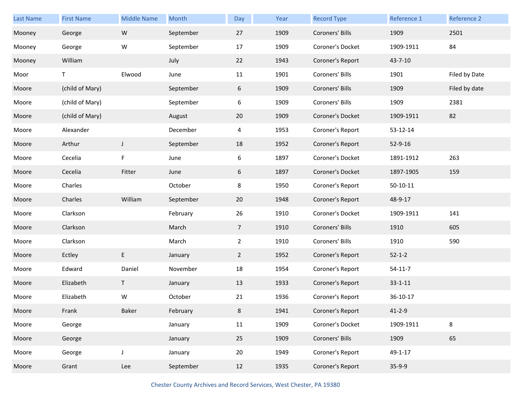| Last Name | <b>First Name</b> | <b>Middle Name</b> | Month     | Day             | Year | <b>Record Type</b> | Reference 1   | Reference 2   |
|-----------|-------------------|--------------------|-----------|-----------------|------|--------------------|---------------|---------------|
| Mooney    | George            | ${\sf W}$          | September | 27              | 1909 | Coroners' Bills    | 1909          | 2501          |
| Mooney    | George            | W                  | September | 17              | 1909 | Coroner's Docket   | 1909-1911     | 84            |
| Mooney    | William           |                    | July      | 22              | 1943 | Coroner's Report   | 43-7-10       |               |
| Moor      | T.                | Elwood             | June      | 11              | 1901 | Coroners' Bills    | 1901          | Filed by Date |
| Moore     | (child of Mary)   |                    | September | 6               | 1909 | Coroners' Bills    | 1909          | Filed by date |
| Moore     | (child of Mary)   |                    | September | 6               | 1909 | Coroners' Bills    | 1909          | 2381          |
| Moore     | (child of Mary)   |                    | August    | 20              | 1909 | Coroner's Docket   | 1909-1911     | 82            |
| Moore     | Alexander         |                    | December  | 4               | 1953 | Coroner's Report   | 53-12-14      |               |
| Moore     | Arthur            | $\mathsf J$        | September | 18              | 1952 | Coroner's Report   | 52-9-16       |               |
| Moore     | Cecelia           | F                  | June      | 6               | 1897 | Coroner's Docket   | 1891-1912     | 263           |
| Moore     | Cecelia           | Fitter             | June      | 6               | 1897 | Coroner's Docket   | 1897-1905     | 159           |
| Moore     | Charles           |                    | October   | 8               | 1950 | Coroner's Report   | $50-10-11$    |               |
| Moore     | Charles           | William            | September | 20              | 1948 | Coroner's Report   | 48-9-17       |               |
| Moore     | Clarkson          |                    | February  | 26              | 1910 | Coroner's Docket   | 1909-1911     | 141           |
| Moore     | Clarkson          |                    | March     | $7\overline{ }$ | 1910 | Coroners' Bills    | 1910          | 605           |
| Moore     | Clarkson          |                    | March     | $\overline{2}$  | 1910 | Coroners' Bills    | 1910          | 590           |
| Moore     | Ectley            | E                  | January   | $\overline{2}$  | 1952 | Coroner's Report   | $52 - 1 - 2$  |               |
| Moore     | Edward            | Daniel             | November  | 18              | 1954 | Coroner's Report   | $54 - 11 - 7$ |               |
| Moore     | Elizabeth         | T.                 | January   | 13              | 1933 | Coroner's Report   | $33 - 1 - 11$ |               |
| Moore     | Elizabeth         | W                  | October   | 21              | 1936 | Coroner's Report   | 36-10-17      |               |
| Moore     | Frank             | Baker              | February  | 8               | 1941 | Coroner's Report   | $41 - 2 - 9$  |               |
| Moore     | George            |                    | January   | 11              | 1909 | Coroner's Docket   | 1909-1911     | 8             |
| Moore     | George            |                    | January   | 25              | 1909 | Coroners' Bills    | 1909          | 65            |
| Moore     | George            | $\mathsf J$        | January   | 20              | 1949 | Coroner's Report   | 49-1-17       |               |
| Moore     | Grant             | Lee                | September | 12              | 1935 | Coroner's Report   | $35-9-9$      |               |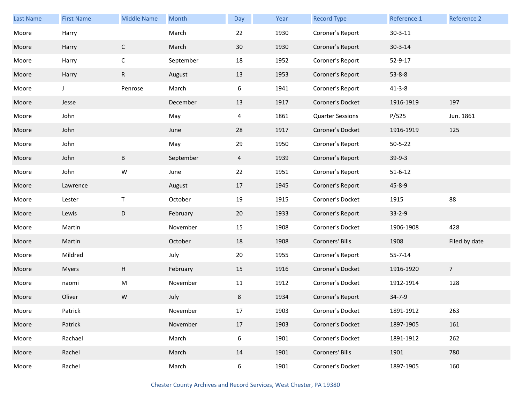| Last Name | <b>First Name</b> | <b>Middle Name</b> | Month     | Day    | Year | <b>Record Type</b>      | Reference 1   | Reference 2    |
|-----------|-------------------|--------------------|-----------|--------|------|-------------------------|---------------|----------------|
| Moore     | Harry             |                    | March     | 22     | 1930 | Coroner's Report        | $30 - 3 - 11$ |                |
| Moore     | Harry             | $\mathsf C$        | March     | 30     | 1930 | Coroner's Report        | $30 - 3 - 14$ |                |
| Moore     | Harry             | $\mathsf C$        | September | 18     | 1952 | Coroner's Report        | 52-9-17       |                |
| Moore     | Harry             | R                  | August    | 13     | 1953 | Coroner's Report        | $53 - 8 - 8$  |                |
| Moore     | J                 | Penrose            | March     | 6      | 1941 | Coroner's Report        | $41 - 3 - 8$  |                |
| Moore     | Jesse             |                    | December  | 13     | 1917 | Coroner's Docket        | 1916-1919     | 197            |
| Moore     | John              |                    | May       | 4      | 1861 | <b>Quarter Sessions</b> | P/525         | Jun. 1861      |
| Moore     | John              |                    | June      | 28     | 1917 | Coroner's Docket        | 1916-1919     | 125            |
| Moore     | John              |                    | May       | 29     | 1950 | Coroner's Report        | $50 - 5 - 22$ |                |
| Moore     | John              | B                  | September | 4      | 1939 | Coroner's Report        | $39-9-3$      |                |
| Moore     | John              | W                  | June      | 22     | 1951 | Coroner's Report        | $51 - 6 - 12$ |                |
| Moore     | Lawrence          |                    | August    | 17     | 1945 | Coroner's Report        | $45 - 8 - 9$  |                |
| Moore     | Lester            | $\mathsf T$        | October   | 19     | 1915 | Coroner's Docket        | 1915          | 88             |
| Moore     | Lewis             | D                  | February  | 20     | 1933 | Coroner's Report        | $33 - 2 - 9$  |                |
| Moore     | Martin            |                    | November  | 15     | 1908 | Coroner's Docket        | 1906-1908     | 428            |
| Moore     | Martin            |                    | October   | 18     | 1908 | Coroners' Bills         | 1908          | Filed by date  |
| Moore     | Mildred           |                    | July      | 20     | 1955 | Coroner's Report        | $55 - 7 - 14$ |                |
| Moore     | <b>Myers</b>      | H                  | February  | 15     | 1916 | Coroner's Docket        | 1916-1920     | $\overline{7}$ |
| Moore     | naomi             | ${\sf M}$          | November  | 11     | 1912 | Coroner's Docket        | 1912-1914     | 128            |
| Moore     | Oliver            | W                  | July      | 8      | 1934 | Coroner's Report        | 34-7-9        |                |
| Moore     | Patrick           |                    | November  | $17\,$ | 1903 | Coroner's Docket        | 1891-1912     | 263            |
| Moore     | Patrick           |                    | November  | 17     | 1903 | Coroner's Docket        | 1897-1905     | 161            |
| Moore     | Rachael           |                    | March     | 6      | 1901 | Coroner's Docket        | 1891-1912     | 262            |
| Moore     | Rachel            |                    | March     | 14     | 1901 | Coroners' Bills         | 1901          | 780            |
| Moore     | Rachel            |                    | March     | 6      | 1901 | Coroner's Docket        | 1897-1905     | 160            |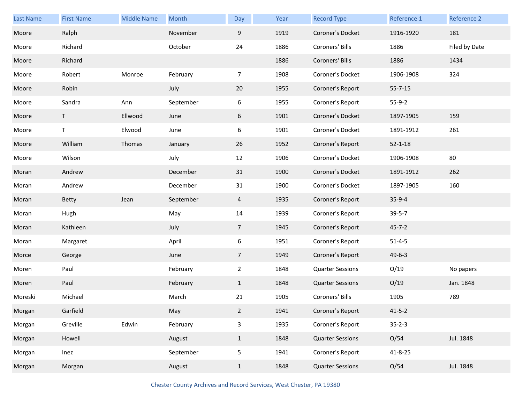| Last Name | <b>First Name</b> | <b>Middle Name</b> | Month     | Day             | Year | <b>Record Type</b>      | Reference 1   | Reference 2   |
|-----------|-------------------|--------------------|-----------|-----------------|------|-------------------------|---------------|---------------|
| Moore     | Ralph             |                    | November  | 9               | 1919 | Coroner's Docket        | 1916-1920     | 181           |
| Moore     | Richard           |                    | October   | 24              | 1886 | Coroners' Bills         | 1886          | Filed by Date |
| Moore     | Richard           |                    |           |                 | 1886 | Coroners' Bills         | 1886          | 1434          |
| Moore     | Robert            | Monroe             | February  | $\overline{7}$  | 1908 | Coroner's Docket        | 1906-1908     | 324           |
| Moore     | Robin             |                    | July      | 20              | 1955 | Coroner's Report        | $55 - 7 - 15$ |               |
| Moore     | Sandra            | Ann                | September | 6               | 1955 | Coroner's Report        | $55-9-2$      |               |
| Moore     | T                 | Ellwood            | June      | 6               | 1901 | Coroner's Docket        | 1897-1905     | 159           |
| Moore     | T                 | Elwood             | June      | 6               | 1901 | Coroner's Docket        | 1891-1912     | 261           |
| Moore     | William           | Thomas             | January   | 26              | 1952 | Coroner's Report        | $52 - 1 - 18$ |               |
| Moore     | Wilson            |                    | July      | 12              | 1906 | Coroner's Docket        | 1906-1908     | 80            |
| Moran     | Andrew            |                    | December  | 31              | 1900 | Coroner's Docket        | 1891-1912     | 262           |
| Moran     | Andrew            |                    | December  | 31              | 1900 | Coroner's Docket        | 1897-1905     | 160           |
| Moran     | <b>Betty</b>      | Jean               | September | $\overline{4}$  | 1935 | Coroner's Report        | $35-9-4$      |               |
| Moran     | Hugh              |                    | May       | 14              | 1939 | Coroner's Report        | $39 - 5 - 7$  |               |
| Moran     | Kathleen          |                    | July      | $7\overline{ }$ | 1945 | Coroner's Report        | $45 - 7 - 2$  |               |
| Moran     | Margaret          |                    | April     | 6               | 1951 | Coroner's Report        | $51 - 4 - 5$  |               |
| Morce     | George            |                    | June      | $7\overline{ }$ | 1949 | Coroner's Report        | $49 - 6 - 3$  |               |
| Moren     | Paul              |                    | February  | $\overline{2}$  | 1848 | <b>Quarter Sessions</b> | O/19          | No papers     |
| Moren     | Paul              |                    | February  | $\mathbf{1}$    | 1848 | <b>Quarter Sessions</b> | O/19          | Jan. 1848     |
| Moreski   | Michael           |                    | March     | 21              | 1905 | Coroners' Bills         | 1905          | 789           |
| Morgan    | Garfield          |                    | May       | $\overline{2}$  | 1941 | Coroner's Report        | $41 - 5 - 2$  |               |
| Morgan    | Greville          | Edwin              | February  | 3               | 1935 | Coroner's Report        | $35 - 2 - 3$  |               |
| Morgan    | Howell            |                    | August    | $\mathbf{1}$    | 1848 | <b>Quarter Sessions</b> | O/54          | Jul. 1848     |
| Morgan    | Inez              |                    | September | 5               | 1941 | Coroner's Report        | 41-8-25       |               |
| Morgan    | Morgan            |                    | August    | $\mathbf{1}$    | 1848 | <b>Quarter Sessions</b> | O/54          | Jul. 1848     |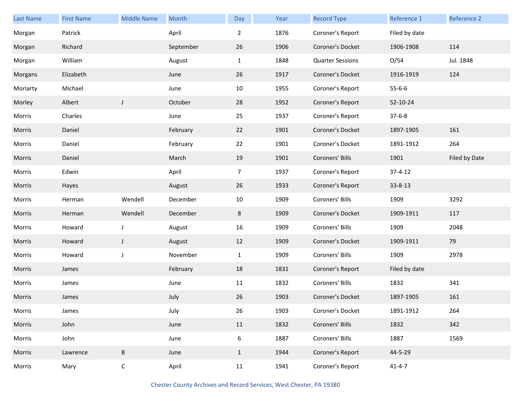| Last Name | <b>First Name</b> | <b>Middle Name</b> | Month     | Day            | Year | <b>Record Type</b>      | Reference 1   | Reference 2   |
|-----------|-------------------|--------------------|-----------|----------------|------|-------------------------|---------------|---------------|
| Morgan    | Patrick           |                    | April     | $\overline{2}$ | 1876 | Coroner's Report        | Filed by date |               |
| Morgan    | Richard           |                    | September | 26             | 1906 | Coroner's Docket        | 1906-1908     | 114           |
| Morgan    | William           |                    | August    | $\mathbf{1}$   | 1848 | <b>Quarter Sessions</b> | O/54          | Jul. 1848     |
| Morgans   | Elizabeth         |                    | June      | 26             | 1917 | Coroner's Docket        | 1916-1919     | 124           |
| Moriarty  | Michael           |                    | June      | 10             | 1955 | Coroner's Report        | $55 - 6 - 6$  |               |
| Morley    | Albert            | J                  | October   | 28             | 1952 | Coroner's Report        | 52-10-24      |               |
| Morris    | Charles           |                    | June      | 25             | 1937 | Coroner's Report        | $37 - 6 - 8$  |               |
| Morris    | Daniel            |                    | February  | 22             | 1901 | Coroner's Docket        | 1897-1905     | 161           |
| Morris    | Daniel            |                    | February  | 22             | 1901 | Coroner's Docket        | 1891-1912     | 264           |
| Morris    | Daniel            |                    | March     | 19             | 1901 | Coroners' Bills         | 1901          | Filed by Date |
| Morris    | Edwin             |                    | April     | $\overline{7}$ | 1937 | Coroner's Report        | $37 - 4 - 12$ |               |
| Morris    | Hayes             |                    | August    | 26             | 1933 | Coroner's Report        | $33 - 8 - 13$ |               |
| Morris    | Herman            | Wendell            | December  | 10             | 1909 | Coroners' Bills         | 1909          | 3292          |
| Morris    | Herman            | Wendell            | December  | 8              | 1909 | Coroner's Docket        | 1909-1911     | 117           |
| Morris    | Howard            | $\mathsf J$        | August    | 16             | 1909 | Coroners' Bills         | 1909          | 2048          |
| Morris    | Howard            | J                  | August    | 12             | 1909 | Coroner's Docket        | 1909-1911     | 79            |
| Morris    | Howard            | $\mathsf J$        | November  | $\mathbf{1}$   | 1909 | Coroners' Bills         | 1909          | 2978          |
| Morris    | James             |                    | February  | 18             | 1831 | Coroner's Report        | Filed by date |               |
| Morris    | James             |                    | June      | 11             | 1832 | Coroners' Bills         | 1832          | 341           |
| Morris    | James             |                    | July      | 26             | 1903 | Coroner's Docket        | 1897-1905     | 161           |
| Morris    | James             |                    | July      | 26             | 1903 | Coroner's Docket        | 1891-1912     | 264           |
| Morris    | John              |                    | June      | 11             | 1832 | Coroners' Bills         | 1832          | 342           |
| Morris    | John              |                    | June      | 6              | 1887 | Coroners' Bills         | 1887          | 1569          |
| Morris    | Lawrence          | $\sf B$            | June      | $\mathbf{1}$   | 1944 | Coroner's Report        | 44-5-29       |               |
| Morris    | Mary              | $\mathsf C$        | April     | 11             | 1941 | Coroner's Report        | $41 - 4 - 7$  |               |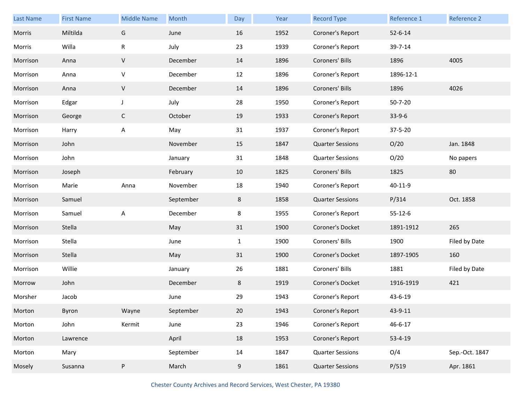| Last Name | <b>First Name</b> | <b>Middle Name</b> | Month     | Day          | Year | <b>Record Type</b>      | Reference 1   | Reference 2    |
|-----------|-------------------|--------------------|-----------|--------------|------|-------------------------|---------------|----------------|
| Morris    | Miltilda          | G                  | June      | 16           | 1952 | Coroner's Report        | $52 - 6 - 14$ |                |
| Morris    | Willa             | ${\sf R}$          | July      | 23           | 1939 | Coroner's Report        | 39-7-14       |                |
| Morrison  | Anna              | $\sf V$            | December  | 14           | 1896 | Coroners' Bills         | 1896          | 4005           |
| Morrison  | Anna              | V                  | December  | 12           | 1896 | Coroner's Report        | 1896-12-1     |                |
| Morrison  | Anna              | $\sf V$            | December  | 14           | 1896 | Coroners' Bills         | 1896          | 4026           |
| Morrison  | Edgar             | $\mathsf J$        | July      | 28           | 1950 | Coroner's Report        | $50 - 7 - 20$ |                |
| Morrison  | George            | $\mathsf{C}$       | October   | 19           | 1933 | Coroner's Report        | $33-9-6$      |                |
| Morrison  | Harry             | Α                  | May       | 31           | 1937 | Coroner's Report        | 37-5-20       |                |
| Morrison  | John              |                    | November  | 15           | 1847 | <b>Quarter Sessions</b> | O/20          | Jan. 1848      |
| Morrison  | John              |                    | January   | 31           | 1848 | <b>Quarter Sessions</b> | O/20          | No papers      |
| Morrison  | Joseph            |                    | February  | 10           | 1825 | Coroners' Bills         | 1825          | 80             |
| Morrison  | Marie             | Anna               | November  | 18           | 1940 | Coroner's Report        | 40-11-9       |                |
| Morrison  | Samuel            |                    | September | 8            | 1858 | <b>Quarter Sessions</b> | P/314         | Oct. 1858      |
| Morrison  | Samuel            | A                  | December  | 8            | 1955 | Coroner's Report        | $55 - 12 - 6$ |                |
| Morrison  | Stella            |                    | May       | 31           | 1900 | Coroner's Docket        | 1891-1912     | 265            |
| Morrison  | Stella            |                    | June      | $\mathbf{1}$ | 1900 | Coroners' Bills         | 1900          | Filed by Date  |
| Morrison  | Stella            |                    | May       | 31           | 1900 | Coroner's Docket        | 1897-1905     | 160            |
| Morrison  | Willie            |                    | January   | 26           | 1881 | Coroners' Bills         | 1881          | Filed by Date  |
| Morrow    | John              |                    | December  | 8            | 1919 | Coroner's Docket        | 1916-1919     | 421            |
| Morsher   | Jacob             |                    | June      | 29           | 1943 | Coroner's Report        | 43-6-19       |                |
| Morton    | Byron             | Wayne              | September | 20           | 1943 | Coroner's Report        | 43-9-11       |                |
| Morton    | John              | Kermit             | June      | 23           | 1946 | Coroner's Report        | $46 - 6 - 17$ |                |
| Morton    | Lawrence          |                    | April     | 18           | 1953 | Coroner's Report        | $53 - 4 - 19$ |                |
| Morton    | Mary              |                    | September | 14           | 1847 | <b>Quarter Sessions</b> | O/4           | Sep.-Oct. 1847 |
| Mosely    | Susanna           | P                  | March     | 9            | 1861 | <b>Quarter Sessions</b> | P/519         | Apr. 1861      |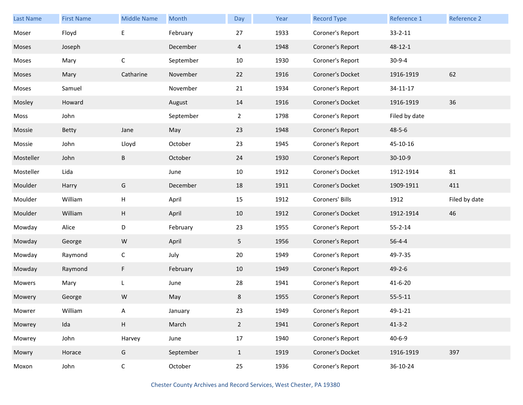| Last Name | <b>First Name</b> | <b>Middle Name</b> | Month     | Day             | Year | <b>Record Type</b> | Reference 1   | Reference 2   |
|-----------|-------------------|--------------------|-----------|-----------------|------|--------------------|---------------|---------------|
| Moser     | Floyd             | E                  | February  | 27              | 1933 | Coroner's Report   | $33 - 2 - 11$ |               |
| Moses     | Joseph            |                    | December  | $\overline{4}$  | 1948 | Coroner's Report   | 48-12-1       |               |
| Moses     | Mary              | $\mathsf C$        | September | 10              | 1930 | Coroner's Report   | $30 - 9 - 4$  |               |
| Moses     | Mary              | Catharine          | November  | 22              | 1916 | Coroner's Docket   | 1916-1919     | 62            |
| Moses     | Samuel            |                    | November  | 21              | 1934 | Coroner's Report   | 34-11-17      |               |
| Mosley    | Howard            |                    | August    | 14              | 1916 | Coroner's Docket   | 1916-1919     | 36            |
| Moss      | John              |                    | September | $\overline{2}$  | 1798 | Coroner's Report   | Filed by date |               |
| Mossie    | <b>Betty</b>      | Jane               | May       | 23              | 1948 | Coroner's Report   | $48 - 5 - 6$  |               |
| Mossie    | John              | Lloyd              | October   | 23              | 1945 | Coroner's Report   | 45-10-16      |               |
| Mosteller | John              | B                  | October   | 24              | 1930 | Coroner's Report   | $30-10-9$     |               |
| Mosteller | Lida              |                    | June      | 10              | 1912 | Coroner's Docket   | 1912-1914     | 81            |
| Moulder   | Harry             | G                  | December  | 18              | 1911 | Coroner's Docket   | 1909-1911     | 411           |
| Moulder   | William           | н                  | April     | 15              | 1912 | Coroners' Bills    | 1912          | Filed by date |
| Moulder   | William           | H                  | April     | 10              | 1912 | Coroner's Docket   | 1912-1914     | 46            |
| Mowday    | Alice             | D                  | February  | 23              | 1955 | Coroner's Report   | $55 - 2 - 14$ |               |
| Mowday    | George            | W                  | April     | 5               | 1956 | Coroner's Report   | $56 - 4 - 4$  |               |
| Mowday    | Raymond           | $\mathsf C$        | July      | 20              | 1949 | Coroner's Report   | 49-7-35       |               |
| Mowday    | Raymond           | F                  | February  | 10              | 1949 | Coroner's Report   | $49 - 2 - 6$  |               |
| Mowers    | Mary              | L                  | June      | 28              | 1941 | Coroner's Report   | $41 - 6 - 20$ |               |
| Mowery    | George            | W                  | May       | 8               | 1955 | Coroner's Report   | $55 - 5 - 11$ |               |
| Mowrer    | William           | Α                  | January   | 23              | 1949 | Coroner's Report   | 49-1-21       |               |
| Mowrey    | Ida               | H                  | March     | $2\overline{ }$ | 1941 | Coroner's Report   | $41 - 3 - 2$  |               |
| Mowrey    | John              | Harvey             | June      | $17\,$          | 1940 | Coroner's Report   | $40 - 6 - 9$  |               |
| Mowry     | Horace            | G                  | September | $\mathbf{1}$    | 1919 | Coroner's Docket   | 1916-1919     | 397           |
|           |                   |                    |           |                 |      |                    |               |               |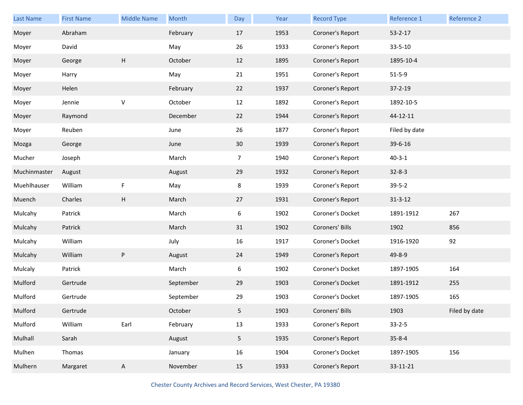| <b>Last Name</b> | <b>First Name</b> | <b>Middle Name</b> | Month     | Day            | Year | <b>Record Type</b> | Reference 1   | Reference 2   |
|------------------|-------------------|--------------------|-----------|----------------|------|--------------------|---------------|---------------|
| Moyer            | Abraham           |                    | February  | 17             | 1953 | Coroner's Report   | $53 - 2 - 17$ |               |
| Moyer            | David             |                    | May       | 26             | 1933 | Coroner's Report   | 33-5-10       |               |
| Moyer            | George            | Н                  | October   | 12             | 1895 | Coroner's Report   | 1895-10-4     |               |
| Moyer            | Harry             |                    | May       | 21             | 1951 | Coroner's Report   | $51 - 5 - 9$  |               |
| Moyer            | Helen             |                    | February  | 22             | 1937 | Coroner's Report   | $37 - 2 - 19$ |               |
| Moyer            | Jennie            | V                  | October   | 12             | 1892 | Coroner's Report   | 1892-10-5     |               |
| Moyer            | Raymond           |                    | December  | 22             | 1944 | Coroner's Report   | 44-12-11      |               |
| Moyer            | Reuben            |                    | June      | 26             | 1877 | Coroner's Report   | Filed by date |               |
| Mozga            | George            |                    | June      | 30             | 1939 | Coroner's Report   | 39-6-16       |               |
| Mucher           | Joseph            |                    | March     | $\overline{7}$ | 1940 | Coroner's Report   | $40 - 3 - 1$  |               |
| Muchinmaster     | August            |                    | August    | 29             | 1932 | Coroner's Report   | $32 - 8 - 3$  |               |
| Muehlhauser      | William           | F                  | May       | 8              | 1939 | Coroner's Report   | $39 - 5 - 2$  |               |
| Muench           | Charles           | Н                  | March     | 27             | 1931 | Coroner's Report   | $31 - 3 - 12$ |               |
| Mulcahy          | Patrick           |                    | March     | 6              | 1902 | Coroner's Docket   | 1891-1912     | 267           |
| Mulcahy          | Patrick           |                    | March     | 31             | 1902 | Coroners' Bills    | 1902          | 856           |
| Mulcahy          | William           |                    | July      | 16             | 1917 | Coroner's Docket   | 1916-1920     | 92            |
| Mulcahy          | William           | P                  | August    | 24             | 1949 | Coroner's Report   | 49-8-9        |               |
| Mulcaly          | Patrick           |                    | March     | 6              | 1902 | Coroner's Docket   | 1897-1905     | 164           |
| Mulford          | Gertrude          |                    | September | 29             | 1903 | Coroner's Docket   | 1891-1912     | 255           |
| Mulford          | Gertrude          |                    | September | 29             | 1903 | Coroner's Docket   | 1897-1905     | 165           |
| Mulford          | Gertrude          |                    | October   | 5              | 1903 | Coroners' Bills    | 1903          | Filed by date |
| Mulford          | William           | Earl               | February  | 13             | 1933 | Coroner's Report   | $33 - 2 - 5$  |               |
| Mulhall          | Sarah             |                    | August    | 5 <sub>1</sub> | 1935 | Coroner's Report   | $35 - 8 - 4$  |               |
| Mulhen           | Thomas            |                    | January   | 16             | 1904 | Coroner's Docket   | 1897-1905     | 156           |
| Mulhern          | Margaret          | $\mathsf{A}$       | November  | 15             | 1933 | Coroner's Report   | 33-11-21      |               |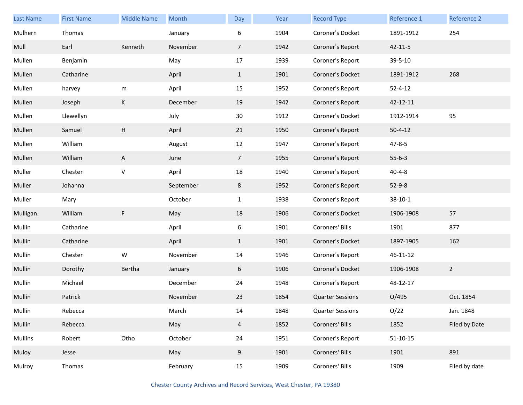| <b>Last Name</b> | <b>First Name</b> | <b>Middle Name</b> | Month     | Day            | Year | <b>Record Type</b>      | Reference 1    | <b>Reference 2</b> |
|------------------|-------------------|--------------------|-----------|----------------|------|-------------------------|----------------|--------------------|
| Mulhern          | Thomas            |                    | January   | 6              | 1904 | Coroner's Docket        | 1891-1912      | 254                |
| Mull             | Earl              | Kenneth            | November  | $\overline{7}$ | 1942 | Coroner's Report        | $42 - 11 - 5$  |                    |
| Mullen           | Benjamin          |                    | May       | 17             | 1939 | Coroner's Report        | 39-5-10        |                    |
| Mullen           | Catharine         |                    | April     | $\mathbf{1}$   | 1901 | Coroner's Docket        | 1891-1912      | 268                |
| Mullen           | harvey            | m                  | April     | 15             | 1952 | Coroner's Report        | $52 - 4 - 12$  |                    |
| Mullen           | Joseph            | K                  | December  | 19             | 1942 | Coroner's Report        | 42-12-11       |                    |
| Mullen           | Llewellyn         |                    | July      | 30             | 1912 | Coroner's Docket        | 1912-1914      | 95                 |
| Mullen           | Samuel            | H                  | April     | 21             | 1950 | Coroner's Report        | $50 - 4 - 12$  |                    |
| Mullen           | William           |                    | August    | 12             | 1947 | Coroner's Report        | $47 - 8 - 5$   |                    |
| Mullen           | William           | A                  | June      | $\overline{7}$ | 1955 | Coroner's Report        | $55 - 6 - 3$   |                    |
| Muller           | Chester           | $\sf V$            | April     | 18             | 1940 | Coroner's Report        | $40 - 4 - 8$   |                    |
| Muller           | Johanna           |                    | September | 8              | 1952 | Coroner's Report        | $52 - 9 - 8$   |                    |
| Muller           | Mary              |                    | October   | $\mathbf{1}$   | 1938 | Coroner's Report        | $38 - 10 - 1$  |                    |
| Mulligan         | William           | $\mathsf F$        | May       | 18             | 1906 | Coroner's Docket        | 1906-1908      | 57                 |
| Mullin           | Catharine         |                    | April     | 6              | 1901 | Coroners' Bills         | 1901           | 877                |
| Mullin           | Catharine         |                    | April     | $\mathbf{1}$   | 1901 | Coroner's Docket        | 1897-1905      | 162                |
| Mullin           | Chester           | ${\sf W}$          | November  | 14             | 1946 | Coroner's Report        | 46-11-12       |                    |
| Mullin           | Dorothy           | Bertha             | January   | 6              | 1906 | Coroner's Docket        | 1906-1908      | $\overline{2}$     |
| Mullin           | Michael           |                    | December  | 24             | 1948 | Coroner's Report        | 48-12-17       |                    |
| Mullin           | Patrick           |                    | November  | 23             | 1854 | <b>Quarter Sessions</b> | O/495          | Oct. 1854          |
| Mullin           | Rebecca           |                    | March     | 14             | 1848 | <b>Quarter Sessions</b> | O/22           | Jan. 1848          |
| Mullin           | Rebecca           |                    | May       | $\overline{4}$ | 1852 | Coroners' Bills         | 1852           | Filed by Date      |
| Mullins          | Robert            | Otho               | October   | 24             | 1951 | Coroner's Report        | $51 - 10 - 15$ |                    |
| Muloy            | Jesse             |                    | May       | 9              | 1901 | Coroners' Bills         | 1901           | 891                |
| Mulroy           | Thomas            |                    | February  | 15             | 1909 | Coroners' Bills         | 1909           | Filed by date      |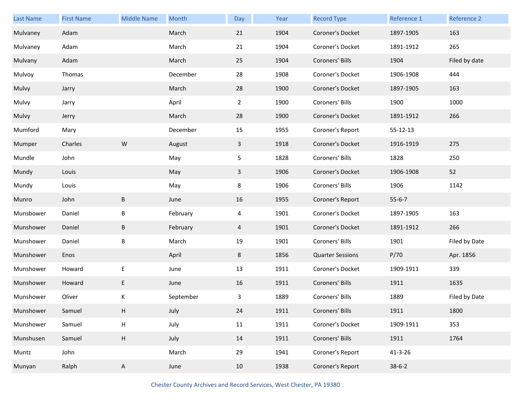| Last Name | <b>First Name</b> | <b>Middle Name</b> | Month     | Day            | Year | <b>Record Type</b>      | Reference 1    | Reference 2   |
|-----------|-------------------|--------------------|-----------|----------------|------|-------------------------|----------------|---------------|
| Mulvaney  | Adam              |                    | March     | 21             | 1904 | Coroner's Docket        | 1897-1905      | 163           |
| Mulvaney  | Adam              |                    | March     | 21             | 1904 | Coroner's Docket        | 1891-1912      | 265           |
| Mulvany   | Adam              |                    | March     | 25             | 1904 | Coroners' Bills         | 1904           | Filed by date |
| Mulvoy    | Thomas            |                    | December  | 28             | 1908 | Coroner's Docket        | 1906-1908      | 444           |
| Mulvy     | Jarry             |                    | March     | 28             | 1900 | Coroner's Docket        | 1897-1905      | 163           |
| Mulvy     | Jarry             |                    | April     | $\overline{2}$ | 1900 | Coroners' Bills         | 1900           | 1000          |
| Mulvy     | Jerry             |                    | March     | 28             | 1900 | Coroner's Docket        | 1891-1912      | 266           |
| Mumford   | Mary              |                    | December  | 15             | 1955 | Coroner's Report        | $55 - 12 - 13$ |               |
| Mumper    | Charles           | ${\sf W}$          | August    | $\mathbf{3}$   | 1918 | Coroner's Docket        | 1916-1919      | 275           |
| Mundle    | John              |                    | May       | 5              | 1828 | Coroners' Bills         | 1828           | 250           |
| Mundy     | Louis             |                    | May       | 3              | 1906 | Coroner's Docket        | 1906-1908      | 52            |
| Mundy     | Louis             |                    | May       | 8              | 1906 | Coroners' Bills         | 1906           | 1142          |
| Munro     | John              | B                  | June      | 16             | 1955 | Coroner's Report        | $55 - 6 - 7$   |               |
| Munsbower | Daniel            | B                  | February  | 4              | 1901 | Coroner's Docket        | 1897-1905      | 163           |
| Munshower | Daniel            | B                  | February  | 4              | 1901 | Coroner's Docket        | 1891-1912      | 266           |
| Munshower | Daniel            | B                  | March     | 19             | 1901 | Coroners' Bills         | 1901           | Filed by Date |
| Munshower | Enos              |                    | April     | 8              | 1856 | <b>Quarter Sessions</b> | P/70           | Apr. 1856     |
| Munshower | Howard            | $\mathsf E$        | June      | 13             | 1911 | Coroner's Docket        | 1909-1911      | 339           |
| Munshower | Howard            | E                  | June      | 16             | 1911 | Coroners' Bills         | 1911           | 1635          |
| Munshower | Oliver            | Κ                  | September | 3              | 1889 | Coroners' Bills         | 1889           | Filed by Date |
| Munshower | Samuel            | Н                  | July      | 24             | 1911 | Coroners' Bills         | 1911           | 1800          |
| Munshower | Samuel            | $\sf H$            | July      | 11             | 1911 | Coroner's Docket        | 1909-1911      | 353           |
| Munshusen | Samuel            | H                  | July      | 14             | 1911 | Coroners' Bills         | 1911           | 1764          |
| Muntz     | John              |                    | March     | 29             | 1941 | Coroner's Report        | $41 - 3 - 26$  |               |
| Munyan    | Ralph             | A                  | June      | 10             | 1938 | Coroner's Report        | $38-6-2$       |               |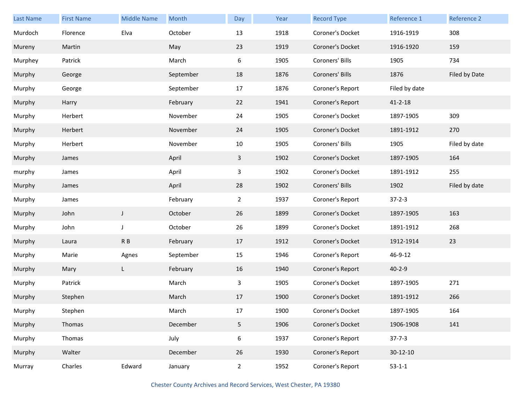| Last Name | <b>First Name</b> | <b>Middle Name</b> | Month     | Day            | Year | <b>Record Type</b> | Reference 1   | <b>Reference 2</b> |
|-----------|-------------------|--------------------|-----------|----------------|------|--------------------|---------------|--------------------|
| Murdoch   | Florence          | Elva               | October   | 13             | 1918 | Coroner's Docket   | 1916-1919     | 308                |
| Mureny    | Martin            |                    | May       | 23             | 1919 | Coroner's Docket   | 1916-1920     | 159                |
| Murphey   | Patrick           |                    | March     | 6              | 1905 | Coroners' Bills    | 1905          | 734                |
| Murphy    | George            |                    | September | 18             | 1876 | Coroners' Bills    | 1876          | Filed by Date      |
| Murphy    | George            |                    | September | 17             | 1876 | Coroner's Report   | Filed by date |                    |
| Murphy    | Harry             |                    | February  | 22             | 1941 | Coroner's Report   | $41 - 2 - 18$ |                    |
| Murphy    | Herbert           |                    | November  | 24             | 1905 | Coroner's Docket   | 1897-1905     | 309                |
| Murphy    | Herbert           |                    | November  | 24             | 1905 | Coroner's Docket   | 1891-1912     | 270                |
| Murphy    | Herbert           |                    | November  | 10             | 1905 | Coroners' Bills    | 1905          | Filed by date      |
| Murphy    | James             |                    | April     | $\mathbf{3}$   | 1902 | Coroner's Docket   | 1897-1905     | 164                |
| murphy    | James             |                    | April     | 3              | 1902 | Coroner's Docket   | 1891-1912     | 255                |
| Murphy    | James             |                    | April     | 28             | 1902 | Coroners' Bills    | 1902          | Filed by date      |
| Murphy    | James             |                    | February  | $2^{\circ}$    | 1937 | Coroner's Report   | $37 - 2 - 3$  |                    |
| Murphy    | John              | $\mathsf{J}$       | October   | 26             | 1899 | Coroner's Docket   | 1897-1905     | 163                |
| Murphy    | John              | $\mathsf J$        | October   | 26             | 1899 | Coroner's Docket   | 1891-1912     | 268                |
| Murphy    | Laura             | R B                | February  | 17             | 1912 | Coroner's Docket   | 1912-1914     | 23                 |
| Murphy    | Marie             | Agnes              | September | 15             | 1946 | Coroner's Report   | 46-9-12       |                    |
| Murphy    | Mary              | L                  | February  | 16             | 1940 | Coroner's Report   | $40 - 2 - 9$  |                    |
| Murphy    | Patrick           |                    | March     | 3              | 1905 | Coroner's Docket   | 1897-1905     | 271                |
| Murphy    | Stephen           |                    | March     | 17             | 1900 | Coroner's Docket   | 1891-1912     | 266                |
| Murphy    | Stephen           |                    | March     | 17             | 1900 | Coroner's Docket   | 1897-1905     | 164                |
| Murphy    | Thomas            |                    | December  | 5 <sub>1</sub> | 1906 | Coroner's Docket   | 1906-1908     | 141                |
| Murphy    | Thomas            |                    | July      | 6              | 1937 | Coroner's Report   | $37 - 7 - 3$  |                    |
| Murphy    | Walter            |                    | December  | 26             | 1930 | Coroner's Report   | 30-12-10      |                    |
| Murray    | Charles           | Edward             | January   | $2^{\circ}$    | 1952 | Coroner's Report   | $53 - 1 - 1$  |                    |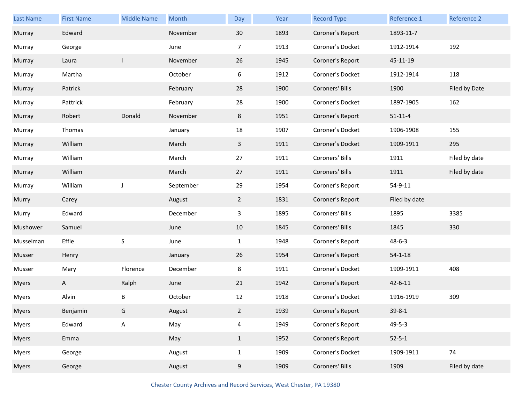| <b>Last Name</b> | <b>First Name</b> | <b>Middle Name</b> | Month     | <b>Day</b>     | Year | <b>Record Type</b> | Reference 1   | Reference 2   |
|------------------|-------------------|--------------------|-----------|----------------|------|--------------------|---------------|---------------|
| Murray           | Edward            |                    | November  | 30             | 1893 | Coroner's Report   | 1893-11-7     |               |
| Murray           | George            |                    | June      | $\overline{7}$ | 1913 | Coroner's Docket   | 1912-1914     | 192           |
| Murray           | Laura             | I                  | November  | 26             | 1945 | Coroner's Report   | 45-11-19      |               |
| Murray           | Martha            |                    | October   | 6              | 1912 | Coroner's Docket   | 1912-1914     | 118           |
| Murray           | Patrick           |                    | February  | 28             | 1900 | Coroners' Bills    | 1900          | Filed by Date |
| Murray           | Pattrick          |                    | February  | 28             | 1900 | Coroner's Docket   | 1897-1905     | 162           |
| Murray           | Robert            | Donald             | November  | 8              | 1951 | Coroner's Report   | $51 - 11 - 4$ |               |
| Murray           | Thomas            |                    | January   | 18             | 1907 | Coroner's Docket   | 1906-1908     | 155           |
| Murray           | William           |                    | March     | $\mathbf{3}$   | 1911 | Coroner's Docket   | 1909-1911     | 295           |
| Murray           | William           |                    | March     | 27             | 1911 | Coroners' Bills    | 1911          | Filed by date |
| Murray           | William           |                    | March     | 27             | 1911 | Coroners' Bills    | 1911          | Filed by date |
| Murray           | William           | J                  | September | 29             | 1954 | Coroner's Report   | 54-9-11       |               |
| Murry            | Carey             |                    | August    | $\overline{2}$ | 1831 | Coroner's Report   | Filed by date |               |
| Murry            | Edward            |                    | December  | 3              | 1895 | Coroners' Bills    | 1895          | 3385          |
| Mushower         | Samuel            |                    | June      | 10             | 1845 | Coroners' Bills    | 1845          | 330           |
| Musselman        | Effie             | S                  | June      | $\mathbf{1}$   | 1948 | Coroner's Report   | $48 - 6 - 3$  |               |
| Musser           | Henry             |                    | January   | 26             | 1954 | Coroner's Report   | $54 - 1 - 18$ |               |
| Musser           | Mary              | Florence           | December  | 8              | 1911 | Coroner's Docket   | 1909-1911     | 408           |
| <b>Myers</b>     | A                 | Ralph              | June      | 21             | 1942 | Coroner's Report   | $42 - 6 - 11$ |               |
| <b>Myers</b>     | Alvin             | В                  | October   | 12             | 1918 | Coroner's Docket   | 1916-1919     | 309           |
| <b>Myers</b>     | Benjamin          | G                  | August    | $\overline{2}$ | 1939 | Coroner's Report   | $39 - 8 - 1$  |               |
| <b>Myers</b>     | Edward            | $\mathsf A$        | May       | $\overline{4}$ | 1949 | Coroner's Report   | $49 - 5 - 3$  |               |
| <b>Myers</b>     | Emma              |                    | May       | $\mathbf{1}$   | 1952 | Coroner's Report   | $52 - 5 - 1$  |               |
| <b>Myers</b>     | George            |                    | August    | $\mathbf{1}$   | 1909 | Coroner's Docket   | 1909-1911     | 74            |
| <b>Myers</b>     | George            |                    | August    | 9              | 1909 | Coroners' Bills    | 1909          | Filed by date |